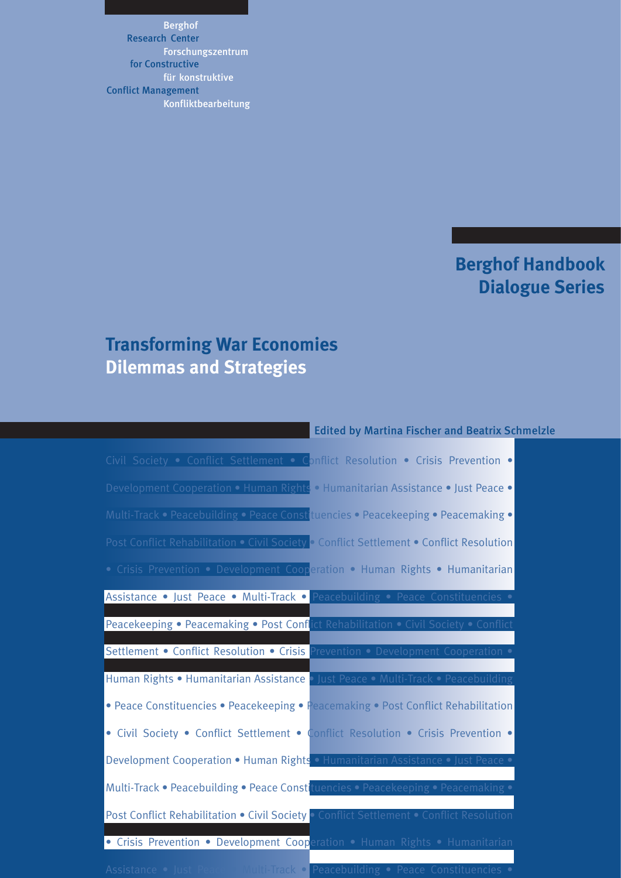Berghof Forschungszentrum für konstruktive Konfliktbearbeitung Research Center for Constructive Conflict Management

### **Berghof Handbook Dialogue Series**

### **Transforming War Economies Dilemmas and Strategies**

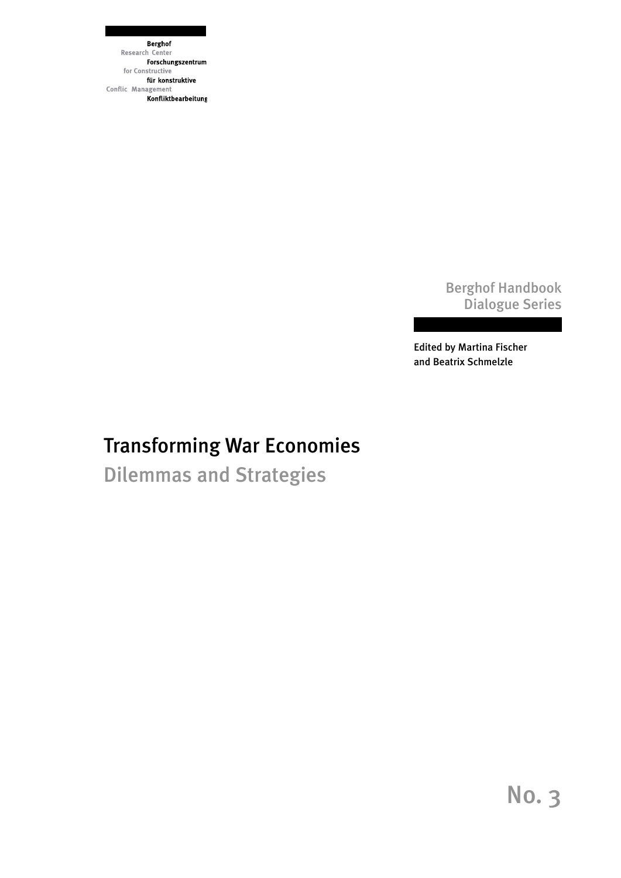**Berghof** Research Center Forschungszentrum for Constructive für konstruktive Conflic Management Konfliktbearbeitung

> Berghof Handbook Dialogue Series

Edited by Martina Fischer and Beatrix Schmelzle

## Transforming War Economies

Dilemmas and Strategies

No. 3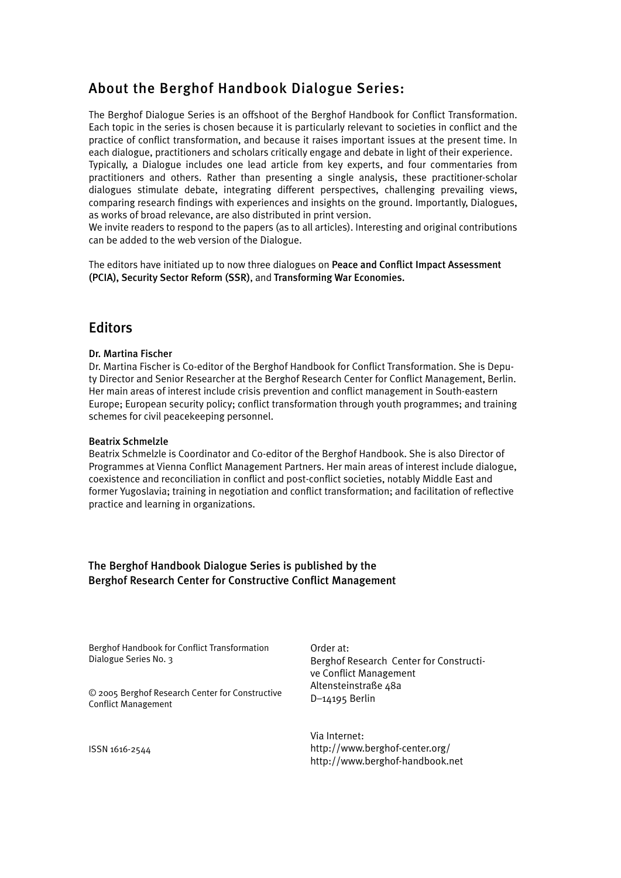### About the Berghof Handbook Dialogue Series:

The Berghof Dialogue Series is an offshoot of the Berghof Handbook for Conflict Transformation. Each topic in the series is chosen because it is particularly relevant to societies in conflict and the practice of conflict transformation, and because it raises important issues at the present time. In each dialogue, practitioners and scholars critically engage and debate in light of their experience. Typically, a Dialogue includes one lead article from key experts, and four commentaries from practitioners and others. Rather than presenting a single analysis, these practitioner-scholar dialogues stimulate debate, integrating different perspectives, challenging prevailing views, comparing research findings with experiences and insights on the ground. Importantly, Dialogues, as works of broad relevance, are also distributed in print version.

We invite readers to respond to the papers (as to all articles). Interesting and original contributions can be added to the web version of the Dialogue.

The editors have initiated up to now three dialogues on Peace and Conflict Impact Assessment (PCIA), Security Sector Reform (SSR), and Transforming War Economies.

### **Editors**

#### Dr. Martina Fischer

Dr. Martina Fischer is Co-editor of the Berghof Handbook for Conflict Transformation. She is Deputy Director and Senior Researcher at the Berghof Research Center for Conflict Management, Berlin. Her main areas of interest include crisis prevention and conflict management in South-eastern Europe; European security policy; conflict transformation through youth programmes; and training schemes for civil peacekeeping personnel.

#### Beatrix Schmelzle

Beatrix Schmelzle is Coordinator and Co-editor of the Berghof Handbook. She is also Director of Programmes at Vienna Conflict Management Partners. Her main areas of interest include dialogue, coexistence and reconciliation in conflict and post-conflict societies, notably Middle East and former Yugoslavia; training in negotiation and conflict transformation; and facilitation of reflective practice and learning in organizations.

#### The Berghof Handbook Dialogue Series is published by the Berghof Research Center for Constructive Conflict Management

Berghof Handbook for Conflict Transformation Dialogue Series No. 3

© 2005 Berghof Research Center for Constructive Conflict Management

Order at: Berghof Research Center for Constructive Conflict Management Altensteinstraße 48a D–14195 Berlin

Via Internet: http://www.berghof-center.org/ http://www.berghof-handbook.net

ISSN 1616-2544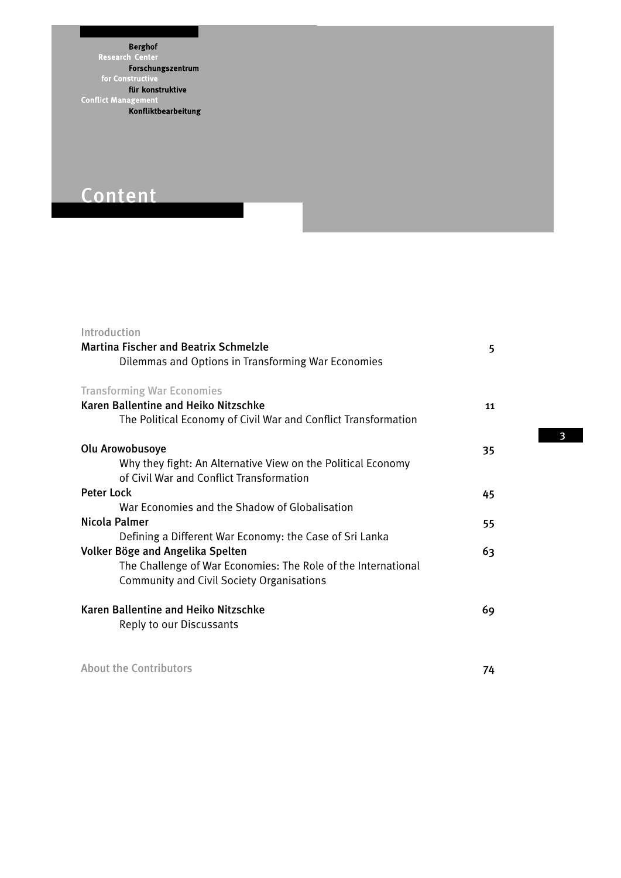Berghof<br>Research Center Forschungszentrum for Constructive für konstruktive für konstruktive<br>Conflict Management<br>Konfliktbearbeitung

## Content

| Introduction<br><b>Martina Fischer and Beatrix Schmelzle</b><br>Dilemmas and Options in Transforming War Economies                                                                                               | 5  |
|------------------------------------------------------------------------------------------------------------------------------------------------------------------------------------------------------------------|----|
| <b>Transforming War Economies</b><br>Karen Ballentine and Heiko Nitzschke                                                                                                                                        | 11 |
| The Political Economy of Civil War and Conflict Transformation<br>Olu Arowobusoye                                                                                                                                | 35 |
| Why they fight: An Alternative View on the Political Economy<br>of Civil War and Conflict Transformation                                                                                                         |    |
| Peter Lock<br>War Economies and the Shadow of Globalisation                                                                                                                                                      | 45 |
| Nicola Palmer                                                                                                                                                                                                    | 55 |
| Defining a Different War Economy: the Case of Sri Lanka<br>Volker Böge and Angelika Spelten<br>The Challenge of War Economies: The Role of the International<br><b>Community and Civil Society Organisations</b> | 63 |
| Karen Ballentine and Heiko Nitzschke<br>Reply to our Discussants                                                                                                                                                 | 69 |

About the Contributors **74**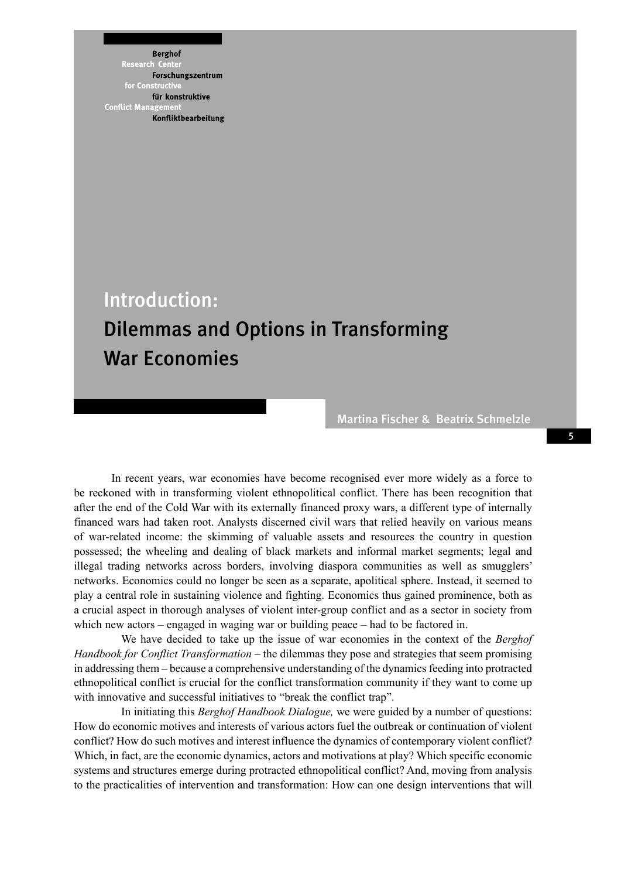**Berghof Research** Forschungszentrum for Constructi für konstruktive **Conflict Managemen** Konfliktbearbeitung

## Introduction:

# Dilemmas and Options in Transforming War Economies

Martina Fischer & Beatrix Schmelzle

 In recent years, war economies have become recognised ever more widely as a force to be reckoned with in transforming violent ethnopolitical conflict. There has been recognition that after the end of the Cold War with its externally financed proxy wars, a different type of internally financed wars had taken root. Analysts discerned civil wars that relied heavily on various means of war-related income: the skimming of valuable assets and resources the country in question possessed; the wheeling and dealing of black markets and informal market segments; legal and illegal trading networks across borders, involving diaspora communities as well as smugglers' networks. Economics could no longer be seen as a separate, apolitical sphere. Instead, it seemed to play a central role in sustaining violence and fighting. Economics thus gained prominence, both as a crucial aspect in thorough analyses of violent inter-group conflict and as a sector in society from which new actors – engaged in waging war or building peace – had to be factored in.

We have decided to take up the issue of war economies in the context of the *Berghof Handbook for Conflict Transformation* – the dilemmas they pose and strategies that seem promising in addressing them – because a comprehensive understanding of the dynamics feeding into protracted ethnopolitical conflict is crucial for the conflict transformation community if they want to come up with innovative and successful initiatives to "break the conflict trap".

In initiating this *Berghof Handbook Dialogue,* we were guided by a number of questions: How do economic motives and interests of various actors fuel the outbreak or continuation of violent conflict? How do such motives and interest influence the dynamics of contemporary violent conflict? Which, in fact, are the economic dynamics, actors and motivations at play? Which specific economic systems and structures emerge during protracted ethnopolitical conflict? And, moving from analysis to the practicalities of intervention and transformation: How can one design interventions that will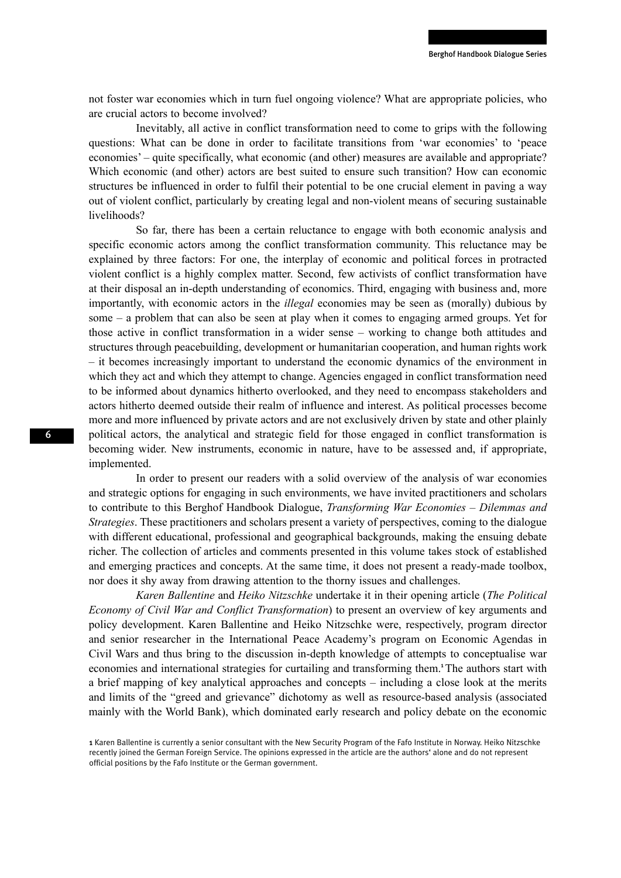not foster war economies which in turn fuel ongoing violence? What are appropriate policies, who are crucial actors to become involved?

Inevitably, all active in conflict transformation need to come to grips with the following questions: What can be done in order to facilitate transitions from 'war economies' to 'peace economies' – quite specifically, what economic (and other) measures are available and appropriate? Which economic (and other) actors are best suited to ensure such transition? How can economic structures be influenced in order to fulfil their potential to be one crucial element in paving a way out of violent conflict, particularly by creating legal and non-violent means of securing sustainable livelihoods?

So far, there has been a certain reluctance to engage with both economic analysis and specific economic actors among the conflict transformation community. This reluctance may be explained by three factors: For one, the interplay of economic and political forces in protracted violent conflict is a highly complex matter. Second, few activists of conflict transformation have at their disposal an in-depth understanding of economics. Third, engaging with business and, more importantly, with economic actors in the *illegal* economies may be seen as (morally) dubious by some – a problem that can also be seen at play when it comes to engaging armed groups. Yet for those active in conflict transformation in a wider sense – working to change both attitudes and structures through peacebuilding, development or humanitarian cooperation, and human rights work – it becomes increasingly important to understand the economic dynamics of the environment in which they act and which they attempt to change. Agencies engaged in conflict transformation need to be informed about dynamics hitherto overlooked, and they need to encompass stakeholders and actors hitherto deemed outside their realm of influence and interest. As political processes become more and more influenced by private actors and are not exclusively driven by state and other plainly political actors, the analytical and strategic field for those engaged in conflict transformation is becoming wider. New instruments, economic in nature, have to be assessed and, if appropriate, implemented.

In order to present our readers with a solid overview of the analysis of war economies and strategic options for engaging in such environments, we have invited practitioners and scholars to contribute to this Berghof Handbook Dialogue, *Transforming War Economies – Dilemmas and Strategies*. These practitioners and scholars present a variety of perspectives, coming to the dialogue with different educational, professional and geographical backgrounds, making the ensuing debate richer. The collection of articles and comments presented in this volume takes stock of established and emerging practices and concepts. At the same time, it does not present a ready-made toolbox, nor does it shy away from drawing attention to the thorny issues and challenges.

*Karen Ballentine* and *Heiko Nitzschke* undertake it in their opening article (*The Political Economy of Civil War and Conflict Transformation*) to present an overview of key arguments and policy development. Karen Ballentine and Heiko Nitzschke were, respectively, program director and senior researcher in the International Peace Academy's program on Economic Agendas in Civil Wars and thus bring to the discussion in-depth knowledge of attempts to conceptualise war economies and international strategies for curtailing and transforming them.<sup>1</sup>The authors start with a brief mapping of key analytical approaches and concepts – including a close look at the merits and limits of the "greed and grievance" dichotomy as well as resource-based analysis (associated mainly with the World Bank), which dominated early research and policy debate on the economic

<sup>1</sup> Karen Ballentine is currently a senior consultant with the New Security Program of the Fafo Institute in Norway. Heiko Nitzschke recently joined the German Foreign Service. The opinions expressed in the article are the authors' alone and do not represent official positions by the Fafo Institute or the German government.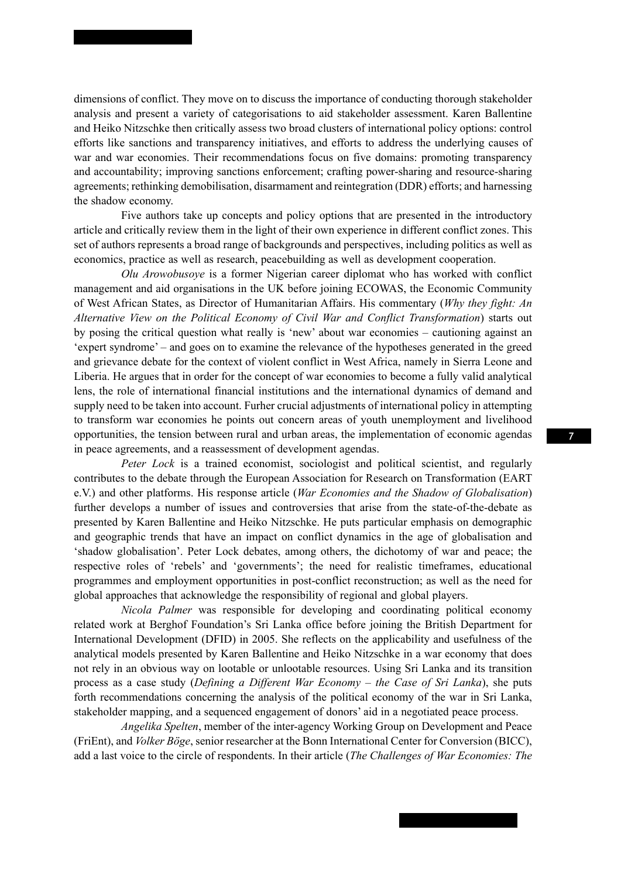dimensions of conflict. They move on to discuss the importance of conducting thorough stakeholder analysis and present a variety of categorisations to aid stakeholder assessment. Karen Ballentine and Heiko Nitzschke then critically assess two broad clusters of international policy options: control efforts like sanctions and transparency initiatives, and efforts to address the underlying causes of war and war economies. Their recommendations focus on five domains: promoting transparency and accountability; improving sanctions enforcement; crafting power-sharing and resource-sharing agreements; rethinking demobilisation, disarmament and reintegration (DDR) efforts; and harnessing the shadow economy.

Five authors take up concepts and policy options that are presented in the introductory article and critically review them in the light of their own experience in different conflict zones. This set of authors represents a broad range of backgrounds and perspectives, including politics as well as economics, practice as well as research, peacebuilding as well as development cooperation.

*Olu Arowobusoye* is a former Nigerian career diplomat who has worked with conflict management and aid organisations in the UK before joining ECOWAS, the Economic Community of West African States, as Director of Humanitarian Affairs. His commentary (*Why they fight: An Alternative View on the Political Economy of Civil War and Conflict Transformation*) starts out by posing the critical question what really is 'new' about war economies – cautioning against an 'expert syndrome' – and goes on to examine the relevance of the hypotheses generated in the greed and grievance debate for the context of violent conflict in West Africa, namely in Sierra Leone and Liberia. He argues that in order for the concept of war economies to become a fully valid analytical lens, the role of international financial institutions and the international dynamics of demand and supply need to be taken into account. Furher crucial adjustments of international policy in attempting to transform war economies he points out concern areas of youth unemployment and livelihood opportunities, the tension between rural and urban areas, the implementation of economic agendas in peace agreements, and a reassessment of development agendas.

*Peter Lock* is a trained economist, sociologist and political scientist, and regularly contributes to the debate through the European Association for Research on Transformation (EART e.V.) and other platforms. His response article (*War Economies and the Shadow of Globalisation*) further develops a number of issues and controversies that arise from the state-of-the-debate as presented by Karen Ballentine and Heiko Nitzschke. He puts particular emphasis on demographic and geographic trends that have an impact on conflict dynamics in the age of globalisation and 'shadow globalisation'. Peter Lock debates, among others, the dichotomy of war and peace; the respective roles of 'rebels' and 'governments'; the need for realistic timeframes, educational programmes and employment opportunities in post-conflict reconstruction; as well as the need for global approaches that acknowledge the responsibility of regional and global players.

*Nicola Palmer* was responsible for developing and coordinating political economy related work at Berghof Foundation's Sri Lanka office before joining the British Department for International Development (DFID) in 2005. She reflects on the applicability and usefulness of the analytical models presented by Karen Ballentine and Heiko Nitzschke in a war economy that does not rely in an obvious way on lootable or unlootable resources. Using Sri Lanka and its transition process as a case study (*Defining a Different War Economy – the Case of Sri Lanka*), she puts forth recommendations concerning the analysis of the political economy of the war in Sri Lanka, stakeholder mapping, and a sequenced engagement of donors' aid in a negotiated peace process.

*Angelika Spelten*, member of the inter-agency Working Group on Development and Peace (FriEnt), and *Volker Böge*, senior researcher at the Bonn International Center for Conversion (BICC), add a last voice to the circle of respondents. In their article (*The Challenges of War Economies: The*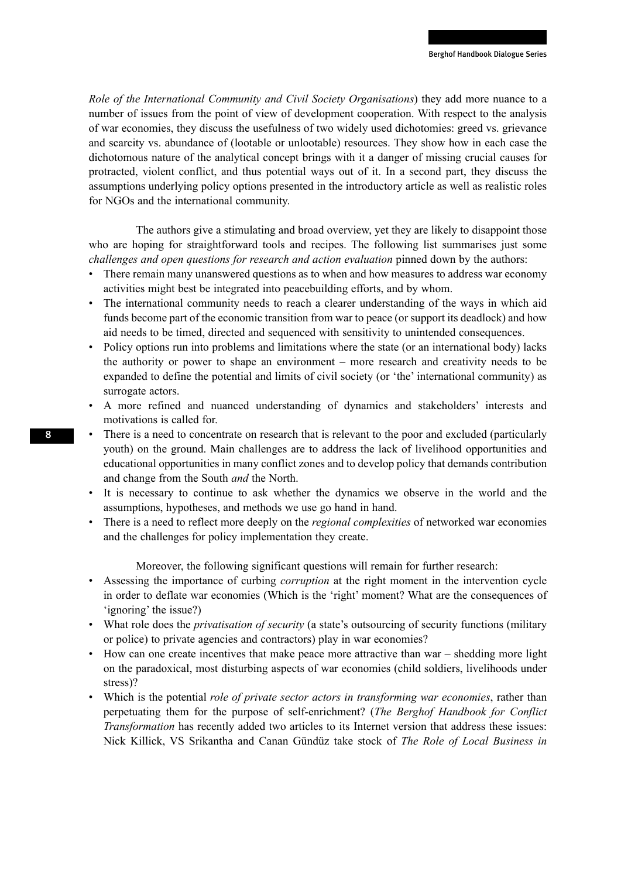*Role of the International Community and Civil Society Organisations*) they add more nuance to a number of issues from the point of view of development cooperation. With respect to the analysis of war economies, they discuss the usefulness of two widely used dichotomies: greed vs. grievance and scarcity vs. abundance of (lootable or unlootable) resources. They show how in each case the dichotomous nature of the analytical concept brings with it a danger of missing crucial causes for protracted, violent conflict, and thus potential ways out of it. In a second part, they discuss the assumptions underlying policy options presented in the introductory article as well as realistic roles for NGOs and the international community.

The authors give a stimulating and broad overview, yet they are likely to disappoint those who are hoping for straightforward tools and recipes. The following list summarises just some *challenges and open questions for research and action evaluation* pinned down by the authors:

- There remain many unanswered questions as to when and how measures to address war economy activities might best be integrated into peacebuilding efforts, and by whom.
- The international community needs to reach a clearer understanding of the ways in which aid funds become part of the economic transition from war to peace (or support its deadlock) and how aid needs to be timed, directed and sequenced with sensitivity to unintended consequences.
- Policy options run into problems and limitations where the state (or an international body) lacks the authority or power to shape an environment – more research and creativity needs to be expanded to define the potential and limits of civil society (or 'the' international community) as surrogate actors.
- A more refined and nuanced understanding of dynamics and stakeholders' interests and motivations is called for.
- There is a need to concentrate on research that is relevant to the poor and excluded (particularly youth) on the ground. Main challenges are to address the lack of livelihood opportunities and educational opportunities in many conflict zones and to develop policy that demands contribution and change from the South *and* the North.
- It is necessary to continue to ask whether the dynamics we observe in the world and the assumptions, hypotheses, and methods we use go hand in hand.
- There is a need to reflect more deeply on the *regional complexities* of networked war economies and the challenges for policy implementation they create.

Moreover, the following significant questions will remain for further research:

- Assessing the importance of curbing *corruption* at the right moment in the intervention cycle in order to deflate war economies (Which is the 'right' moment? What are the consequences of 'ignoring' the issue?)
- What role does the *privatisation of security* (a state's outsourcing of security functions (military or police) to private agencies and contractors) play in war economies?
- How can one create incentives that make peace more attractive than war shedding more light on the paradoxical, most disturbing aspects of war economies (child soldiers, livelihoods under stress)?
- Which is the potential *role of private sector actors in transforming war economies*, rather than perpetuating them for the purpose of self-enrichment? (*The Berghof Handbook for Conflict Transformation* has recently added two articles to its Internet version that address these issues: Nick Killick, VS Srikantha and Canan Gündüz take stock of *The Role of Local Business in*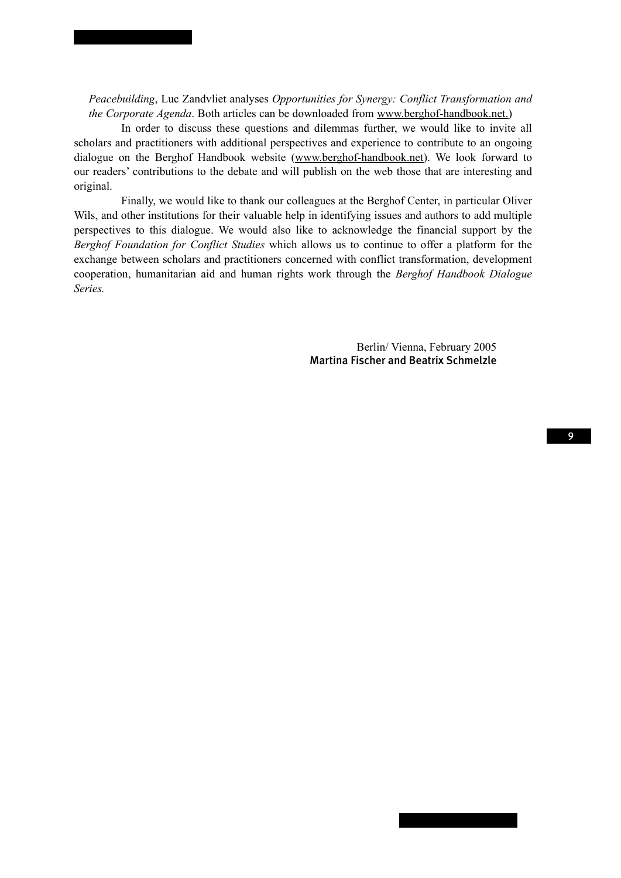*Peacebuilding*, Luc Zandvliet analyses *Opportunities for Synergy: Conflict Transformation and the Corporate Agenda*. Both articles can be downloaded from www.berghof-handbook.net.)

In order to discuss these questions and dilemmas further, we would like to invite all scholars and practitioners with additional perspectives and experience to contribute to an ongoing dialogue on the Berghof Handbook website (www.berghof-handbook.net). We look forward to our readers' contributions to the debate and will publish on the web those that are interesting and original.

Finally, we would like to thank our colleagues at the Berghof Center, in particular Oliver Wils, and other institutions for their valuable help in identifying issues and authors to add multiple perspectives to this dialogue. We would also like to acknowledge the financial support by the *Berghof Foundation for Conflict Studies* which allows us to continue to offer a platform for the exchange between scholars and practitioners concerned with conflict transformation, development cooperation, humanitarian aid and human rights work through the *Berghof Handbook Dialogue Series.*

> Berlin/ Vienna, February 2005 Martina Fischer and Beatrix Schmelzle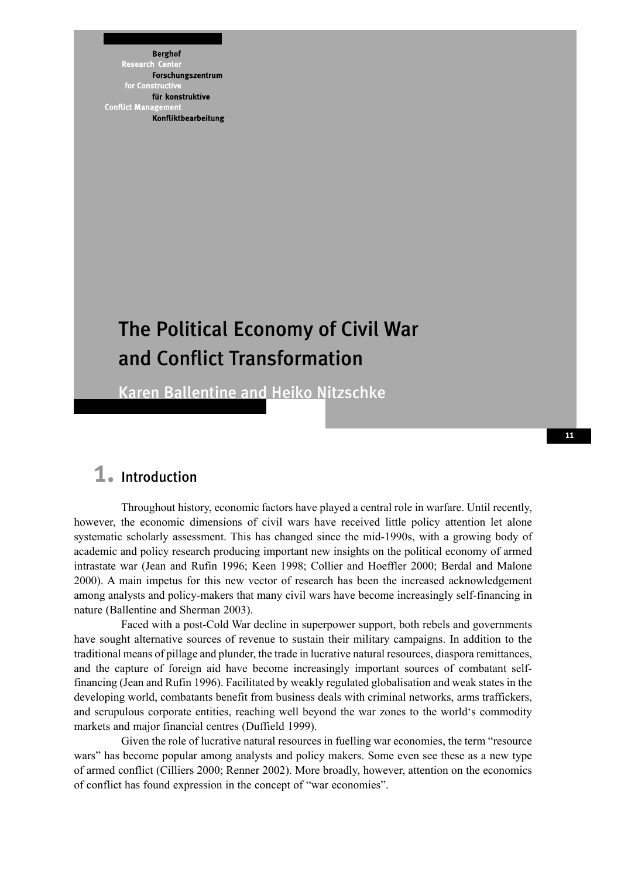**Berghof Research** Forschungszentrum for Constructi für konstruktive **Conflict Managemen** Konfliktbearbeitung

# The Political Economy of Civil War and Conflict Transformation

Karen Ballentine and Heiko Nitzschke

### 1. Introduction

Throughout history, economic factors have played a central role in warfare. Until recently, however, the economic dimensions of civil wars have received little policy attention let alone systematic scholarly assessment. This has changed since the mid-1990s, with a growing body of academic and policy research producing important new insights on the political economy of armed intrastate war (Jean and Rufin 1996; Keen 1998; Collier and Hoeffler 2000; Berdal and Malone 2000). A main impetus for this new vector of research has been the increased acknowledgement among analysts and policy-makers that many civil wars have become increasingly self-financing in nature (Ballentine and Sherman 2003).

Faced with a post-Cold War decline in superpower support, both rebels and governments have sought alternative sources of revenue to sustain their military campaigns. In addition to the traditional means of pillage and plunder, the trade in lucrative natural resources, diaspora remittances, and the capture of foreign aid have become increasingly important sources of combatant selffinancing (Jean and Rufin 1996). Facilitated by weakly regulated globalisation and weak states in the developing world, combatants benefit from business deals with criminal networks, arms traffickers, and scrupulous corporate entities, reaching well beyond the war zones to the world's commodity markets and major financial centres (Duffield 1999).

Given the role of lucrative natural resources in fuelling war economies, the term "resource wars" has become popular among analysts and policy makers. Some even see these as a new type of armed conflict (Cilliers 2000; Renner 2002). More broadly, however, attention on the economics of conflict has found expression in the concept of "war economies".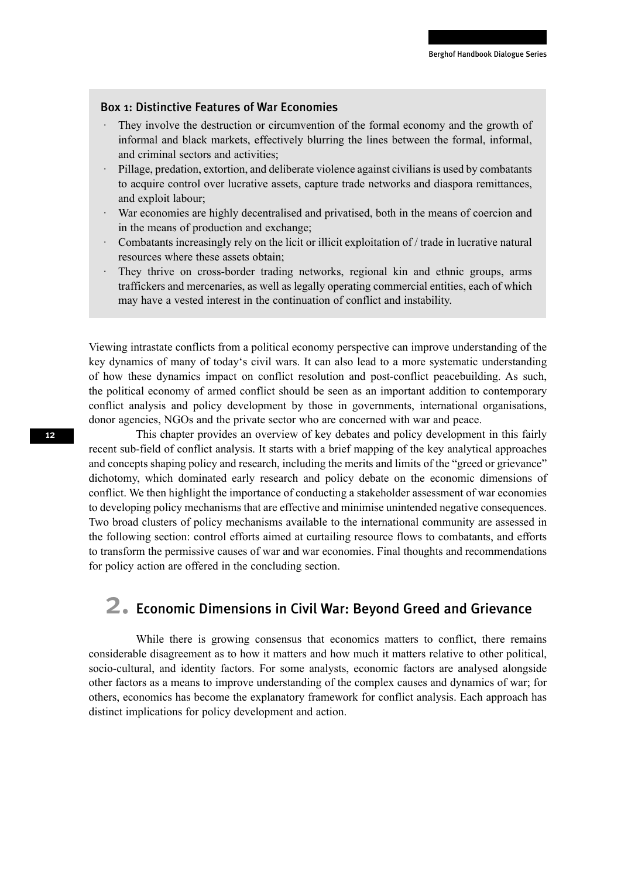#### Box 1: Distinctive Features of War Economies

- · They involve the destruction or circumvention of the formal economy and the growth of informal and black markets, effectively blurring the lines between the formal, informal, and criminal sectors and activities;
- · Pillage, predation, extortion, and deliberate violence against civilians is used by combatants to acquire control over lucrative assets, capture trade networks and diaspora remittances, and exploit labour;
- · War economies are highly decentralised and privatised, both in the means of coercion and in the means of production and exchange;
- · Combatants increasingly rely on the licit or illicit exploitation of / trade in lucrative natural resources where these assets obtain;
- · They thrive on cross-border trading networks, regional kin and ethnic groups, arms traffickers and mercenaries, as well as legally operating commercial entities, each of which may have a vested interest in the continuation of conflict and instability.

Viewing intrastate conflicts from a political economy perspective can improve understanding of the key dynamics of many of today's civil wars. It can also lead to a more systematic understanding of how these dynamics impact on conflict resolution and post-conflict peacebuilding. As such, the political economy of armed conflict should be seen as an important addition to contemporary conflict analysis and policy development by those in governments, international organisations, donor agencies, NGOs and the private sector who are concerned with war and peace.

This chapter provides an overview of key debates and policy development in this fairly recent sub-field of conflict analysis. It starts with a brief mapping of the key analytical approaches and concepts shaping policy and research, including the merits and limits of the "greed or grievance" dichotomy, which dominated early research and policy debate on the economic dimensions of conflict. We then highlight the importance of conducting a stakeholder assessment of war economies to developing policy mechanisms that are effective and minimise unintended negative consequences. Two broad clusters of policy mechanisms available to the international community are assessed in the following section: control efforts aimed at curtailing resource flows to combatants, and efforts to transform the permissive causes of war and war economies. Final thoughts and recommendations for policy action are offered in the concluding section.

### 2. Economic Dimensions in Civil War: Beyond Greed and Grievance

While there is growing consensus that economics matters to conflict, there remains considerable disagreement as to how it matters and how much it matters relative to other political, socio-cultural, and identity factors. For some analysts, economic factors are analysed alongside other factors as a means to improve understanding of the complex causes and dynamics of war; for others, economics has become the explanatory framework for conflict analysis. Each approach has distinct implications for policy development and action.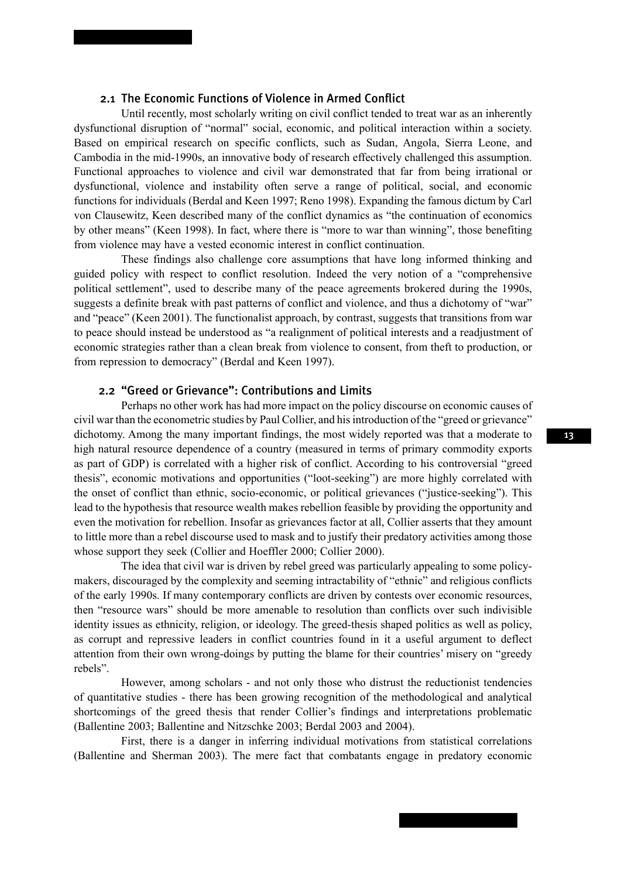#### 2.1 The Economic Functions of Violence in Armed Conflict

Until recently, most scholarly writing on civil conflict tended to treat war as an inherently dysfunctional disruption of "normal" social, economic, and political interaction within a society. Based on empirical research on specific conflicts, such as Sudan, Angola, Sierra Leone, and Cambodia in the mid-1990s, an innovative body of research effectively challenged this assumption. Functional approaches to violence and civil war demonstrated that far from being irrational or dysfunctional, violence and instability often serve a range of political, social, and economic functions for individuals (Berdal and Keen 1997; Reno 1998). Expanding the famous dictum by Carl von Clausewitz, Keen described many of the conflict dynamics as "the continuation of economics by other means" (Keen 1998). In fact, where there is "more to war than winning", those benefiting from violence may have a vested economic interest in conflict continuation.

These findings also challenge core assumptions that have long informed thinking and guided policy with respect to conflict resolution. Indeed the very notion of a "comprehensive political settlement", used to describe many of the peace agreements brokered during the 1990s, suggests a definite break with past patterns of conflict and violence, and thus a dichotomy of "war" and "peace" (Keen 2001). The functionalist approach, by contrast, suggests that transitions from war to peace should instead be understood as "a realignment of political interests and a readjustment of economic strategies rather than a clean break from violence to consent, from theft to production, or from repression to democracy" (Berdal and Keen 1997).

#### 2.2 "Greed or Grievance": Contributions and Limits

Perhaps no other work has had more impact on the policy discourse on economic causes of civil war than the econometric studies by Paul Collier, and his introduction of the "greed or grievance" dichotomy. Among the many important findings, the most widely reported was that a moderate to high natural resource dependence of a country (measured in terms of primary commodity exports as part of GDP) is correlated with a higher risk of conflict. According to his controversial "greed thesis", economic motivations and opportunities ("loot-seeking") are more highly correlated with the onset of conflict than ethnic, socio-economic, or political grievances ("justice-seeking"). This lead to the hypothesis that resource wealth makes rebellion feasible by providing the opportunity and even the motivation for rebellion. Insofar as grievances factor at all, Collier asserts that they amount to little more than a rebel discourse used to mask and to justify their predatory activities among those whose support they seek (Collier and Hoeffler 2000; Collier 2000).

The idea that civil war is driven by rebel greed was particularly appealing to some policymakers, discouraged by the complexity and seeming intractability of "ethnic" and religious conflicts of the early 1990s. If many contemporary conflicts are driven by contests over economic resources, then "resource wars" should be more amenable to resolution than conflicts over such indivisible identity issues as ethnicity, religion, or ideology. The greed-thesis shaped politics as well as policy, as corrupt and repressive leaders in conflict countries found in it a useful argument to deflect attention from their own wrong-doings by putting the blame for their countries' misery on "greedy rebels".

However, among scholars - and not only those who distrust the reductionist tendencies of quantitative studies - there has been growing recognition of the methodological and analytical shortcomings of the greed thesis that render Collier's findings and interpretations problematic (Ballentine 2003; Ballentine and Nitzschke 2003; Berdal 2003 and 2004).

First, there is a danger in inferring individual motivations from statistical correlations (Ballentine and Sherman 2003). The mere fact that combatants engage in predatory economic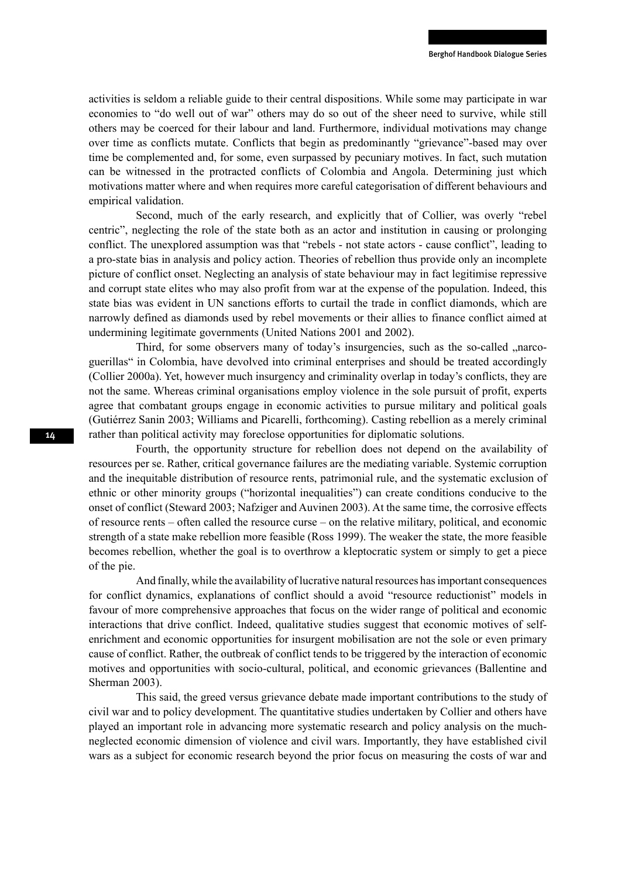activities is seldom a reliable guide to their central dispositions. While some may participate in war economies to "do well out of war" others may do so out of the sheer need to survive, while still others may be coerced for their labour and land. Furthermore, individual motivations may change over time as conflicts mutate. Conflicts that begin as predominantly "grievance"-based may over time be complemented and, for some, even surpassed by pecuniary motives. In fact, such mutation can be witnessed in the protracted conflicts of Colombia and Angola. Determining just which motivations matter where and when requires more careful categorisation of different behaviours and empirical validation.

Second, much of the early research, and explicitly that of Collier, was overly "rebel centric", neglecting the role of the state both as an actor and institution in causing or prolonging conflict. The unexplored assumption was that "rebels - not state actors - cause conflict", leading to a pro-state bias in analysis and policy action. Theories of rebellion thus provide only an incomplete picture of conflict onset. Neglecting an analysis of state behaviour may in fact legitimise repressive and corrupt state elites who may also profit from war at the expense of the population. Indeed, this state bias was evident in UN sanctions efforts to curtail the trade in conflict diamonds, which are narrowly defined as diamonds used by rebel movements or their allies to finance conflict aimed at undermining legitimate governments (United Nations 2001 and 2002).

Third, for some observers many of today's insurgencies, such as the so-called "narcoguerillas" in Colombia, have devolved into criminal enterprises and should be treated accordingly (Collier 2000a). Yet, however much insurgency and criminality overlap in today's conflicts, they are not the same. Whereas criminal organisations employ violence in the sole pursuit of profit, experts agree that combatant groups engage in economic activities to pursue military and political goals (Gutiérrez Sanin 2003; Williams and Picarelli, forthcoming). Casting rebellion as a merely criminal rather than political activity may foreclose opportunities for diplomatic solutions.

Fourth, the opportunity structure for rebellion does not depend on the availability of resources per se. Rather, critical governance failures are the mediating variable. Systemic corruption and the inequitable distribution of resource rents, patrimonial rule, and the systematic exclusion of ethnic or other minority groups ("horizontal inequalities") can create conditions conducive to the onset of conflict (Steward 2003; Nafziger and Auvinen 2003). At the same time, the corrosive effects of resource rents – often called the resource curse – on the relative military, political, and economic strength of a state make rebellion more feasible (Ross 1999). The weaker the state, the more feasible becomes rebellion, whether the goal is to overthrow a kleptocratic system or simply to get a piece of the pie.

And finally, while the availability of lucrative natural resources has important consequences for conflict dynamics, explanations of conflict should a avoid "resource reductionist" models in favour of more comprehensive approaches that focus on the wider range of political and economic interactions that drive conflict. Indeed, qualitative studies suggest that economic motives of selfenrichment and economic opportunities for insurgent mobilisation are not the sole or even primary cause of conflict. Rather, the outbreak of conflict tends to be triggered by the interaction of economic motives and opportunities with socio-cultural, political, and economic grievances (Ballentine and Sherman 2003).

This said, the greed versus grievance debate made important contributions to the study of civil war and to policy development. The quantitative studies undertaken by Collier and others have played an important role in advancing more systematic research and policy analysis on the muchneglected economic dimension of violence and civil wars. Importantly, they have established civil wars as a subject for economic research beyond the prior focus on measuring the costs of war and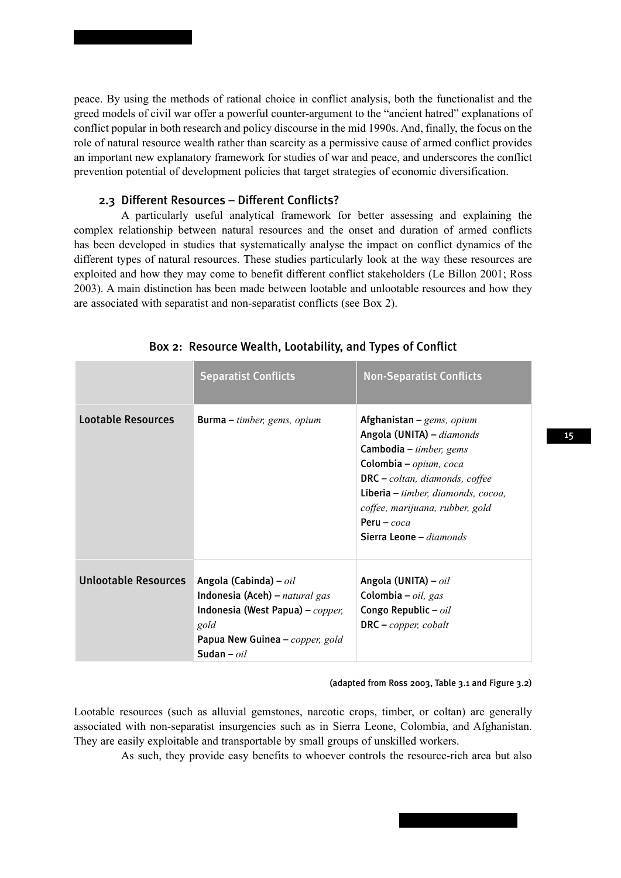peace. By using the methods of rational choice in conflict analysis, both the functionalist and the greed models of civil war offer a powerful counter-argument to the "ancient hatred" explanations of conflict popular in both research and policy discourse in the mid 1990s. And, finally, the focus on the role of natural resource wealth rather than scarcity as a permissive cause of armed conflict provides an important new explanatory framework for studies of war and peace, and underscores the conflict prevention potential of development policies that target strategies of economic diversification.

#### 2.3 Different Resources – Different Conflicts?

A particularly useful analytical framework for better assessing and explaining the complex relationship between natural resources and the onset and duration of armed conflicts has been developed in studies that systematically analyse the impact on conflict dynamics of the different types of natural resources. These studies particularly look at the way these resources are exploited and how they may come to benefit different conflict stakeholders (Le Billon 2001; Ross 2003). A main distinction has been made between lootable and unlootable resources and how they are associated with separatist and non-separatist conflicts (see Box 2).

|                             | <b>Separatist Conflicts</b>                                                                                                                              | <b>Non-Separatist Conflicts</b>                                                                                                                                                                                                                                               |
|-----------------------------|----------------------------------------------------------------------------------------------------------------------------------------------------------|-------------------------------------------------------------------------------------------------------------------------------------------------------------------------------------------------------------------------------------------------------------------------------|
| <b>Lootable Resources</b>   | <b>Burma</b> $-$ timber, gems, opium                                                                                                                     | Afghanistan – $gems$ , opium<br>Angola (UNITA) - diamonds<br>Cambodia – $timber, gems$<br>Colombia - opium, coca<br>$DRC - coltan,$ diamonds, coffee<br>Liberia $-$ timber, diamonds, cocoa,<br>coffee, marijuana, rubber, gold<br>Peru – $\cos a$<br>Sierra Leone - diamonds |
| <b>Unlootable Resources</b> | Angola (Cabinda) – oil<br>Indonesia (Aceh) – natural gas<br>Indonesia (West Papua) - copper,<br>gold<br>Papua New Guinea - copper, gold<br>Sudan – $oil$ | Angola (UNITA) – oil<br>Colombia – $oil$ , gas<br>Congo Republic $ oil$<br>$DRC - copper, cobalt$                                                                                                                                                                             |

#### Box 2: Resource Wealth, Lootability, and Types of Conflict

#### (adapted from Ross 2003, Table 3.1 and Figure 3.2)

Lootable resources (such as alluvial gemstones, narcotic crops, timber, or coltan) are generally associated with non-separatist insurgencies such as in Sierra Leone, Colombia, and Afghanistan. They are easily exploitable and transportable by small groups of unskilled workers.

As such, they provide easy benefits to whoever controls the resource-rich area but also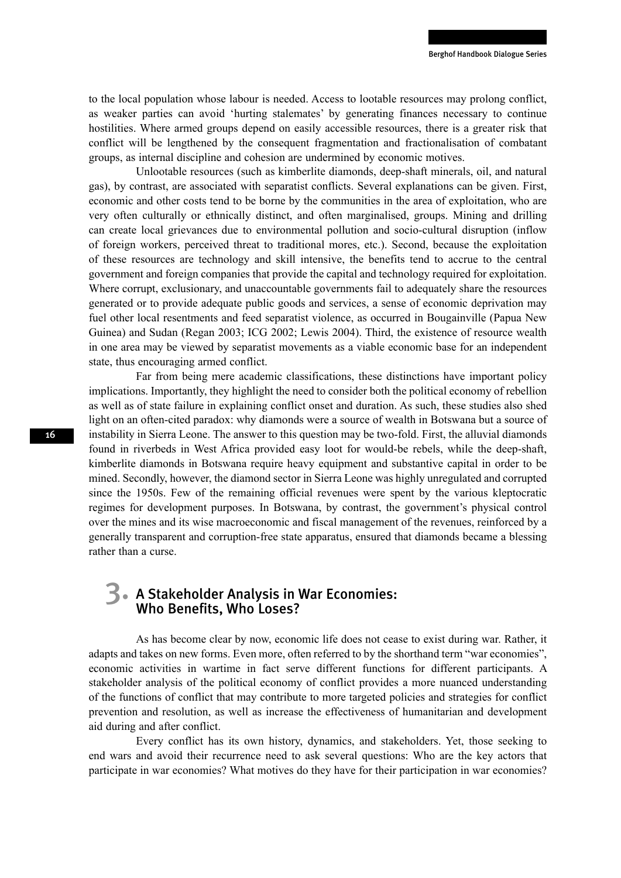to the local population whose labour is needed. Access to lootable resources may prolong conflict, as weaker parties can avoid 'hurting stalemates' by generating finances necessary to continue hostilities. Where armed groups depend on easily accessible resources, there is a greater risk that conflict will be lengthened by the consequent fragmentation and fractionalisation of combatant groups, as internal discipline and cohesion are undermined by economic motives.

Unlootable resources (such as kimberlite diamonds, deep-shaft minerals, oil, and natural gas), by contrast, are associated with separatist conflicts. Several explanations can be given. First, economic and other costs tend to be borne by the communities in the area of exploitation, who are very often culturally or ethnically distinct, and often marginalised, groups. Mining and drilling can create local grievances due to environmental pollution and socio-cultural disruption (inflow of foreign workers, perceived threat to traditional mores, etc.). Second, because the exploitation of these resources are technology and skill intensive, the benefits tend to accrue to the central government and foreign companies that provide the capital and technology required for exploitation. Where corrupt, exclusionary, and unaccountable governments fail to adequately share the resources generated or to provide adequate public goods and services, a sense of economic deprivation may fuel other local resentments and feed separatist violence, as occurred in Bougainville (Papua New Guinea) and Sudan (Regan 2003; ICG 2002; Lewis 2004). Third, the existence of resource wealth in one area may be viewed by separatist movements as a viable economic base for an independent state, thus encouraging armed conflict.

Far from being mere academic classifications, these distinctions have important policy implications. Importantly, they highlight the need to consider both the political economy of rebellion as well as of state failure in explaining conflict onset and duration. As such, these studies also shed light on an often-cited paradox: why diamonds were a source of wealth in Botswana but a source of instability in Sierra Leone. The answer to this question may be two-fold. First, the alluvial diamonds found in riverbeds in West Africa provided easy loot for would-be rebels, while the deep-shaft, kimberlite diamonds in Botswana require heavy equipment and substantive capital in order to be mined. Secondly, however, the diamond sector in Sierra Leone was highly unregulated and corrupted since the 1950s. Few of the remaining official revenues were spent by the various kleptocratic regimes for development purposes. In Botswana, by contrast, the government's physical control over the mines and its wise macroeconomic and fiscal management of the revenues, reinforced by a generally transparent and corruption-free state apparatus, ensured that diamonds became a blessing rather than a curse.

## 3. A Stakeholder Analysis in War Economies: Who Benefits, Who Loses?

As has become clear by now, economic life does not cease to exist during war. Rather, it adapts and takes on new forms. Even more, often referred to by the shorthand term "war economies", economic activities in wartime in fact serve different functions for different participants. A stakeholder analysis of the political economy of conflict provides a more nuanced understanding of the functions of conflict that may contribute to more targeted policies and strategies for conflict prevention and resolution, as well as increase the effectiveness of humanitarian and development aid during and after conflict.

Every conflict has its own history, dynamics, and stakeholders. Yet, those seeking to end wars and avoid their recurrence need to ask several questions: Who are the key actors that participate in war economies? What motives do they have for their participation in war economies?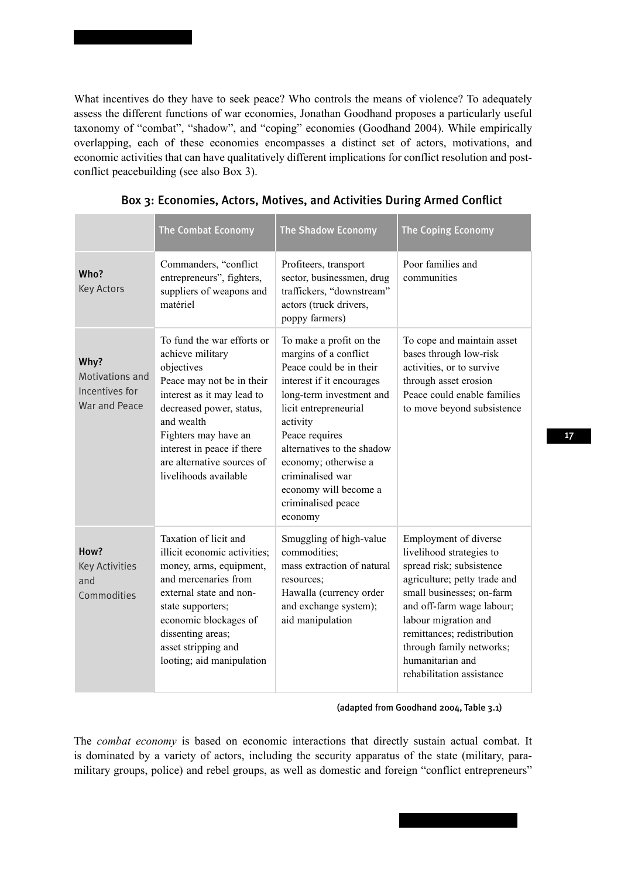What incentives do they have to seek peace? Who controls the means of violence? To adequately assess the different functions of war economies, Jonathan Goodhand proposes a particularly useful taxonomy of "combat", "shadow", and "coping" economies (Goodhand 2004). While empirically overlapping, each of these economies encompasses a distinct set of actors, motivations, and economic activities that can have qualitatively different implications for conflict resolution and postconflict peacebuilding (see also Box 3).

|                                                            | <b>The Combat Economy</b>                                                                                                                                                                                                                                                      | <b>The Shadow Economy</b>                                                                                                                                                                                                                                                                                                       | The Coping Economy                                                                                                                                                                                                                                                                                          |
|------------------------------------------------------------|--------------------------------------------------------------------------------------------------------------------------------------------------------------------------------------------------------------------------------------------------------------------------------|---------------------------------------------------------------------------------------------------------------------------------------------------------------------------------------------------------------------------------------------------------------------------------------------------------------------------------|-------------------------------------------------------------------------------------------------------------------------------------------------------------------------------------------------------------------------------------------------------------------------------------------------------------|
| Who?<br><b>Key Actors</b>                                  | Commanders, "conflict<br>entrepreneurs", fighters,<br>suppliers of weapons and<br>matériel                                                                                                                                                                                     | Profiteers, transport<br>sector, businessmen, drug<br>traffickers, "downstream"<br>actors (truck drivers,<br>poppy farmers)                                                                                                                                                                                                     | Poor families and<br>communities                                                                                                                                                                                                                                                                            |
| Why?<br>Motivations and<br>Incentives for<br>War and Peace | To fund the war efforts or<br>achieve military<br>objectives<br>Peace may not be in their<br>interest as it may lead to<br>decreased power, status,<br>and wealth<br>Fighters may have an<br>interest in peace if there<br>are alternative sources of<br>livelihoods available | To make a profit on the<br>margins of a conflict<br>Peace could be in their<br>interest if it encourages<br>long-term investment and<br>licit entrepreneurial<br>activity<br>Peace requires<br>alternatives to the shadow<br>economy; otherwise a<br>criminalised war<br>economy will become a<br>criminalised peace<br>economy | To cope and maintain asset<br>bases through low-risk<br>activities, or to survive<br>through asset erosion<br>Peace could enable families<br>to move beyond subsistence                                                                                                                                     |
| How?<br><b>Key Activities</b><br>and<br>Commodities        | Taxation of licit and<br>illicit economic activities;<br>money, arms, equipment,<br>and mercenaries from<br>external state and non-<br>state supporters;<br>economic blockages of<br>dissenting areas;<br>asset stripping and<br>looting; aid manipulation                     | Smuggling of high-value<br>commodities;<br>mass extraction of natural<br>resources:<br>Hawalla (currency order<br>and exchange system);<br>aid manipulation                                                                                                                                                                     | Employment of diverse<br>livelihood strategies to<br>spread risk; subsistence<br>agriculture; petty trade and<br>small businesses; on-farm<br>and off-farm wage labour;<br>labour migration and<br>remittances; redistribution<br>through family networks;<br>humanitarian and<br>rehabilitation assistance |

|  |  | Box 3: Economies, Actors, Motives, and Activities During Armed Conflict |  |  |
|--|--|-------------------------------------------------------------------------|--|--|
|  |  |                                                                         |  |  |

(adapted from Goodhand 2004, Table 3.1)

The *combat economy* is based on economic interactions that directly sustain actual combat. It is dominated by a variety of actors, including the security apparatus of the state (military, paramilitary groups, police) and rebel groups, as well as domestic and foreign "conflict entrepreneurs"

17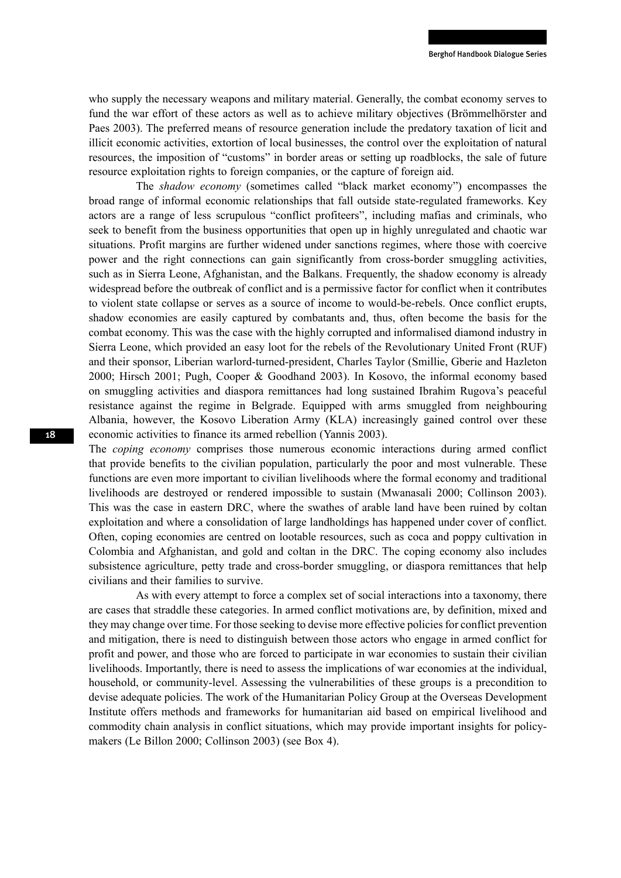who supply the necessary weapons and military material. Generally, the combat economy serves to fund the war effort of these actors as well as to achieve military objectives (Brömmelhörster and Paes 2003). The preferred means of resource generation include the predatory taxation of licit and illicit economic activities, extortion of local businesses, the control over the exploitation of natural resources, the imposition of "customs" in border areas or setting up roadblocks, the sale of future resource exploitation rights to foreign companies, or the capture of foreign aid.

The *shadow economy* (sometimes called "black market economy") encompasses the broad range of informal economic relationships that fall outside state-regulated frameworks. Key actors are a range of less scrupulous "conflict profiteers", including mafias and criminals, who seek to benefit from the business opportunities that open up in highly unregulated and chaotic war situations. Profit margins are further widened under sanctions regimes, where those with coercive power and the right connections can gain significantly from cross-border smuggling activities, such as in Sierra Leone, Afghanistan, and the Balkans. Frequently, the shadow economy is already widespread before the outbreak of conflict and is a permissive factor for conflict when it contributes to violent state collapse or serves as a source of income to would-be-rebels. Once conflict erupts, shadow economies are easily captured by combatants and, thus, often become the basis for the combat economy. This was the case with the highly corrupted and informalised diamond industry in Sierra Leone, which provided an easy loot for the rebels of the Revolutionary United Front (RUF) and their sponsor, Liberian warlord-turned-president, Charles Taylor (Smillie, Gberie and Hazleton 2000; Hirsch 2001; Pugh, Cooper & Goodhand 2003). In Kosovo, the informal economy based on smuggling activities and diaspora remittances had long sustained Ibrahim Rugova's peaceful resistance against the regime in Belgrade. Equipped with arms smuggled from neighbouring Albania, however, the Kosovo Liberation Army (KLA) increasingly gained control over these economic activities to finance its armed rebellion (Yannis 2003).

The *coping economy* comprises those numerous economic interactions during armed conflict that provide benefits to the civilian population, particularly the poor and most vulnerable. These functions are even more important to civilian livelihoods where the formal economy and traditional livelihoods are destroyed or rendered impossible to sustain (Mwanasali 2000; Collinson 2003). This was the case in eastern DRC, where the swathes of arable land have been ruined by coltan exploitation and where a consolidation of large landholdings has happened under cover of conflict. Often, coping economies are centred on lootable resources, such as coca and poppy cultivation in Colombia and Afghanistan, and gold and coltan in the DRC. The coping economy also includes subsistence agriculture, petty trade and cross-border smuggling, or diaspora remittances that help civilians and their families to survive.

As with every attempt to force a complex set of social interactions into a taxonomy, there are cases that straddle these categories. In armed conflict motivations are, by definition, mixed and they may change over time. For those seeking to devise more effective policies for conflict prevention and mitigation, there is need to distinguish between those actors who engage in armed conflict for profit and power, and those who are forced to participate in war economies to sustain their civilian livelihoods. Importantly, there is need to assess the implications of war economies at the individual, household, or community-level. Assessing the vulnerabilities of these groups is a precondition to devise adequate policies. The work of the Humanitarian Policy Group at the Overseas Development Institute offers methods and frameworks for humanitarian aid based on empirical livelihood and commodity chain analysis in conflict situations, which may provide important insights for policymakers (Le Billon 2000; Collinson 2003) (see Box 4).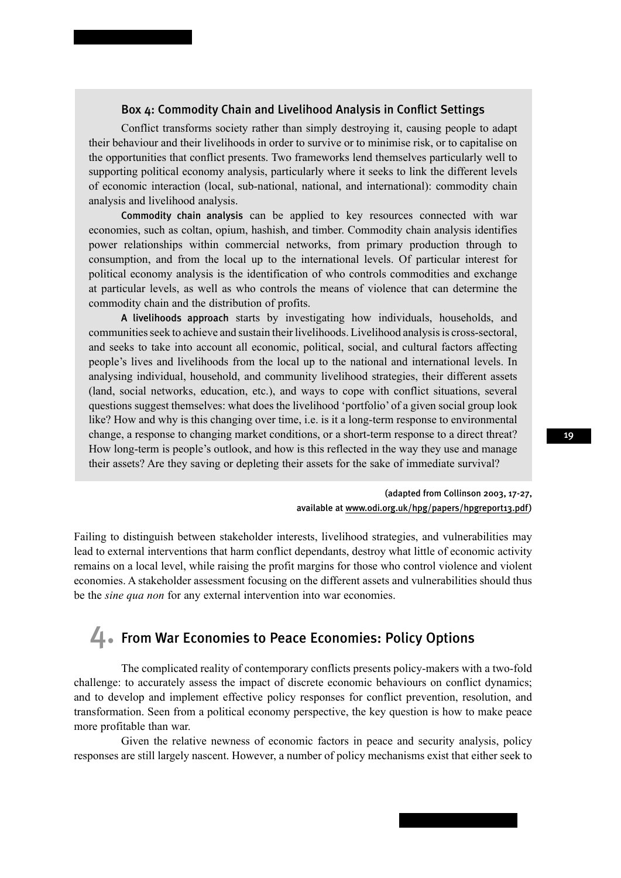#### Box 4: Commodity Chain and Livelihood Analysis in Conflict Settings

Conflict transforms society rather than simply destroying it, causing people to adapt their behaviour and their livelihoods in order to survive or to minimise risk, or to capitalise on the opportunities that conflict presents. Two frameworks lend themselves particularly well to supporting political economy analysis, particularly where it seeks to link the different levels of economic interaction (local, sub-national, national, and international): commodity chain analysis and livelihood analysis.

Commodity chain analysis can be applied to key resources connected with war economies, such as coltan, opium, hashish, and timber. Commodity chain analysis identifies power relationships within commercial networks, from primary production through to consumption, and from the local up to the international levels. Of particular interest for political economy analysis is the identification of who controls commodities and exchange at particular levels, as well as who controls the means of violence that can determine the commodity chain and the distribution of profits.

A livelihoods approach starts by investigating how individuals, households, and communities seek to achieve and sustain their livelihoods. Livelihood analysis is cross-sectoral, and seeks to take into account all economic, political, social, and cultural factors affecting people's lives and livelihoods from the local up to the national and international levels. In analysing individual, household, and community livelihood strategies, their different assets (land, social networks, education, etc.), and ways to cope with conflict situations, several questions suggest themselves: what does the livelihood 'portfolio' of a given social group look like? How and why is this changing over time, i.e. is it a long-term response to environmental change, a response to changing market conditions, or a short-term response to a direct threat? How long-term is people's outlook, and how is this reflected in the way they use and manage their assets? Are they saving or depleting their assets for the sake of immediate survival?

> (adapted from Collinson 2003, 17-27, available at www.odi.org.uk/hpg/papers/hpgreport13.pdf)

Failing to distinguish between stakeholder interests, livelihood strategies, and vulnerabilities may lead to external interventions that harm conflict dependants, destroy what little of economic activity remains on a local level, while raising the profit margins for those who control violence and violent economies. A stakeholder assessment focusing on the different assets and vulnerabilities should thus be the *sine qua non* for any external intervention into war economies.

## 4. From War Economies to Peace Economies: Policy Options

The complicated reality of contemporary conflicts presents policy-makers with a two-fold challenge: to accurately assess the impact of discrete economic behaviours on conflict dynamics; and to develop and implement effective policy responses for conflict prevention, resolution, and transformation. Seen from a political economy perspective, the key question is how to make peace more profitable than war.

Given the relative newness of economic factors in peace and security analysis, policy responses are still largely nascent. However, a number of policy mechanisms exist that either seek to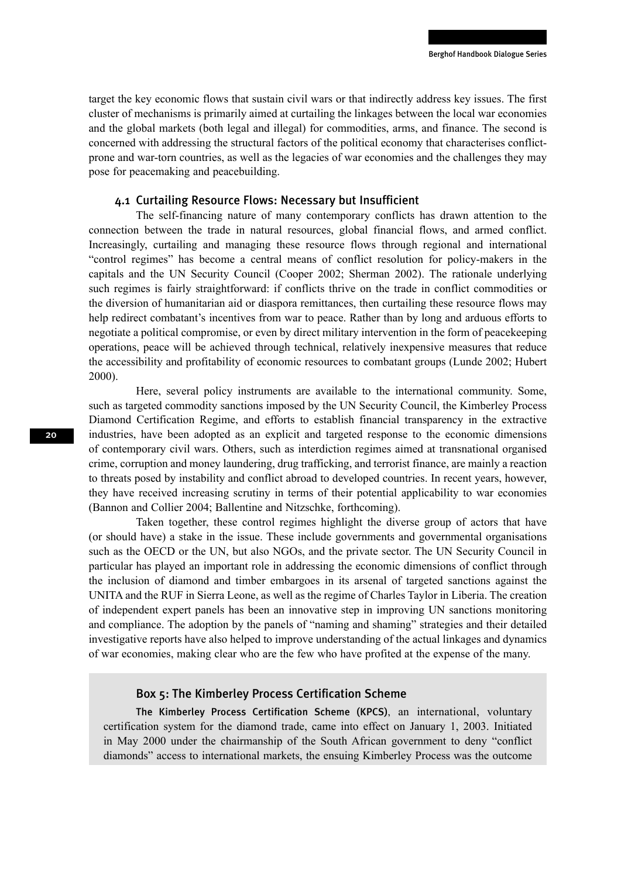target the key economic flows that sustain civil wars or that indirectly address key issues. The first cluster of mechanisms is primarily aimed at curtailing the linkages between the local war economies and the global markets (both legal and illegal) for commodities, arms, and finance. The second is concerned with addressing the structural factors of the political economy that characterises conflictprone and war-torn countries, as well as the legacies of war economies and the challenges they may pose for peacemaking and peacebuilding.

#### 4.1 Curtailing Resource Flows: Necessary but Insufficient

The self-financing nature of many contemporary conflicts has drawn attention to the connection between the trade in natural resources, global financial flows, and armed conflict. Increasingly, curtailing and managing these resource flows through regional and international "control regimes" has become a central means of conflict resolution for policy-makers in the capitals and the UN Security Council (Cooper 2002; Sherman 2002). The rationale underlying such regimes is fairly straightforward: if conflicts thrive on the trade in conflict commodities or the diversion of humanitarian aid or diaspora remittances, then curtailing these resource flows may help redirect combatant's incentives from war to peace. Rather than by long and arduous efforts to negotiate a political compromise, or even by direct military intervention in the form of peacekeeping operations, peace will be achieved through technical, relatively inexpensive measures that reduce the accessibility and profitability of economic resources to combatant groups (Lunde 2002; Hubert 2000).

Here, several policy instruments are available to the international community. Some, such as targeted commodity sanctions imposed by the UN Security Council, the Kimberley Process Diamond Certification Regime, and efforts to establish financial transparency in the extractive industries, have been adopted as an explicit and targeted response to the economic dimensions of contemporary civil wars. Others, such as interdiction regimes aimed at transnational organised crime, corruption and money laundering, drug trafficking, and terrorist finance, are mainly a reaction to threats posed by instability and conflict abroad to developed countries. In recent years, however, they have received increasing scrutiny in terms of their potential applicability to war economies (Bannon and Collier 2004; Ballentine and Nitzschke, forthcoming).

Taken together, these control regimes highlight the diverse group of actors that have (or should have) a stake in the issue. These include governments and governmental organisations such as the OECD or the UN, but also NGOs, and the private sector. The UN Security Council in particular has played an important role in addressing the economic dimensions of conflict through the inclusion of diamond and timber embargoes in its arsenal of targeted sanctions against the UNITA and the RUF in Sierra Leone, as well as the regime of Charles Taylor in Liberia. The creation of independent expert panels has been an innovative step in improving UN sanctions monitoring and compliance. The adoption by the panels of "naming and shaming" strategies and their detailed investigative reports have also helped to improve understanding of the actual linkages and dynamics of war economies, making clear who are the few who have profited at the expense of the many.

#### Box 5: The Kimberley Process Certification Scheme

The Kimberley Process Certification Scheme (KPCS), an international, voluntary certification system for the diamond trade, came into effect on January 1, 2003. Initiated in May 2000 under the chairmanship of the South African government to deny "conflict diamonds" access to international markets, the ensuing Kimberley Process was the outcome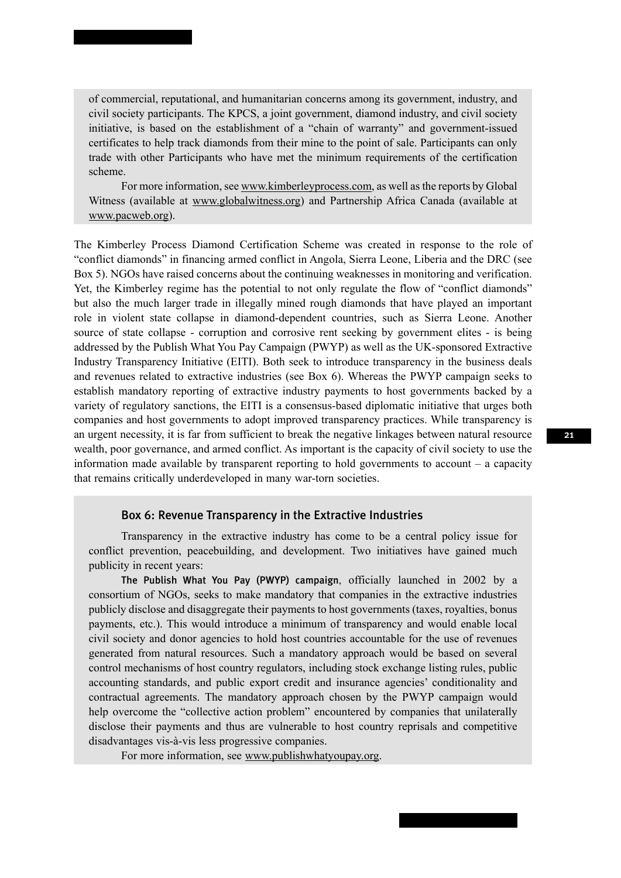of commercial, reputational, and humanitarian concerns among its government, industry, and civil society participants. The KPCS, a joint government, diamond industry, and civil society initiative, is based on the establishment of a "chain of warranty" and government-issued certificates to help track diamonds from their mine to the point of sale. Participants can only trade with other Participants who have met the minimum requirements of the certification scheme.

For more information, see www.kimberleyprocess.com, as well as the reports by Global Witness (available at www.globalwitness.org) and Partnership Africa Canada (available at www.pacweb.org).

The Kimberley Process Diamond Certification Scheme was created in response to the role of "conflict diamonds" in financing armed conflict in Angola, Sierra Leone, Liberia and the DRC (see Box 5). NGOs have raised concerns about the continuing weaknesses in monitoring and verification. Yet, the Kimberley regime has the potential to not only regulate the flow of "conflict diamonds" but also the much larger trade in illegally mined rough diamonds that have played an important role in violent state collapse in diamond-dependent countries, such as Sierra Leone. Another source of state collapse - corruption and corrosive rent seeking by government elites - is being addressed by the Publish What You Pay Campaign (PWYP) as well as the UK-sponsored Extractive Industry Transparency Initiative (EITI). Both seek to introduce transparency in the business deals and revenues related to extractive industries (see Box 6). Whereas the PWYP campaign seeks to establish mandatory reporting of extractive industry payments to host governments backed by a variety of regulatory sanctions, the EITI is a consensus-based diplomatic initiative that urges both companies and host governments to adopt improved transparency practices. While transparency is an urgent necessity, it is far from sufficient to break the negative linkages between natural resource wealth, poor governance, and armed conflict. As important is the capacity of civil society to use the information made available by transparent reporting to hold governments to account – a capacity that remains critically underdeveloped in many war-torn societies.

#### Box 6: Revenue Transparency in the Extractive Industries

Transparency in the extractive industry has come to be a central policy issue for conflict prevention, peacebuilding, and development. Two initiatives have gained much publicity in recent years:

The Publish What You Pay (PWYP) campaign, officially launched in 2002 by a consortium of NGOs, seeks to make mandatory that companies in the extractive industries publicly disclose and disaggregate their payments to host governments (taxes, royalties, bonus payments, etc.). This would introduce a minimum of transparency and would enable local civil society and donor agencies to hold host countries accountable for the use of revenues generated from natural resources. Such a mandatory approach would be based on several control mechanisms of host country regulators, including stock exchange listing rules, public accounting standards, and public export credit and insurance agencies' conditionality and contractual agreements. The mandatory approach chosen by the PWYP campaign would help overcome the "collective action problem" encountered by companies that unilaterally disclose their payments and thus are vulnerable to host country reprisals and competitive disadvantages vis-à-vis less progressive companies.

For more information, see www.publishwhatyoupay.org.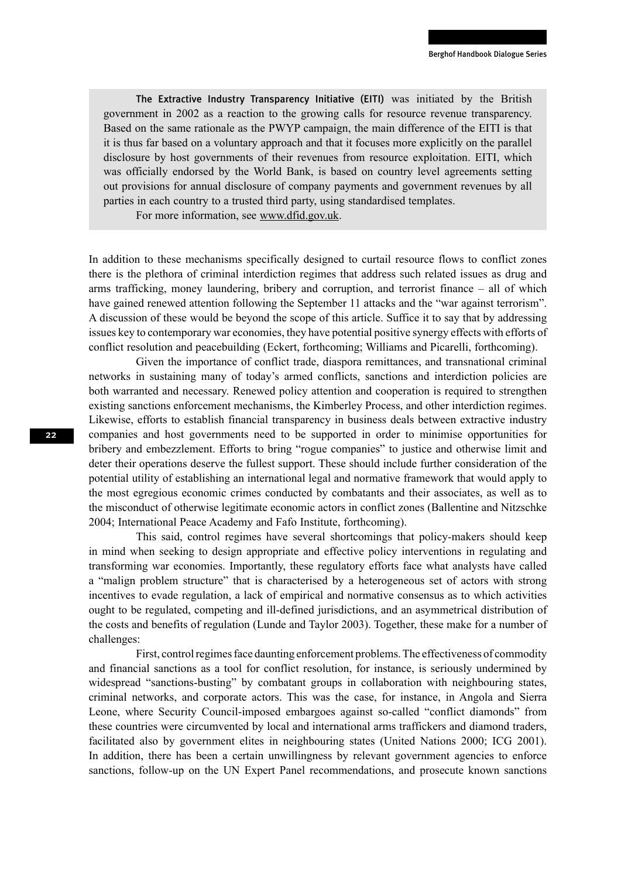The Extractive Industry Transparency Initiative (EITI) was initiated by the British government in 2002 as a reaction to the growing calls for resource revenue transparency. Based on the same rationale as the PWYP campaign, the main difference of the EITI is that it is thus far based on a voluntary approach and that it focuses more explicitly on the parallel disclosure by host governments of their revenues from resource exploitation. EITI, which was officially endorsed by the World Bank, is based on country level agreements setting out provisions for annual disclosure of company payments and government revenues by all parties in each country to a trusted third party, using standardised templates.

For more information, see www.dfid.gov.uk.

In addition to these mechanisms specifically designed to curtail resource flows to conflict zones there is the plethora of criminal interdiction regimes that address such related issues as drug and arms trafficking, money laundering, bribery and corruption, and terrorist finance – all of which have gained renewed attention following the September 11 attacks and the "war against terrorism". A discussion of these would be beyond the scope of this article. Suffice it to say that by addressing issues key to contemporary war economies, they have potential positive synergy effects with efforts of conflict resolution and peacebuilding (Eckert, forthcoming; Williams and Picarelli, forthcoming).

Given the importance of conflict trade, diaspora remittances, and transnational criminal networks in sustaining many of today's armed conflicts, sanctions and interdiction policies are both warranted and necessary. Renewed policy attention and cooperation is required to strengthen existing sanctions enforcement mechanisms, the Kimberley Process, and other interdiction regimes. Likewise, efforts to establish financial transparency in business deals between extractive industry companies and host governments need to be supported in order to minimise opportunities for bribery and embezzlement. Efforts to bring "rogue companies" to justice and otherwise limit and deter their operations deserve the fullest support. These should include further consideration of the potential utility of establishing an international legal and normative framework that would apply to the most egregious economic crimes conducted by combatants and their associates, as well as to the misconduct of otherwise legitimate economic actors in conflict zones (Ballentine and Nitzschke 2004; International Peace Academy and Fafo Institute, forthcoming).

This said, control regimes have several shortcomings that policy-makers should keep in mind when seeking to design appropriate and effective policy interventions in regulating and transforming war economies. Importantly, these regulatory efforts face what analysts have called a "malign problem structure" that is characterised by a heterogeneous set of actors with strong incentives to evade regulation, a lack of empirical and normative consensus as to which activities ought to be regulated, competing and ill-defined jurisdictions, and an asymmetrical distribution of the costs and benefits of regulation (Lunde and Taylor 2003). Together, these make for a number of challenges:

First, control regimes face daunting enforcement problems. The effectiveness of commodity and financial sanctions as a tool for conflict resolution, for instance, is seriously undermined by widespread "sanctions-busting" by combatant groups in collaboration with neighbouring states, criminal networks, and corporate actors. This was the case, for instance, in Angola and Sierra Leone, where Security Council-imposed embargoes against so-called "conflict diamonds" from these countries were circumvented by local and international arms traffickers and diamond traders, facilitated also by government elites in neighbouring states (United Nations 2000; ICG 2001). In addition, there has been a certain unwillingness by relevant government agencies to enforce sanctions, follow-up on the UN Expert Panel recommendations, and prosecute known sanctions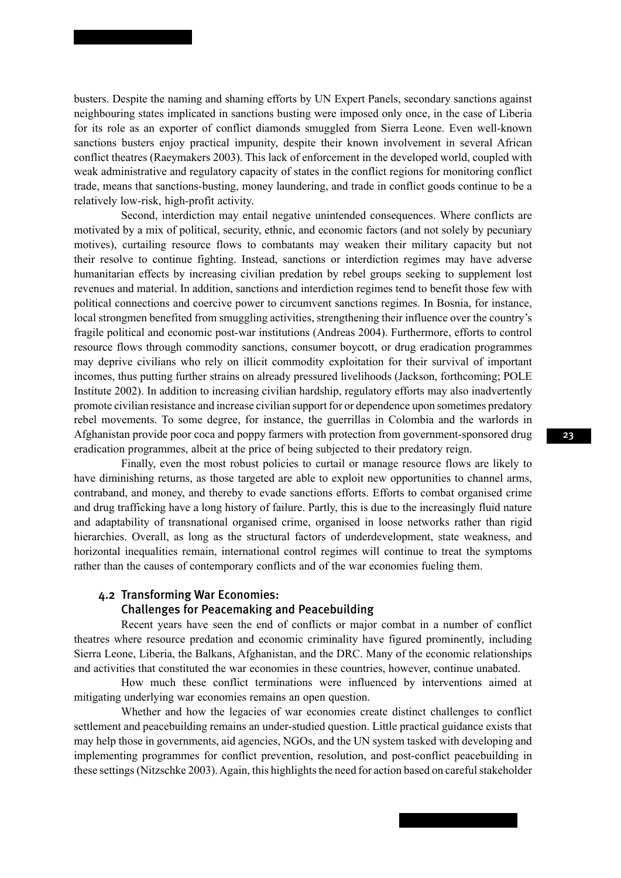busters. Despite the naming and shaming efforts by UN Expert Panels, secondary sanctions against neighbouring states implicated in sanctions busting were imposed only once, in the case of Liberia for its role as an exporter of conflict diamonds smuggled from Sierra Leone. Even well-known sanctions busters enjoy practical impunity, despite their known involvement in several African conflict theatres (Raeymakers 2003). This lack of enforcement in the developed world, coupled with weak administrative and regulatory capacity of states in the conflict regions for monitoring conflict trade, means that sanctions-busting, money laundering, and trade in conflict goods continue to be a relatively low-risk, high-profit activity.

Second, interdiction may entail negative unintended consequences. Where conflicts are motivated by a mix of political, security, ethnic, and economic factors (and not solely by pecuniary motives), curtailing resource flows to combatants may weaken their military capacity but not their resolve to continue fighting. Instead, sanctions or interdiction regimes may have adverse humanitarian effects by increasing civilian predation by rebel groups seeking to supplement lost revenues and material. In addition, sanctions and interdiction regimes tend to benefit those few with political connections and coercive power to circumvent sanctions regimes. In Bosnia, for instance, local strongmen benefited from smuggling activities, strengthening their influence over the country's fragile political and economic post-war institutions (Andreas 2004). Furthermore, efforts to control resource flows through commodity sanctions, consumer boycott, or drug eradication programmes may deprive civilians who rely on illicit commodity exploitation for their survival of important incomes, thus putting further strains on already pressured livelihoods (Jackson, forthcoming; POLE Institute 2002). In addition to increasing civilian hardship, regulatory efforts may also inadvertently promote civilian resistance and increase civilian support for or dependence upon sometimes predatory rebel movements. To some degree, for instance, the guerrillas in Colombia and the warlords in Afghanistan provide poor coca and poppy farmers with protection from government-sponsored drug eradication programmes, albeit at the price of being subjected to their predatory reign.

Finally, even the most robust policies to curtail or manage resource flows are likely to have diminishing returns, as those targeted are able to exploit new opportunities to channel arms, contraband, and money, and thereby to evade sanctions efforts. Efforts to combat organised crime and drug trafficking have a long history of failure. Partly, this is due to the increasingly fluid nature and adaptability of transnational organised crime, organised in loose networks rather than rigid hierarchies. Overall, as long as the structural factors of underdevelopment, state weakness, and horizontal inequalities remain, international control regimes will continue to treat the symptoms rather than the causes of contemporary conflicts and of the war economies fueling them.

#### 4.2 Transforming War Economies: Challenges for Peacemaking and Peacebuilding

Recent years have seen the end of conflicts or major combat in a number of conflict theatres where resource predation and economic criminality have figured prominently, including Sierra Leone, Liberia, the Balkans, Afghanistan, and the DRC. Many of the economic relationships and activities that constituted the war economies in these countries, however, continue unabated.

How much these conflict terminations were influenced by interventions aimed at mitigating underlying war economies remains an open question.

Whether and how the legacies of war economies create distinct challenges to conflict settlement and peacebuilding remains an under-studied question. Little practical guidance exists that may help those in governments, aid agencies, NGOs, and the UN system tasked with developing and implementing programmes for conflict prevention, resolution, and post-conflict peacebuilding in these settings (Nitzschke 2003). Again, this highlights the need for action based on careful stakeholder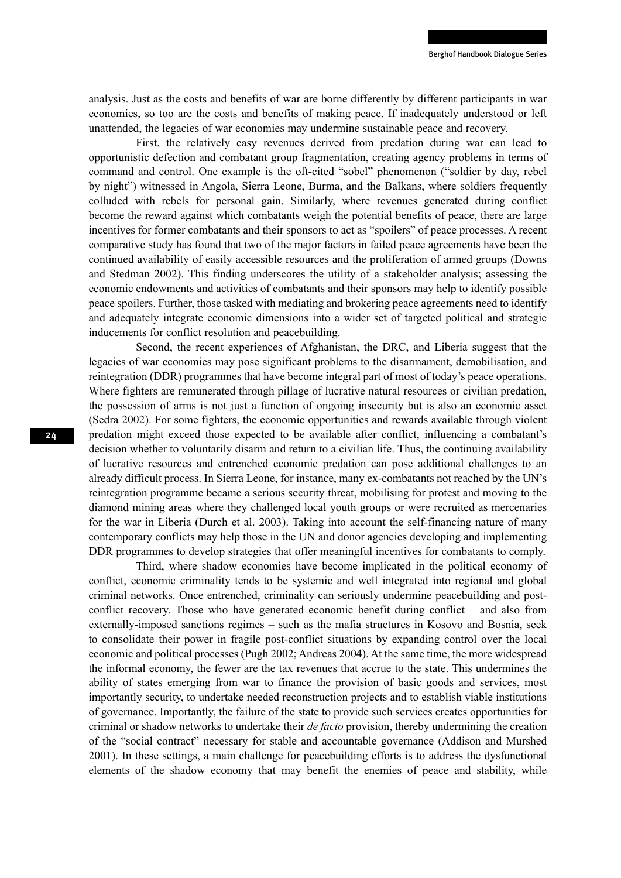analysis. Just as the costs and benefits of war are borne differently by different participants in war economies, so too are the costs and benefits of making peace. If inadequately understood or left unattended, the legacies of war economies may undermine sustainable peace and recovery.

First, the relatively easy revenues derived from predation during war can lead to opportunistic defection and combatant group fragmentation, creating agency problems in terms of command and control. One example is the oft-cited "sobel" phenomenon ("soldier by day, rebel by night") witnessed in Angola, Sierra Leone, Burma, and the Balkans, where soldiers frequently colluded with rebels for personal gain. Similarly, where revenues generated during conflict become the reward against which combatants weigh the potential benefits of peace, there are large incentives for former combatants and their sponsors to act as "spoilers" of peace processes. A recent comparative study has found that two of the major factors in failed peace agreements have been the continued availability of easily accessible resources and the proliferation of armed groups (Downs and Stedman 2002). This finding underscores the utility of a stakeholder analysis; assessing the economic endowments and activities of combatants and their sponsors may help to identify possible peace spoilers. Further, those tasked with mediating and brokering peace agreements need to identify and adequately integrate economic dimensions into a wider set of targeted political and strategic inducements for conflict resolution and peacebuilding.

Second, the recent experiences of Afghanistan, the DRC, and Liberia suggest that the legacies of war economies may pose significant problems to the disarmament, demobilisation, and reintegration (DDR) programmes that have become integral part of most of today's peace operations. Where fighters are remunerated through pillage of lucrative natural resources or civilian predation, the possession of arms is not just a function of ongoing insecurity but is also an economic asset (Sedra 2002). For some fighters, the economic opportunities and rewards available through violent predation might exceed those expected to be available after conflict, influencing a combatant's decision whether to voluntarily disarm and return to a civilian life. Thus, the continuing availability of lucrative resources and entrenched economic predation can pose additional challenges to an already difficult process. In Sierra Leone, for instance, many ex-combatants not reached by the UN's reintegration programme became a serious security threat, mobilising for protest and moving to the diamond mining areas where they challenged local youth groups or were recruited as mercenaries for the war in Liberia (Durch et al. 2003). Taking into account the self-financing nature of many contemporary conflicts may help those in the UN and donor agencies developing and implementing DDR programmes to develop strategies that offer meaningful incentives for combatants to comply.

Third, where shadow economies have become implicated in the political economy of conflict, economic criminality tends to be systemic and well integrated into regional and global criminal networks. Once entrenched, criminality can seriously undermine peacebuilding and postconflict recovery. Those who have generated economic benefit during conflict – and also from externally-imposed sanctions regimes – such as the mafia structures in Kosovo and Bosnia, seek to consolidate their power in fragile post-conflict situations by expanding control over the local economic and political processes (Pugh 2002; Andreas 2004). At the same time, the more widespread the informal economy, the fewer are the tax revenues that accrue to the state. This undermines the ability of states emerging from war to finance the provision of basic goods and services, most importantly security, to undertake needed reconstruction projects and to establish viable institutions of governance. Importantly, the failure of the state to provide such services creates opportunities for criminal or shadow networks to undertake their *de facto* provision, thereby undermining the creation of the "social contract" necessary for stable and accountable governance (Addison and Murshed 2001). In these settings, a main challenge for peacebuilding efforts is to address the dysfunctional elements of the shadow economy that may benefit the enemies of peace and stability, while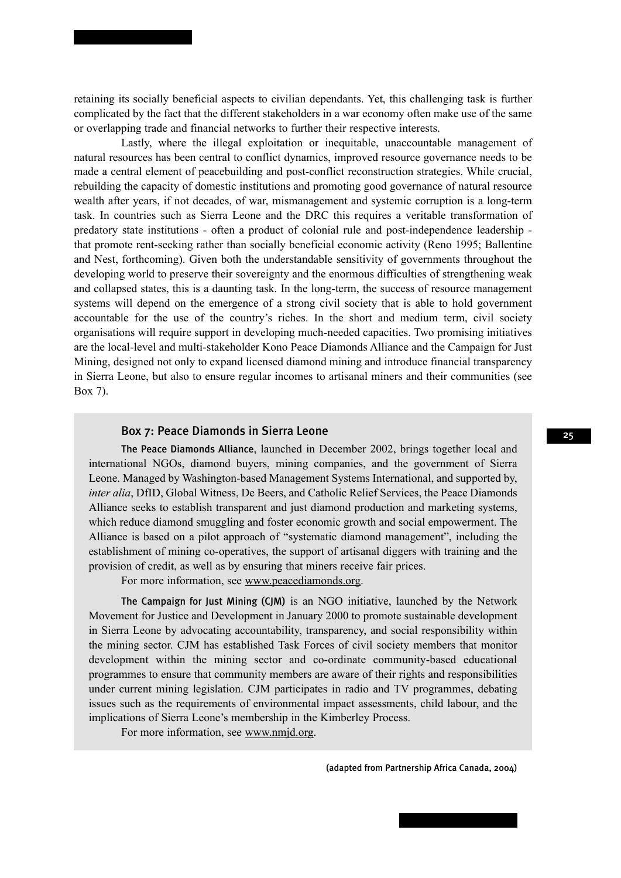retaining its socially beneficial aspects to civilian dependants. Yet, this challenging task is further complicated by the fact that the different stakeholders in a war economy often make use of the same or overlapping trade and financial networks to further their respective interests.

Lastly, where the illegal exploitation or inequitable, unaccountable management of natural resources has been central to conflict dynamics, improved resource governance needs to be made a central element of peacebuilding and post-conflict reconstruction strategies. While crucial, rebuilding the capacity of domestic institutions and promoting good governance of natural resource wealth after years, if not decades, of war, mismanagement and systemic corruption is a long-term task. In countries such as Sierra Leone and the DRC this requires a veritable transformation of predatory state institutions - often a product of colonial rule and post-independence leadership that promote rent-seeking rather than socially beneficial economic activity (Reno 1995; Ballentine and Nest, forthcoming). Given both the understandable sensitivity of governments throughout the developing world to preserve their sovereignty and the enormous difficulties of strengthening weak and collapsed states, this is a daunting task. In the long-term, the success of resource management systems will depend on the emergence of a strong civil society that is able to hold government accountable for the use of the country's riches. In the short and medium term, civil society organisations will require support in developing much-needed capacities. Two promising initiatives are the local-level and multi-stakeholder Kono Peace Diamonds Alliance and the Campaign for Just Mining, designed not only to expand licensed diamond mining and introduce financial transparency in Sierra Leone, but also to ensure regular incomes to artisanal miners and their communities (see Box 7).

#### Box 7: Peace Diamonds in Sierra Leone

The Peace Diamonds Alliance, launched in December 2002, brings together local and international NGOs, diamond buyers, mining companies, and the government of Sierra Leone. Managed by Washington-based Management Systems International, and supported by, *inter alia*, DfID, Global Witness, De Beers, and Catholic Relief Services, the Peace Diamonds Alliance seeks to establish transparent and just diamond production and marketing systems, which reduce diamond smuggling and foster economic growth and social empowerment. The Alliance is based on a pilot approach of "systematic diamond management", including the establishment of mining co-operatives, the support of artisanal diggers with training and the provision of credit, as well as by ensuring that miners receive fair prices.

For more information, see www.peacediamonds.org.

The Campaign for Just Mining (CJM) is an NGO initiative, launched by the Network Movement for Justice and Development in January 2000 to promote sustainable development in Sierra Leone by advocating accountability, transparency, and social responsibility within the mining sector. CJM has established Task Forces of civil society members that monitor development within the mining sector and co-ordinate community-based educational programmes to ensure that community members are aware of their rights and responsibilities under current mining legislation. CJM participates in radio and TV programmes, debating issues such as the requirements of environmental impact assessments, child labour, and the implications of Sierra Leone's membership in the Kimberley Process.

For more information, see www.nmjd.org.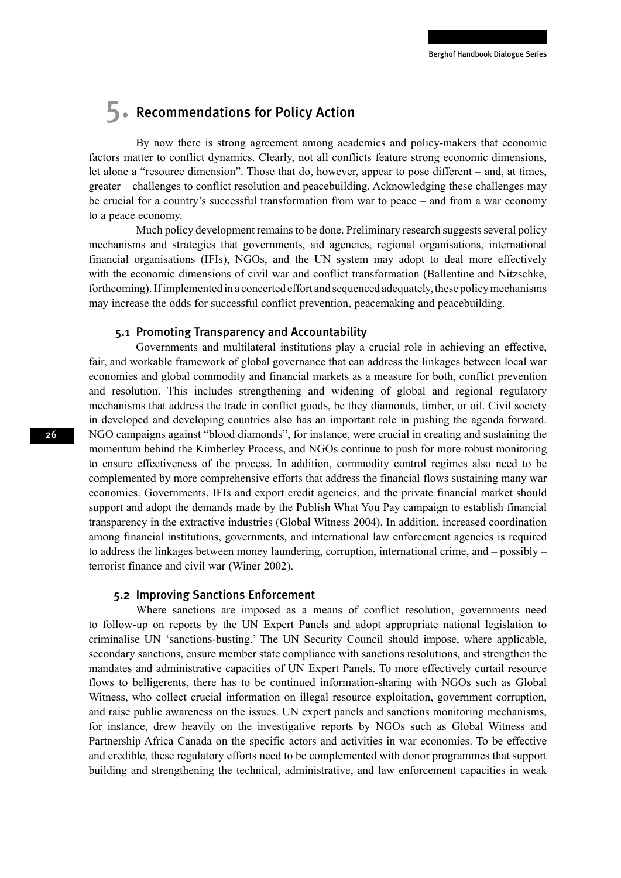### 5. Recommendations for Policy Action

By now there is strong agreement among academics and policy-makers that economic factors matter to conflict dynamics. Clearly, not all conflicts feature strong economic dimensions, let alone a "resource dimension". Those that do, however, appear to pose different – and, at times, greater – challenges to conflict resolution and peacebuilding. Acknowledging these challenges may be crucial for a country's successful transformation from war to peace – and from a war economy to a peace economy.

Much policy development remains to be done. Preliminary research suggests several policy mechanisms and strategies that governments, aid agencies, regional organisations, international financial organisations (IFIs), NGOs, and the UN system may adopt to deal more effectively with the economic dimensions of civil war and conflict transformation (Ballentine and Nitzschke, forthcoming). If implemented in a concerted effort and sequenced adequately, these policy mechanisms may increase the odds for successful conflict prevention, peacemaking and peacebuilding.

#### 5.1 Promoting Transparency and Accountability

Governments and multilateral institutions play a crucial role in achieving an effective, fair, and workable framework of global governance that can address the linkages between local war economies and global commodity and financial markets as a measure for both, conflict prevention and resolution. This includes strengthening and widening of global and regional regulatory mechanisms that address the trade in conflict goods, be they diamonds, timber, or oil. Civil society in developed and developing countries also has an important role in pushing the agenda forward. NGO campaigns against "blood diamonds", for instance, were crucial in creating and sustaining the momentum behind the Kimberley Process, and NGOs continue to push for more robust monitoring to ensure effectiveness of the process. In addition, commodity control regimes also need to be complemented by more comprehensive efforts that address the financial flows sustaining many war economies. Governments, IFIs and export credit agencies, and the private financial market should support and adopt the demands made by the Publish What You Pay campaign to establish financial transparency in the extractive industries (Global Witness 2004). In addition, increased coordination among financial institutions, governments, and international law enforcement agencies is required to address the linkages between money laundering, corruption, international crime, and – possibly – terrorist finance and civil war (Winer 2002).

#### 5.2 Improving Sanctions Enforcement

Where sanctions are imposed as a means of conflict resolution, governments need to follow-up on reports by the UN Expert Panels and adopt appropriate national legislation to criminalise UN 'sanctions-busting.' The UN Security Council should impose, where applicable, secondary sanctions, ensure member state compliance with sanctions resolutions, and strengthen the mandates and administrative capacities of UN Expert Panels. To more effectively curtail resource flows to belligerents, there has to be continued information-sharing with NGOs such as Global Witness, who collect crucial information on illegal resource exploitation, government corruption, and raise public awareness on the issues. UN expert panels and sanctions monitoring mechanisms, for instance, drew heavily on the investigative reports by NGOs such as Global Witness and Partnership Africa Canada on the specific actors and activities in war economies. To be effective and credible, these regulatory efforts need to be complemented with donor programmes that support building and strengthening the technical, administrative, and law enforcement capacities in weak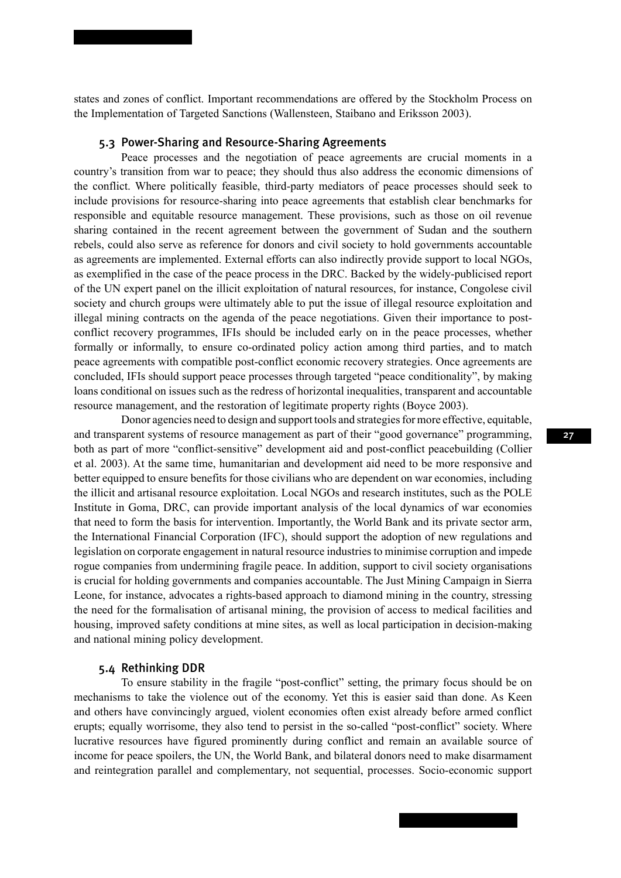states and zones of conflict. Important recommendations are offered by the Stockholm Process on the Implementation of Targeted Sanctions (Wallensteen, Staibano and Eriksson 2003).

#### 5.3 Power-Sharing and Resource-Sharing Agreements

Peace processes and the negotiation of peace agreements are crucial moments in a country's transition from war to peace; they should thus also address the economic dimensions of the conflict. Where politically feasible, third-party mediators of peace processes should seek to include provisions for resource-sharing into peace agreements that establish clear benchmarks for responsible and equitable resource management. These provisions, such as those on oil revenue sharing contained in the recent agreement between the government of Sudan and the southern rebels, could also serve as reference for donors and civil society to hold governments accountable as agreements are implemented. External efforts can also indirectly provide support to local NGOs, as exemplified in the case of the peace process in the DRC. Backed by the widely-publicised report of the UN expert panel on the illicit exploitation of natural resources, for instance, Congolese civil society and church groups were ultimately able to put the issue of illegal resource exploitation and illegal mining contracts on the agenda of the peace negotiations. Given their importance to postconflict recovery programmes, IFIs should be included early on in the peace processes, whether formally or informally, to ensure co-ordinated policy action among third parties, and to match peace agreements with compatible post-conflict economic recovery strategies. Once agreements are concluded, IFIs should support peace processes through targeted "peace conditionality", by making loans conditional on issues such as the redress of horizontal inequalities, transparent and accountable resource management, and the restoration of legitimate property rights (Boyce 2003).

Donor agencies need to design and support tools and strategies for more effective, equitable, and transparent systems of resource management as part of their "good governance" programming, both as part of more "conflict-sensitive" development aid and post-conflict peacebuilding (Collier et al. 2003). At the same time, humanitarian and development aid need to be more responsive and better equipped to ensure benefits for those civilians who are dependent on war economies, including the illicit and artisanal resource exploitation. Local NGOs and research institutes, such as the POLE Institute in Goma, DRC, can provide important analysis of the local dynamics of war economies that need to form the basis for intervention. Importantly, the World Bank and its private sector arm, the International Financial Corporation (IFC), should support the adoption of new regulations and legislation on corporate engagement in natural resource industries to minimise corruption and impede rogue companies from undermining fragile peace. In addition, support to civil society organisations is crucial for holding governments and companies accountable. The Just Mining Campaign in Sierra Leone, for instance, advocates a rights-based approach to diamond mining in the country, stressing the need for the formalisation of artisanal mining, the provision of access to medical facilities and housing, improved safety conditions at mine sites, as well as local participation in decision-making and national mining policy development.

#### 5.4 Rethinking DDR

To ensure stability in the fragile "post-conflict" setting, the primary focus should be on mechanisms to take the violence out of the economy. Yet this is easier said than done. As Keen and others have convincingly argued, violent economies often exist already before armed conflict erupts; equally worrisome, they also tend to persist in the so-called "post-conflict" society. Where lucrative resources have figured prominently during conflict and remain an available source of income for peace spoilers, the UN, the World Bank, and bilateral donors need to make disarmament and reintegration parallel and complementary, not sequential, processes. Socio-economic support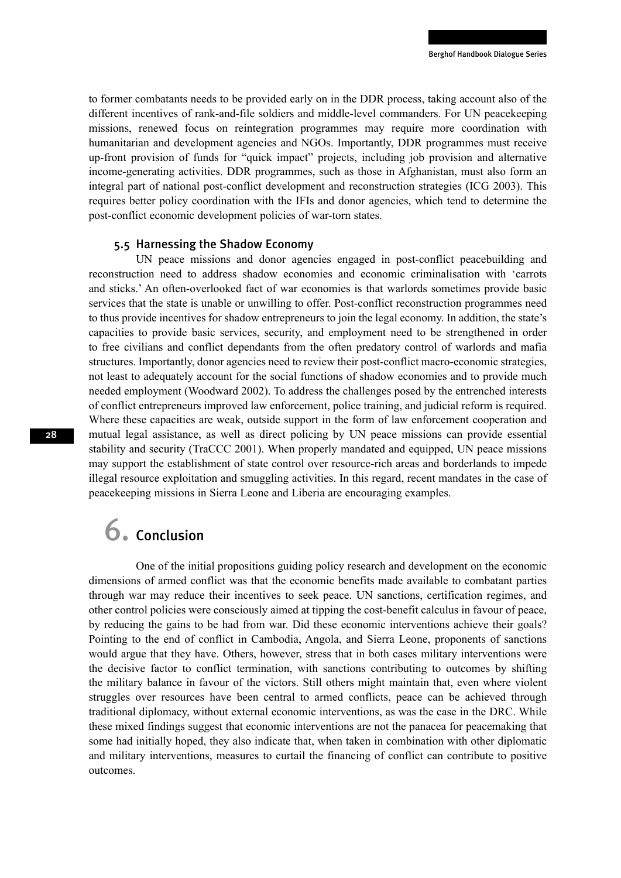to former combatants needs to be provided early on in the DDR process, taking account also of the different incentives of rank-and-file soldiers and middle-level commanders. For UN peacekeeping missions, renewed focus on reintegration programmes may require more coordination with humanitarian and development agencies and NGOs. Importantly, DDR programmes must receive up-front provision of funds for "quick impact" projects, including job provision and alternative income-generating activities. DDR programmes, such as those in Afghanistan, must also form an integral part of national post-conflict development and reconstruction strategies (ICG 2003). This requires better policy coordination with the IFIs and donor agencies, which tend to determine the post-conflict economic development policies of war-torn states.

#### 5.5 Harnessing the Shadow Economy

UN peace missions and donor agencies engaged in post-conflict peacebuilding and reconstruction need to address shadow economies and economic criminalisation with 'carrots and sticks.' An often-overlooked fact of war economies is that warlords sometimes provide basic services that the state is unable or unwilling to offer. Post-conflict reconstruction programmes need to thus provide incentives for shadow entrepreneurs to join the legal economy. In addition, the state's capacities to provide basic services, security, and employment need to be strengthened in order to free civilians and conflict dependants from the often predatory control of warlords and mafia structures. Importantly, donor agencies need to review their post-conflict macro-economic strategies, not least to adequately account for the social functions of shadow economies and to provide much needed employment (Woodward 2002). To address the challenges posed by the entrenched interests of conflict entrepreneurs improved law enforcement, police training, and judicial reform is required. Where these capacities are weak, outside support in the form of law enforcement cooperation and mutual legal assistance, as well as direct policing by UN peace missions can provide essential stability and security (TraCCC 2001). When properly mandated and equipped, UN peace missions may support the establishment of state control over resource-rich areas and borderlands to impede illegal resource exploitation and smuggling activities. In this regard, recent mandates in the case of peacekeeping missions in Sierra Leone and Liberia are encouraging examples.

# 6. Conclusion

One of the initial propositions guiding policy research and development on the economic dimensions of armed conflict was that the economic benefits made available to combatant parties through war may reduce their incentives to seek peace. UN sanctions, certification regimes, and other control policies were consciously aimed at tipping the cost-benefit calculus in favour of peace, by reducing the gains to be had from war. Did these economic interventions achieve their goals? Pointing to the end of conflict in Cambodia, Angola, and Sierra Leone, proponents of sanctions would argue that they have. Others, however, stress that in both cases military interventions were the decisive factor to conflict termination, with sanctions contributing to outcomes by shifting the military balance in favour of the victors. Still others might maintain that, even where violent struggles over resources have been central to armed conflicts, peace can be achieved through traditional diplomacy, without external economic interventions, as was the case in the DRC. While these mixed findings suggest that economic interventions are not the panacea for peacemaking that some had initially hoped, they also indicate that, when taken in combination with other diplomatic and military interventions, measures to curtail the financing of conflict can contribute to positive outcomes.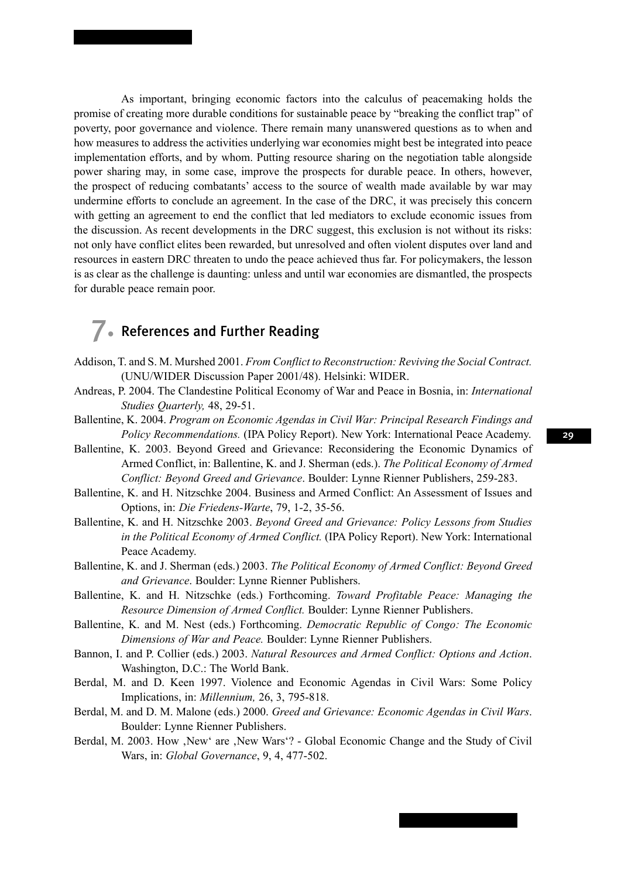As important, bringing economic factors into the calculus of peacemaking holds the promise of creating more durable conditions for sustainable peace by "breaking the conflict trap" of poverty, poor governance and violence. There remain many unanswered questions as to when and how measures to address the activities underlying war economies might best be integrated into peace implementation efforts, and by whom. Putting resource sharing on the negotiation table alongside power sharing may, in some case, improve the prospects for durable peace. In others, however, the prospect of reducing combatants' access to the source of wealth made available by war may undermine efforts to conclude an agreement. In the case of the DRC, it was precisely this concern with getting an agreement to end the conflict that led mediators to exclude economic issues from the discussion. As recent developments in the DRC suggest, this exclusion is not without its risks: not only have conflict elites been rewarded, but unresolved and often violent disputes over land and resources in eastern DRC threaten to undo the peace achieved thus far. For policymakers, the lesson is as clear as the challenge is daunting: unless and until war economies are dismantled, the prospects for durable peace remain poor.

### 7. References and Further Reading

- Addison, T. and S. M. Murshed 2001. *From Conflict to Reconstruction: Reviving the Social Contract.* (UNU/WIDER Discussion Paper 2001/48). Helsinki: WIDER.
- Andreas, P. 2004. The Clandestine Political Economy of War and Peace in Bosnia, in: *International Studies Quarterly,* 48, 29-51.
- Ballentine, K. 2004. *Program on Economic Agendas in Civil War: Principal Research Findings and Policy Recommendations.* (IPA Policy Report). New York: International Peace Academy.
- Ballentine, K. 2003. Beyond Greed and Grievance: Reconsidering the Economic Dynamics of Armed Conflict, in: Ballentine, K. and J. Sherman (eds.). *The Political Economy of Armed Conflict: Beyond Greed and Grievance*. Boulder: Lynne Rienner Publishers, 259-283.
- Ballentine, K. and H. Nitzschke 2004. Business and Armed Conflict: An Assessment of Issues and Options, in: *Die Friedens-Warte*, 79, 1-2, 35-56.
- Ballentine, K. and H. Nitzschke 2003. *Beyond Greed and Grievance: Policy Lessons from Studies in the Political Economy of Armed Conflict.* (IPA Policy Report). New York: International Peace Academy.
- Ballentine, K. and J. Sherman (eds.) 2003. *The Political Economy of Armed Conflict: Beyond Greed and Grievance*. Boulder: Lynne Rienner Publishers.
- Ballentine, K. and H. Nitzschke (eds.) Forthcoming. *Toward Profitable Peace: Managing the Resource Dimension of Armed Conflict.* Boulder: Lynne Rienner Publishers.
- Ballentine, K. and M. Nest (eds.) Forthcoming. *Democratic Republic of Congo: The Economic Dimensions of War and Peace.* Boulder: Lynne Rienner Publishers.
- Bannon, I. and P. Collier (eds.) 2003. *Natural Resources and Armed Conflict: Options and Action*. Washington, D.C.: The World Bank.
- Berdal, M. and D. Keen 1997. Violence and Economic Agendas in Civil Wars: Some Policy Implications, in: *Millennium,* 26, 3, 795-818.
- Berdal, M. and D. M. Malone (eds.) 2000. *Greed and Grievance: Economic Agendas in Civil Wars*. Boulder: Lynne Rienner Publishers.
- Berdal, M. 2003. How , New' are , New Wars'? Global Economic Change and the Study of Civil Wars, in: *Global Governance*, 9, 4, 477-502.

29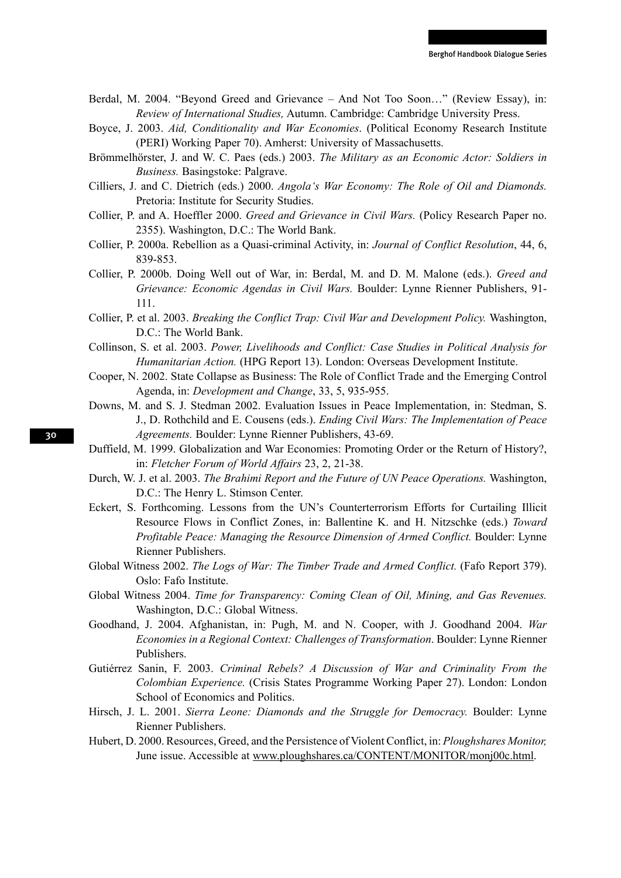- Berdal, M. 2004. "Beyond Greed and Grievance And Not Too Soon…" (Review Essay), in: *Review of International Studies,* Autumn. Cambridge: Cambridge University Press.
- Boyce, J. 2003. *Aid, Conditionality and War Economies*. (Political Economy Research Institute (PERI) Working Paper 70). Amherst: University of Massachusetts.
- Brömmelhörster, J. and W. C. Paes (eds.) 2003. *The Military as an Economic Actor: Soldiers in Business.* Basingstoke: Palgrave.
- Cilliers, J. and C. Dietrich (eds.) 2000. *Angola's War Economy: The Role of Oil and Diamonds.*  Pretoria: Institute for Security Studies.
- Collier, P. and A. Hoeffler 2000. *Greed and Grievance in Civil Wars.* (Policy Research Paper no. 2355). Washington, D.C.: The World Bank.
- Collier, P. 2000a. Rebellion as a Quasi-criminal Activity, in: *Journal of Conflict Resolution*, 44, 6, 839-853.
- Collier, P. 2000b. Doing Well out of War, in: Berdal, M. and D. M. Malone (eds.). *Greed and Grievance: Economic Agendas in Civil Wars.* Boulder: Lynne Rienner Publishers, 91- 111.
- Collier, P. et al. 2003. *Breaking the Conflict Trap: Civil War and Development Policy.* Washington, D.C.: The World Bank.
- Collinson, S. et al. 2003. *Power, Livelihoods and Conflict: Case Studies in Political Analysis for Humanitarian Action.* (HPG Report 13). London: Overseas Development Institute.
- Cooper, N. 2002. State Collapse as Business: The Role of Conflict Trade and the Emerging Control Agenda, in: *Development and Change*, 33, 5, 935-955.
- Downs, M. and S. J. Stedman 2002. Evaluation Issues in Peace Implementation, in: Stedman, S. J., D. Rothchild and E. Cousens (eds.). *Ending Civil Wars: The Implementation of Peace Agreements.* Boulder: Lynne Rienner Publishers, 43-69.
- Duffield, M. 1999. Globalization and War Economies: Promoting Order or the Return of History?, in: *Fletcher Forum of World Affairs* 23, 2, 21-38.
- Durch, W. J. et al. 2003. *The Brahimi Report and the Future of UN Peace Operations.* Washington, D.C.: The Henry L. Stimson Center.
- Eckert, S. Forthcoming. Lessons from the UN's Counterterrorism Efforts for Curtailing Illicit Resource Flows in Conflict Zones, in: Ballentine K. and H. Nitzschke (eds.) *Toward Profitable Peace: Managing the Resource Dimension of Armed Conflict.* Boulder: Lynne Rienner Publishers.
- Global Witness 2002. *The Logs of War: The Timber Trade and Armed Conflict.* (Fafo Report 379). Oslo: Fafo Institute.
- Global Witness 2004. *Time for Transparency: Coming Clean of Oil, Mining, and Gas Revenues.* Washington, D.C.: Global Witness.
- Goodhand, J. 2004. Afghanistan, in: Pugh, M. and N. Cooper, with J. Goodhand 2004. *War Economies in a Regional Context: Challenges of Transformation*. Boulder: Lynne Rienner Publishers.
- Gutiérrez Sanin, F. 2003. *Criminal Rebels? A Discussion of War and Criminality From the Colombian Experience.* (Crisis States Programme Working Paper 27). London: London School of Economics and Politics.
- Hirsch, J. L. 2001. *Sierra Leone: Diamonds and the Struggle for Democracy.* Boulder: Lynne Rienner Publishers.
- Hubert, D. 2000. Resources, Greed, and the Persistence of Violent Conflict, in: *Ploughshares Monitor,* June issue. Accessible at www.ploughshares.ca/CONTENT/MONITOR/monj00c.html.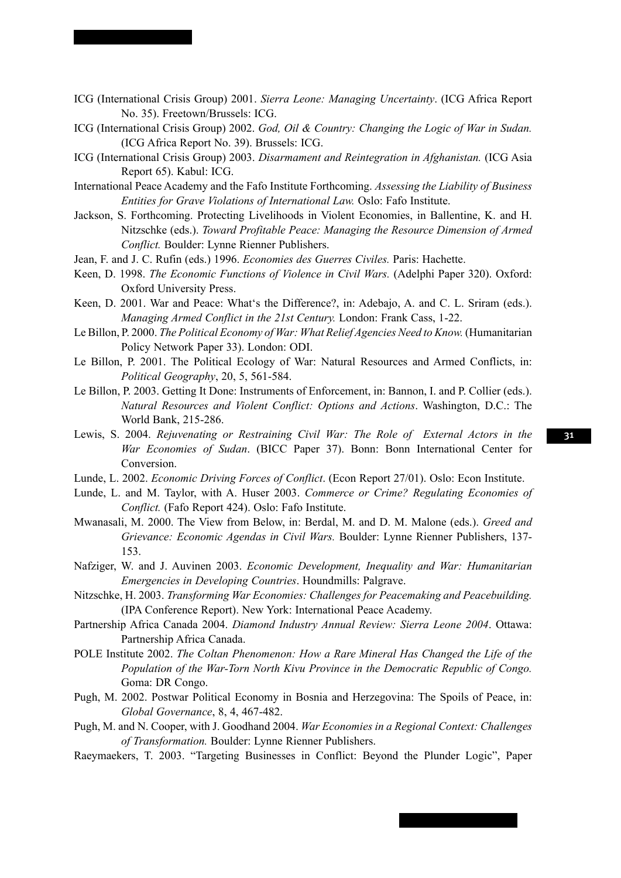- ICG (International Crisis Group) 2001. *Sierra Leone: Managing Uncertainty*. (ICG Africa Report No. 35). Freetown/Brussels: ICG.
- ICG (International Crisis Group) 2002. *God, Oil & Country: Changing the Logic of War in Sudan.* (ICG Africa Report No. 39). Brussels: ICG.
- ICG (International Crisis Group) 2003. *Disarmament and Reintegration in Afghanistan.* (ICG Asia Report 65). Kabul: ICG.
- International Peace Academy and the Fafo Institute Forthcoming. *Assessing the Liability of Business Entities for Grave Violations of International Law.* Oslo: Fafo Institute.
- Jackson, S. Forthcoming. Protecting Livelihoods in Violent Economies, in Ballentine, K. and H. Nitzschke (eds.). *Toward Profitable Peace: Managing the Resource Dimension of Armed Conflict.* Boulder: Lynne Rienner Publishers.
- Jean, F. and J. C. Rufin (eds.) 1996. *Economies des Guerres Civiles.* Paris: Hachette.
- Keen, D. 1998. *The Economic Functions of Violence in Civil Wars.* (Adelphi Paper 320). Oxford: Oxford University Press.
- Keen, D. 2001. War and Peace: What's the Difference?, in: Adebajo, A. and C. L. Sriram (eds.). *Managing Armed Conflict in the 21st Century.* London: Frank Cass, 1-22.
- Le Billon, P. 2000. *The Political Economy of War: What Relief Agencies Need to Know.* (Humanitarian Policy Network Paper 33). London: ODI.
- Le Billon, P. 2001. The Political Ecology of War: Natural Resources and Armed Conflicts, in: *Political Geography*, 20, 5, 561-584.
- Le Billon, P. 2003. Getting It Done: Instruments of Enforcement, in: Bannon, I. and P. Collier (eds.). *Natural Resources and Violent Conflict: Options and Actions*. Washington, D.C.: The World Bank, 215-286.
- Lewis, S. 2004. *Rejuvenating or Restraining Civil War: The Role of External Actors in the War Economies of Sudan*. (BICC Paper 37). Bonn: Bonn International Center for Conversion.
- Lunde, L. 2002. *Economic Driving Forces of Conflict*. (Econ Report 27/01). Oslo: Econ Institute.
- Lunde, L. and M. Taylor, with A. Huser 2003. *Commerce or Crime? Regulating Economies of Conflict.* (Fafo Report 424). Oslo: Fafo Institute.
- Mwanasali, M. 2000. The View from Below, in: Berdal, M. and D. M. Malone (eds.). *Greed and Grievance: Economic Agendas in Civil Wars.* Boulder: Lynne Rienner Publishers, 137- 153.
- Nafziger, W. and J. Auvinen 2003. *Economic Development, Inequality and War: Humanitarian Emergencies in Developing Countries*. Houndmills: Palgrave.
- Nitzschke, H. 2003. *Transforming War Economies: Challenges for Peacemaking and Peacebuilding.* (IPA Conference Report). New York: International Peace Academy.
- Partnership Africa Canada 2004. *Diamond Industry Annual Review: Sierra Leone 2004*. Ottawa: Partnership Africa Canada.
- POLE Institute 2002. *The Coltan Phenomenon: How a Rare Mineral Has Changed the Life of the Population of the War-Torn North Kivu Province in the Democratic Republic of Congo.* Goma: DR Congo.
- Pugh, M. 2002. Postwar Political Economy in Bosnia and Herzegovina: The Spoils of Peace, in: *Global Governance*, 8, 4, 467-482.
- Pugh, M. and N. Cooper, with J. Goodhand 2004. *War Economies in a Regional Context: Challenges of Transformation.* Boulder: Lynne Rienner Publishers.
- Raeymaekers, T. 2003. "Targeting Businesses in Conflict: Beyond the Plunder Logic", Paper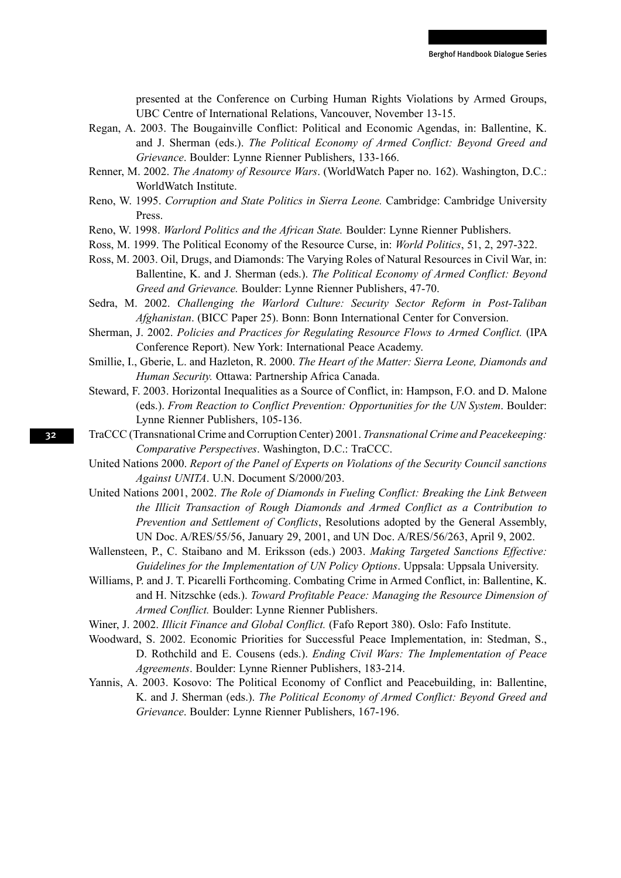presented at the Conference on Curbing Human Rights Violations by Armed Groups, UBC Centre of International Relations, Vancouver, November 13-15.

- Regan, A. 2003. The Bougainville Conflict: Political and Economic Agendas, in: Ballentine, K. and J. Sherman (eds.). *The Political Economy of Armed Conflict: Beyond Greed and Grievance*. Boulder: Lynne Rienner Publishers, 133-166.
- Renner, M. 2002. *The Anatomy of Resource Wars*. (WorldWatch Paper no. 162). Washington, D.C.: WorldWatch Institute.
- Reno, W. 1995. *Corruption and State Politics in Sierra Leone.* Cambridge: Cambridge University Press.
- Reno, W. 1998. *Warlord Politics and the African State.* Boulder: Lynne Rienner Publishers.
- Ross, M. 1999. The Political Economy of the Resource Curse, in: *World Politics*, 51, 2, 297-322.
- Ross, M. 2003. Oil, Drugs, and Diamonds: The Varying Roles of Natural Resources in Civil War, in: Ballentine, K. and J. Sherman (eds.). *The Political Economy of Armed Conflict: Beyond Greed and Grievance.* Boulder: Lynne Rienner Publishers, 47-70.
- Sedra, M. 2002. *Challenging the Warlord Culture: Security Sector Reform in Post-Taliban Afghanistan*. (BICC Paper 25). Bonn: Bonn International Center for Conversion.
- Sherman, J. 2002. *Policies and Practices for Regulating Resource Flows to Armed Conflict.* (IPA Conference Report). New York: International Peace Academy.
- Smillie, I., Gberie, L. and Hazleton, R. 2000. *The Heart of the Matter: Sierra Leone, Diamonds and Human Security.* Ottawa: Partnership Africa Canada.
- Steward, F. 2003. Horizontal Inequalities as a Source of Conflict, in: Hampson, F.O. and D. Malone (eds.). *From Reaction to Conflict Prevention: Opportunities for the UN System*. Boulder: Lynne Rienner Publishers, 105-136.
- TraCCC (Transnational Crime and Corruption Center) 2001. *Transnational Crime and Peacekeeping: Comparative Perspectives*. Washington, D.C.: TraCCC.
- United Nations 2000. *Report of the Panel of Experts on Violations of the Security Council sanctions Against UNITA*. U.N. Document S/2000/203.
- United Nations 2001, 2002. *The Role of Diamonds in Fueling Conflict: Breaking the Link Between the Illicit Transaction of Rough Diamonds and Armed Conflict as a Contribution to Prevention and Settlement of Conflicts*, Resolutions adopted by the General Assembly, UN Doc. A/RES/55/56, January 29, 2001, and UN Doc. A/RES/56/263, April 9, 2002.
- Wallensteen, P., C. Staibano and M. Eriksson (eds.) 2003. *Making Targeted Sanctions Effective: Guidelines for the Implementation of UN Policy Options*. Uppsala: Uppsala University.
- Williams, P. and J. T. Picarelli Forthcoming. Combating Crime in Armed Conflict, in: Ballentine, K. and H. Nitzschke (eds.). *Toward Profitable Peace: Managing the Resource Dimension of Armed Conflict.* Boulder: Lynne Rienner Publishers.
- Winer, J. 2002. *Illicit Finance and Global Conflict.* (Fafo Report 380). Oslo: Fafo Institute.
- Woodward, S. 2002. Economic Priorities for Successful Peace Implementation, in: Stedman, S., D. Rothchild and E. Cousens (eds.). *Ending Civil Wars: The Implementation of Peace Agreements*. Boulder: Lynne Rienner Publishers, 183-214.
- Yannis, A. 2003. Kosovo: The Political Economy of Conflict and Peacebuilding, in: Ballentine, K. and J. Sherman (eds.). *The Political Economy of Armed Conflict: Beyond Greed and Grievance*. Boulder: Lynne Rienner Publishers, 167-196.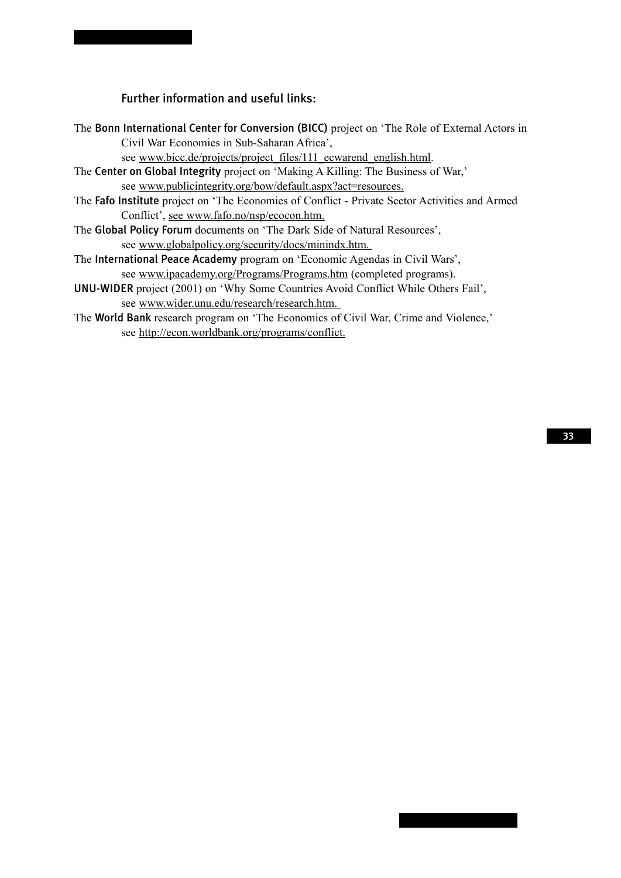### Further information and useful links:

| The Bonn International Center for Conversion (BICC) project on 'The Role of External Actors in |
|------------------------------------------------------------------------------------------------|
| Civil War Economies in Sub-Saharan Africa',                                                    |
| see www.bicc.de/projects/project files/111 ecwarend english.html.                              |
| The Center on Global Integrity project on 'Making A Killing: The Business of War,'             |
| see www.publicintegrity.org/bow/default.aspx?act=resources.                                    |
| The Fafo Institute project on 'The Economies of Conflict - Private Sector Activities and Armed |
| Conflict', see www.fafo.no/nsp/ecocon.htm.                                                     |
| The Global Policy Forum documents on 'The Dark Side of Natural Resources',                     |
| see www.globalpolicy.org/security/docs/minindx.htm.                                            |
| The International Peace Academy program on 'Economic Agendas in Civil Wars',                   |
| see www.ipacademy.org/Programs/Programs.htm (completed programs).                              |
| UNU-WIDER project (2001) on 'Why Some Countries Avoid Conflict While Others Fail',             |
| see www.wider.unu.edu/research/research.htm.                                                   |
| The World Bank research program on 'The Economics of Civil War, Crime and Violence,'           |
| see http://econ.worldbank.org/programs/conflict.                                               |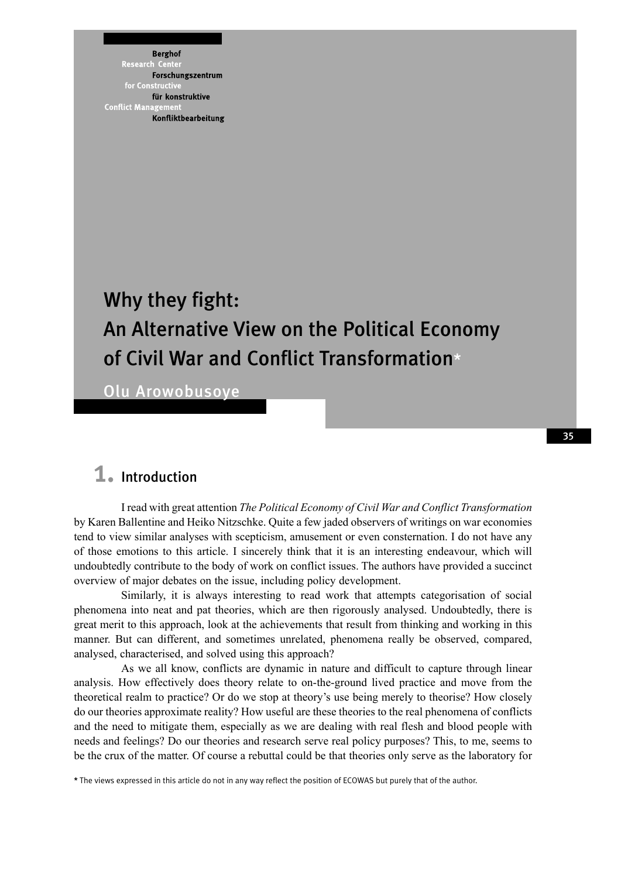**Berghof** Research Forschungszentrum for Constructi für konstruktive **Conflict Managemen** Konfliktbearbeitung

# Why they fight: An Alternative View on the Political Economy of Civil War and Conflict Transformation\*

Olu Arowobusoye

### 1. Introduction

I read with great attention *The Political Economy of Civil War and Conflict Transformation* by Karen Ballentine and Heiko Nitzschke. Quite a few jaded observers of writings on war economies tend to view similar analyses with scepticism, amusement or even consternation. I do not have any of those emotions to this article. I sincerely think that it is an interesting endeavour, which will undoubtedly contribute to the body of work on conflict issues. The authors have provided a succinct overview of major debates on the issue, including policy development.

Similarly, it is always interesting to read work that attempts categorisation of social phenomena into neat and pat theories, which are then rigorously analysed. Undoubtedly, there is great merit to this approach, look at the achievements that result from thinking and working in this manner. But can different, and sometimes unrelated, phenomena really be observed, compared, analysed, characterised, and solved using this approach?

As we all know, conflicts are dynamic in nature and difficult to capture through linear analysis. How effectively does theory relate to on-the-ground lived practice and move from the theoretical realm to practice? Or do we stop at theory's use being merely to theorise? How closely do our theories approximate reality? How useful are these theories to the real phenomena of conflicts and the need to mitigate them, especially as we are dealing with real flesh and blood people with needs and feelings? Do our theories and research serve real policy purposes? This, to me, seems to be the crux of the matter. Of course a rebuttal could be that theories only serve as the laboratory for

\* The views expressed in this article do not in any way reflect the position of ECOWAS but purely that of the author.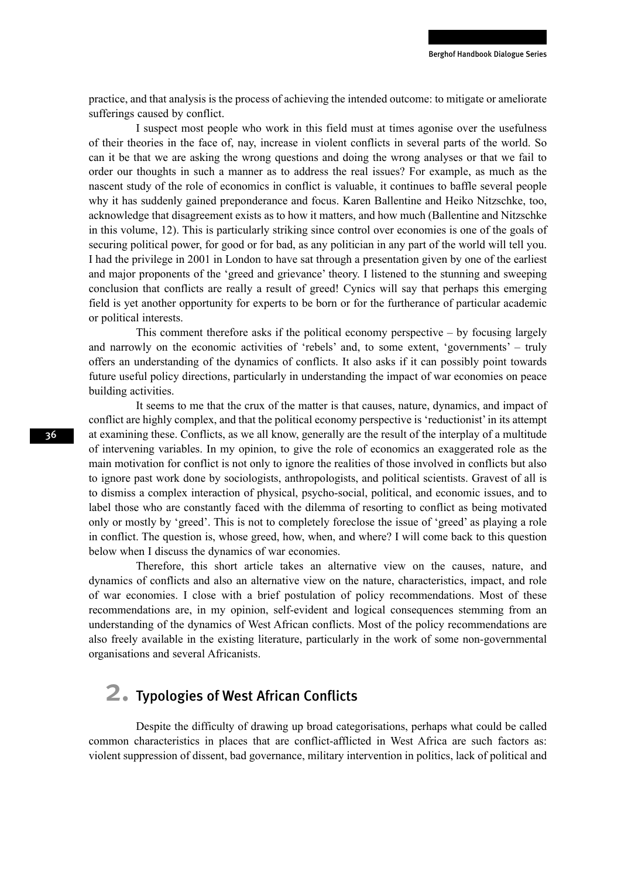practice, and that analysis is the process of achieving the intended outcome: to mitigate or ameliorate sufferings caused by conflict.

I suspect most people who work in this field must at times agonise over the usefulness of their theories in the face of, nay, increase in violent conflicts in several parts of the world. So can it be that we are asking the wrong questions and doing the wrong analyses or that we fail to order our thoughts in such a manner as to address the real issues? For example, as much as the nascent study of the role of economics in conflict is valuable, it continues to baffle several people why it has suddenly gained preponderance and focus. Karen Ballentine and Heiko Nitzschke, too, acknowledge that disagreement exists as to how it matters, and how much (Ballentine and Nitzschke in this volume, 12). This is particularly striking since control over economies is one of the goals of securing political power, for good or for bad, as any politician in any part of the world will tell you. I had the privilege in 2001 in London to have sat through a presentation given by one of the earliest and major proponents of the 'greed and grievance' theory. I listened to the stunning and sweeping conclusion that conflicts are really a result of greed! Cynics will say that perhaps this emerging field is yet another opportunity for experts to be born or for the furtherance of particular academic or political interests.

This comment therefore asks if the political economy perspective – by focusing largely and narrowly on the economic activities of 'rebels' and, to some extent, 'governments' – truly offers an understanding of the dynamics of conflicts. It also asks if it can possibly point towards future useful policy directions, particularly in understanding the impact of war economies on peace building activities.

It seems to me that the crux of the matter is that causes, nature, dynamics, and impact of conflict are highly complex, and that the political economy perspective is 'reductionist' in its attempt at examining these. Conflicts, as we all know, generally are the result of the interplay of a multitude of intervening variables. In my opinion, to give the role of economics an exaggerated role as the main motivation for conflict is not only to ignore the realities of those involved in conflicts but also to ignore past work done by sociologists, anthropologists, and political scientists. Gravest of all is to dismiss a complex interaction of physical, psycho-social, political, and economic issues, and to label those who are constantly faced with the dilemma of resorting to conflict as being motivated only or mostly by 'greed'. This is not to completely foreclose the issue of 'greed' as playing a role in conflict. The question is, whose greed, how, when, and where? I will come back to this question below when I discuss the dynamics of war economies.

Therefore, this short article takes an alternative view on the causes, nature, and dynamics of conflicts and also an alternative view on the nature, characteristics, impact, and role of war economies. I close with a brief postulation of policy recommendations. Most of these recommendations are, in my opinion, self-evident and logical consequences stemming from an understanding of the dynamics of West African conflicts. Most of the policy recommendations are also freely available in the existing literature, particularly in the work of some non-governmental organisations and several Africanists.

### 2. Typologies of West African Conflicts

Despite the difficulty of drawing up broad categorisations, perhaps what could be called common characteristics in places that are conflict-afflicted in West Africa are such factors as: violent suppression of dissent, bad governance, military intervention in politics, lack of political and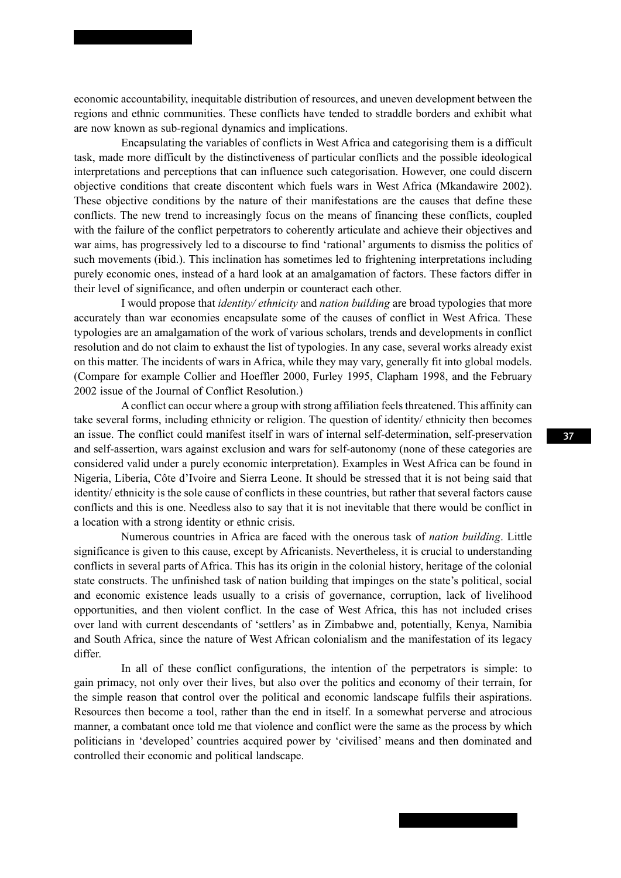economic accountability, inequitable distribution of resources, and uneven development between the regions and ethnic communities. These conflicts have tended to straddle borders and exhibit what are now known as sub-regional dynamics and implications.

Encapsulating the variables of conflicts in West Africa and categorising them is a difficult task, made more difficult by the distinctiveness of particular conflicts and the possible ideological interpretations and perceptions that can influence such categorisation. However, one could discern objective conditions that create discontent which fuels wars in West Africa (Mkandawire 2002). These objective conditions by the nature of their manifestations are the causes that define these conflicts. The new trend to increasingly focus on the means of financing these conflicts, coupled with the failure of the conflict perpetrators to coherently articulate and achieve their objectives and war aims, has progressively led to a discourse to find 'rational' arguments to dismiss the politics of such movements (ibid.). This inclination has sometimes led to frightening interpretations including purely economic ones, instead of a hard look at an amalgamation of factors. These factors differ in their level of significance, and often underpin or counteract each other.

I would propose that *identity/ ethnicity* and *nation building* are broad typologies that more accurately than war economies encapsulate some of the causes of conflict in West Africa. These typologies are an amalgamation of the work of various scholars, trends and developments in conflict resolution and do not claim to exhaust the list of typologies. In any case, several works already exist on this matter. The incidents of wars in Africa, while they may vary, generally fit into global models. (Compare for example Collier and Hoeffler 2000, Furley 1995, Clapham 1998, and the February 2002 issue of the Journal of Conflict Resolution.)

A conflict can occur where a group with strong affiliation feels threatened. This affinity can take several forms, including ethnicity or religion. The question of identity/ ethnicity then becomes an issue. The conflict could manifest itself in wars of internal self-determination, self-preservation and self-assertion, wars against exclusion and wars for self-autonomy (none of these categories are considered valid under a purely economic interpretation). Examples in West Africa can be found in Nigeria, Liberia, Côte d'Ivoire and Sierra Leone. It should be stressed that it is not being said that identity/ ethnicity is the sole cause of conflicts in these countries, but rather that several factors cause conflicts and this is one. Needless also to say that it is not inevitable that there would be conflict in a location with a strong identity or ethnic crisis.

Numerous countries in Africa are faced with the onerous task of *nation building*. Little significance is given to this cause, except by Africanists. Nevertheless, it is crucial to understanding conflicts in several parts of Africa. This has its origin in the colonial history, heritage of the colonial state constructs. The unfinished task of nation building that impinges on the state's political, social and economic existence leads usually to a crisis of governance, corruption, lack of livelihood opportunities, and then violent conflict. In the case of West Africa, this has not included crises over land with current descendants of 'settlers' as in Zimbabwe and, potentially, Kenya, Namibia and South Africa, since the nature of West African colonialism and the manifestation of its legacy differ.

In all of these conflict configurations, the intention of the perpetrators is simple: to gain primacy, not only over their lives, but also over the politics and economy of their terrain, for the simple reason that control over the political and economic landscape fulfils their aspirations. Resources then become a tool, rather than the end in itself. In a somewhat perverse and atrocious manner, a combatant once told me that violence and conflict were the same as the process by which politicians in 'developed' countries acquired power by 'civilised' means and then dominated and controlled their economic and political landscape.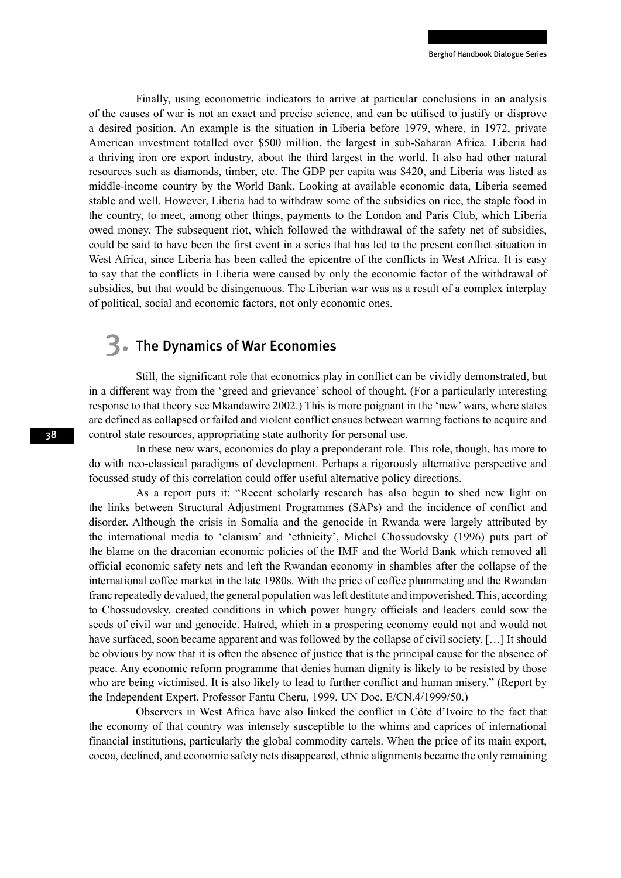Finally, using econometric indicators to arrive at particular conclusions in an analysis of the causes of war is not an exact and precise science, and can be utilised to justify or disprove a desired position. An example is the situation in Liberia before 1979, where, in 1972, private American investment totalled over \$500 million, the largest in sub-Saharan Africa. Liberia had a thriving iron ore export industry, about the third largest in the world. It also had other natural resources such as diamonds, timber, etc. The GDP per capita was \$420, and Liberia was listed as middle-income country by the World Bank. Looking at available economic data, Liberia seemed stable and well. However, Liberia had to withdraw some of the subsidies on rice, the staple food in the country, to meet, among other things, payments to the London and Paris Club, which Liberia owed money. The subsequent riot, which followed the withdrawal of the safety net of subsidies, could be said to have been the first event in a series that has led to the present conflict situation in West Africa, since Liberia has been called the epicentre of the conflicts in West Africa. It is easy to say that the conflicts in Liberia were caused by only the economic factor of the withdrawal of subsidies, but that would be disingenuous. The Liberian war was as a result of a complex interplay of political, social and economic factors, not only economic ones.

#### 3. The Dynamics of War Economies

Still, the significant role that economics play in conflict can be vividly demonstrated, but in a different way from the 'greed and grievance' school of thought. (For a particularly interesting response to that theory see Mkandawire 2002.) This is more poignant in the 'new' wars, where states are defined as collapsed or failed and violent conflict ensues between warring factions to acquire and control state resources, appropriating state authority for personal use.

In these new wars, economics do play a preponderant role. This role, though, has more to do with neo-classical paradigms of development. Perhaps a rigorously alternative perspective and focussed study of this correlation could offer useful alternative policy directions.

As a report puts it: "Recent scholarly research has also begun to shed new light on the links between Structural Adjustment Programmes (SAPs) and the incidence of conflict and disorder. Although the crisis in Somalia and the genocide in Rwanda were largely attributed by the international media to 'clanism' and 'ethnicity', Michel Chossudovsky (1996) puts part of the blame on the draconian economic policies of the IMF and the World Bank which removed all official economic safety nets and left the Rwandan economy in shambles after the collapse of the international coffee market in the late 1980s. With the price of coffee plummeting and the Rwandan franc repeatedly devalued, the general population was left destitute and impoverished. This, according to Chossudovsky, created conditions in which power hungry officials and leaders could sow the seeds of civil war and genocide. Hatred, which in a prospering economy could not and would not have surfaced, soon became apparent and was followed by the collapse of civil society. [...] It should be obvious by now that it is often the absence of justice that is the principal cause for the absence of peace. Any economic reform programme that denies human dignity is likely to be resisted by those who are being victimised. It is also likely to lead to further conflict and human misery." (Report by the Independent Expert, Professor Fantu Cheru, 1999, UN Doc. E/CN.4/1999/50.)

Observers in West Africa have also linked the conflict in Côte d'Ivoire to the fact that the economy of that country was intensely susceptible to the whims and caprices of international financial institutions, particularly the global commodity cartels. When the price of its main export, cocoa, declined, and economic safety nets disappeared, ethnic alignments became the only remaining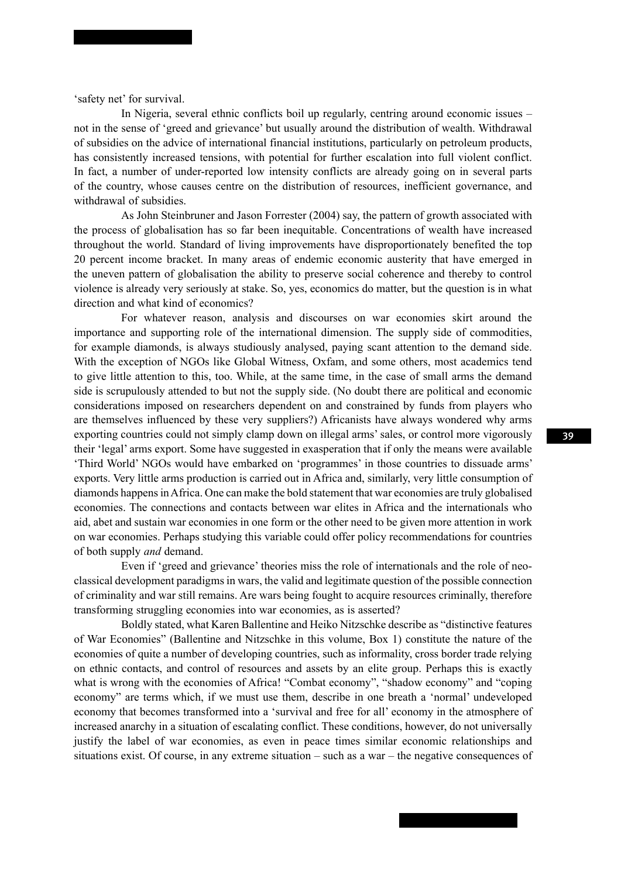'safety net' for survival.

In Nigeria, several ethnic conflicts boil up regularly, centring around economic issues – not in the sense of 'greed and grievance' but usually around the distribution of wealth. Withdrawal of subsidies on the advice of international financial institutions, particularly on petroleum products, has consistently increased tensions, with potential for further escalation into full violent conflict. In fact, a number of under-reported low intensity conflicts are already going on in several parts of the country, whose causes centre on the distribution of resources, inefficient governance, and withdrawal of subsidies.

As John Steinbruner and Jason Forrester (2004) say, the pattern of growth associated with the process of globalisation has so far been inequitable. Concentrations of wealth have increased throughout the world. Standard of living improvements have disproportionately benefited the top 20 percent income bracket. In many areas of endemic economic austerity that have emerged in the uneven pattern of globalisation the ability to preserve social coherence and thereby to control violence is already very seriously at stake. So, yes, economics do matter, but the question is in what direction and what kind of economics?

For whatever reason, analysis and discourses on war economies skirt around the importance and supporting role of the international dimension. The supply side of commodities, for example diamonds, is always studiously analysed, paying scant attention to the demand side. With the exception of NGOs like Global Witness, Oxfam, and some others, most academics tend to give little attention to this, too. While, at the same time, in the case of small arms the demand side is scrupulously attended to but not the supply side. (No doubt there are political and economic considerations imposed on researchers dependent on and constrained by funds from players who are themselves influenced by these very suppliers?) Africanists have always wondered why arms exporting countries could not simply clamp down on illegal arms' sales, or control more vigorously their 'legal' arms export. Some have suggested in exasperation that if only the means were available 'Third World' NGOs would have embarked on 'programmes' in those countries to dissuade arms' exports. Very little arms production is carried out in Africa and, similarly, very little consumption of diamonds happens in Africa. One can make the bold statement that war economies are truly globalised economies. The connections and contacts between war elites in Africa and the internationals who aid, abet and sustain war economies in one form or the other need to be given more attention in work on war economies. Perhaps studying this variable could offer policy recommendations for countries of both supply *and* demand.

Even if 'greed and grievance' theories miss the role of internationals and the role of neoclassical development paradigms in wars, the valid and legitimate question of the possible connection of criminality and war still remains. Are wars being fought to acquire resources criminally, therefore transforming struggling economies into war economies, as is asserted?

Boldly stated, what Karen Ballentine and Heiko Nitzschke describe as "distinctive features of War Economies" (Ballentine and Nitzschke in this volume, Box 1) constitute the nature of the economies of quite a number of developing countries, such as informality, cross border trade relying on ethnic contacts, and control of resources and assets by an elite group. Perhaps this is exactly what is wrong with the economies of Africa! "Combat economy", "shadow economy" and "coping economy" are terms which, if we must use them, describe in one breath a 'normal' undeveloped economy that becomes transformed into a 'survival and free for all' economy in the atmosphere of increased anarchy in a situation of escalating conflict. These conditions, however, do not universally justify the label of war economies, as even in peace times similar economic relationships and situations exist. Of course, in any extreme situation – such as a war – the negative consequences of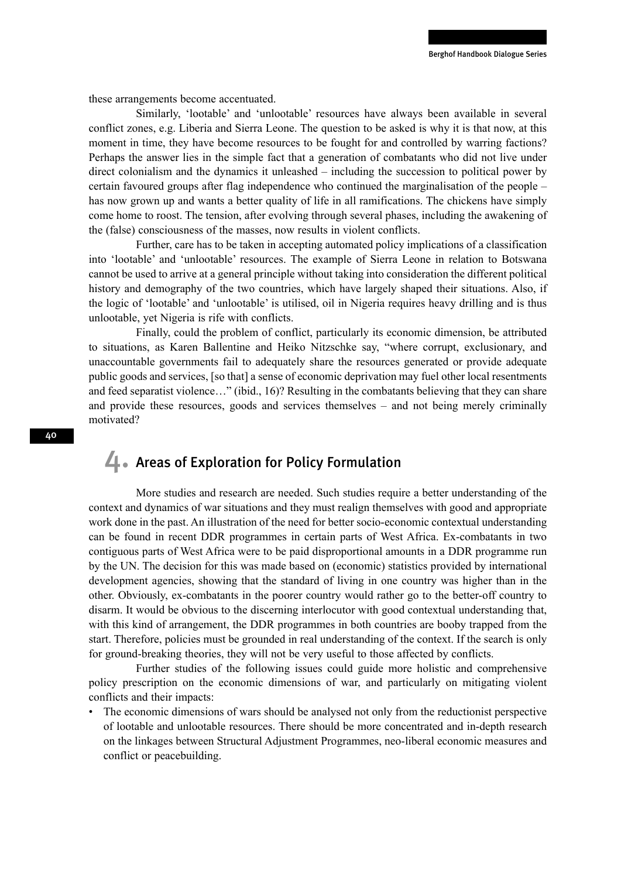these arrangements become accentuated.

Similarly, 'lootable' and 'unlootable' resources have always been available in several conflict zones, e.g. Liberia and Sierra Leone. The question to be asked is why it is that now, at this moment in time, they have become resources to be fought for and controlled by warring factions? Perhaps the answer lies in the simple fact that a generation of combatants who did not live under direct colonialism and the dynamics it unleashed – including the succession to political power by certain favoured groups after flag independence who continued the marginalisation of the people – has now grown up and wants a better quality of life in all ramifications. The chickens have simply come home to roost. The tension, after evolving through several phases, including the awakening of the (false) consciousness of the masses, now results in violent conflicts.

Further, care has to be taken in accepting automated policy implications of a classification into 'lootable' and 'unlootable' resources. The example of Sierra Leone in relation to Botswana cannot be used to arrive at a general principle without taking into consideration the different political history and demography of the two countries, which have largely shaped their situations. Also, if the logic of 'lootable' and 'unlootable' is utilised, oil in Nigeria requires heavy drilling and is thus unlootable, yet Nigeria is rife with conflicts.

Finally, could the problem of conflict, particularly its economic dimension, be attributed to situations, as Karen Ballentine and Heiko Nitzschke say, "where corrupt, exclusionary, and unaccountable governments fail to adequately share the resources generated or provide adequate public goods and services, [so that] a sense of economic deprivation may fuel other local resentments and feed separatist violence…" (ibid., 16)? Resulting in the combatants believing that they can share and provide these resources, goods and services themselves – and not being merely criminally motivated?

#### 4. Areas of Exploration for Policy Formulation

More studies and research are needed. Such studies require a better understanding of the context and dynamics of war situations and they must realign themselves with good and appropriate work done in the past. An illustration of the need for better socio-economic contextual understanding can be found in recent DDR programmes in certain parts of West Africa. Ex-combatants in two contiguous parts of West Africa were to be paid disproportional amounts in a DDR programme run by the UN. The decision for this was made based on (economic) statistics provided by international development agencies, showing that the standard of living in one country was higher than in the other. Obviously, ex-combatants in the poorer country would rather go to the better-off country to disarm. It would be obvious to the discerning interlocutor with good contextual understanding that, with this kind of arrangement, the DDR programmes in both countries are booby trapped from the start. Therefore, policies must be grounded in real understanding of the context. If the search is only for ground-breaking theories, they will not be very useful to those affected by conflicts.

Further studies of the following issues could guide more holistic and comprehensive policy prescription on the economic dimensions of war, and particularly on mitigating violent conflicts and their impacts:

The economic dimensions of wars should be analysed not only from the reductionist perspective of lootable and unlootable resources. There should be more concentrated and in-depth research on the linkages between Structural Adjustment Programmes, neo-liberal economic measures and conflict or peacebuilding.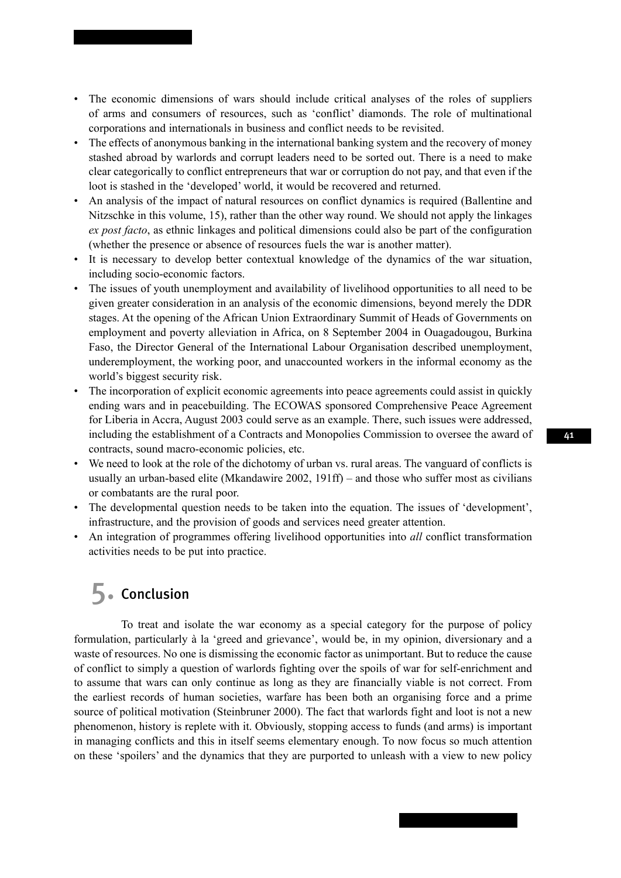- The economic dimensions of wars should include critical analyses of the roles of suppliers of arms and consumers of resources, such as 'conflict' diamonds. The role of multinational corporations and internationals in business and conflict needs to be revisited.
- The effects of anonymous banking in the international banking system and the recovery of money stashed abroad by warlords and corrupt leaders need to be sorted out. There is a need to make clear categorically to conflict entrepreneurs that war or corruption do not pay, and that even if the loot is stashed in the 'developed' world, it would be recovered and returned.
- An analysis of the impact of natural resources on conflict dynamics is required (Ballentine and Nitzschke in this volume, 15), rather than the other way round. We should not apply the linkages *ex post facto*, as ethnic linkages and political dimensions could also be part of the configuration (whether the presence or absence of resources fuels the war is another matter).
- It is necessary to develop better contextual knowledge of the dynamics of the war situation, including socio-economic factors.
- The issues of youth unemployment and availability of livelihood opportunities to all need to be given greater consideration in an analysis of the economic dimensions, beyond merely the DDR stages. At the opening of the African Union Extraordinary Summit of Heads of Governments on employment and poverty alleviation in Africa, on 8 September 2004 in Ouagadougou, Burkina Faso, the Director General of the International Labour Organisation described unemployment, underemployment, the working poor, and unaccounted workers in the informal economy as the world's biggest security risk.
- The incorporation of explicit economic agreements into peace agreements could assist in quickly ending wars and in peacebuilding. The ECOWAS sponsored Comprehensive Peace Agreement for Liberia in Accra, August 2003 could serve as an example. There, such issues were addressed, including the establishment of a Contracts and Monopolies Commission to oversee the award of contracts, sound macro-economic policies, etc.
- We need to look at the role of the dichotomy of urban vs. rural areas. The vanguard of conflicts is usually an urban-based elite (Mkandawire 2002, 191ff) – and those who suffer most as civilians or combatants are the rural poor.
- The developmental question needs to be taken into the equation. The issues of 'development', infrastructure, and the provision of goods and services need greater attention.
- An integration of programmes offering livelihood opportunities into *all* conflict transformation activities needs to be put into practice.

### 5. Conclusion

To treat and isolate the war economy as a special category for the purpose of policy formulation, particularly à la 'greed and grievance', would be, in my opinion, diversionary and a waste of resources. No one is dismissing the economic factor as unimportant. But to reduce the cause of conflict to simply a question of warlords fighting over the spoils of war for self-enrichment and to assume that wars can only continue as long as they are financially viable is not correct. From the earliest records of human societies, warfare has been both an organising force and a prime source of political motivation (Steinbruner 2000). The fact that warlords fight and loot is not a new phenomenon, history is replete with it. Obviously, stopping access to funds (and arms) is important in managing conflicts and this in itself seems elementary enough. To now focus so much attention on these 'spoilers' and the dynamics that they are purported to unleash with a view to new policy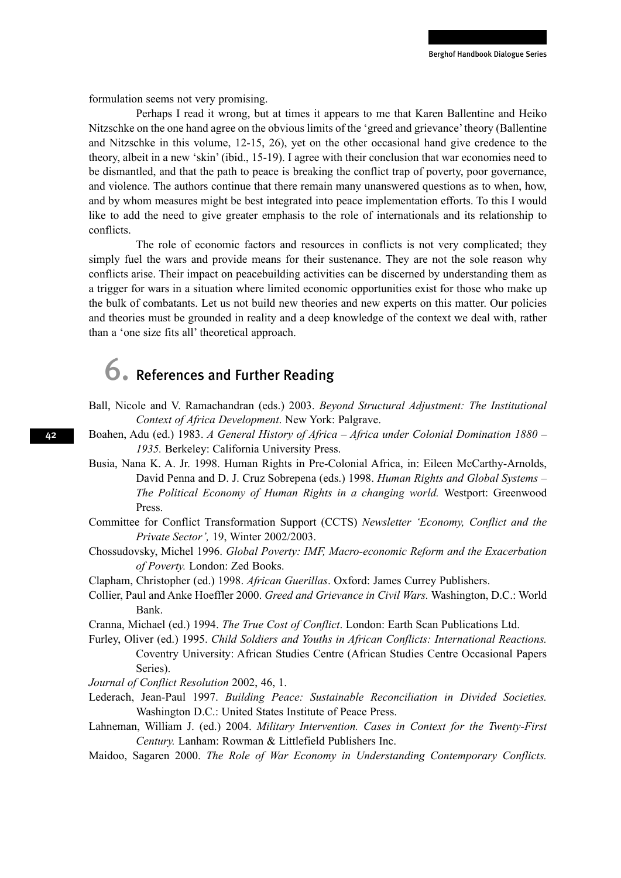formulation seems not very promising.

Perhaps I read it wrong, but at times it appears to me that Karen Ballentine and Heiko Nitzschke on the one hand agree on the obvious limits of the 'greed and grievance' theory (Ballentine and Nitzschke in this volume, 12-15, 26), yet on the other occasional hand give credence to the theory, albeit in a new 'skin' (ibid., 15-19). I agree with their conclusion that war economies need to be dismantled, and that the path to peace is breaking the conflict trap of poverty, poor governance, and violence. The authors continue that there remain many unanswered questions as to when, how, and by whom measures might be best integrated into peace implementation efforts. To this I would like to add the need to give greater emphasis to the role of internationals and its relationship to conflicts.

The role of economic factors and resources in conflicts is not very complicated; they simply fuel the wars and provide means for their sustenance. They are not the sole reason why conflicts arise. Their impact on peacebuilding activities can be discerned by understanding them as a trigger for wars in a situation where limited economic opportunities exist for those who make up the bulk of combatants. Let us not build new theories and new experts on this matter. Our policies and theories must be grounded in reality and a deep knowledge of the context we deal with, rather than a 'one size fits all' theoretical approach.

# 6. References and Further Reading

- Ball, Nicole and V. Ramachandran (eds.) 2003. *Beyond Structural Adjustment: The Institutional Context of Africa Development*. New York: Palgrave.
- Boahen, Adu (ed.) 1983. *A General History of Africa Africa under Colonial Domination 1880 1935.* Berkeley: California University Press.
- Busia, Nana K. A. Jr. 1998. Human Rights in Pre-Colonial Africa, in: Eileen McCarthy-Arnolds, David Penna and D. J. Cruz Sobrepena (eds.) 1998. *Human Rights and Global Systems – The Political Economy of Human Rights in a changing world.* Westport: Greenwood Press.
- Committee for Conflict Transformation Support (CCTS) *Newsletter 'Economy, Conflict and the Private Sector',* 19, Winter 2002/2003.
- Chossudovsky, Michel 1996. *Global Poverty: IMF, Macro-economic Reform and the Exacerbation of Poverty.* London: Zed Books.
- Clapham, Christopher (ed.) 1998. *African Guerillas*. Oxford: James Currey Publishers.
- Collier, Paul and Anke Hoeffler 2000. *Greed and Grievance in Civil Wars.* Washington, D.C.: World Bank.
- Cranna, Michael (ed.) 1994. *The True Cost of Conflict*. London: Earth Scan Publications Ltd.
- Furley, Oliver (ed.) 1995. *Child Soldiers and Youths in African Conflicts: International Reactions.*  Coventry University: African Studies Centre (African Studies Centre Occasional Papers Series).
- *Journal of Conflict Resolution* 2002, 46, 1.
- Lederach, Jean-Paul 1997. *Building Peace: Sustainable Reconciliation in Divided Societies.*  Washington D.C.: United States Institute of Peace Press.
- Lahneman, William J. (ed.) 2004. *Military Intervention. Cases in Context for the Twenty-First Century.* Lanham: Rowman & Littlefield Publishers Inc.
- Maidoo, Sagaren 2000. *The Role of War Economy in Understanding Contemporary Conflicts.*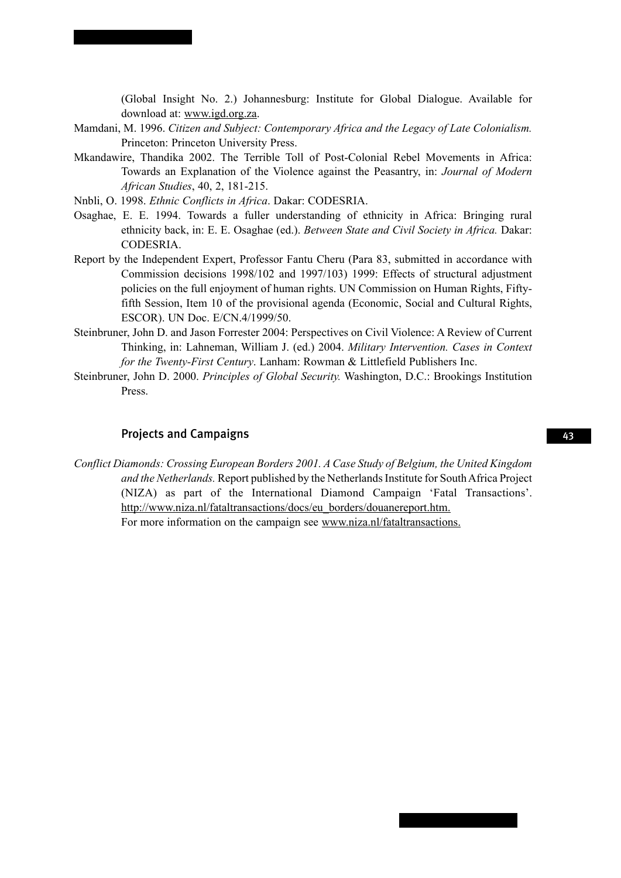(Global Insight No. 2.) Johannesburg: Institute for Global Dialogue. Available for download at: www.igd.org.za.

- Mamdani, M. 1996. *Citizen and Subject: Contemporary Africa and the Legacy of Late Colonialism.* Princeton: Princeton University Press.
- Mkandawire, Thandika 2002. The Terrible Toll of Post-Colonial Rebel Movements in Africa: Towards an Explanation of the Violence against the Peasantry, in: *Journal of Modern African Studies*, 40, 2, 181-215.
- Nnbli, O. 1998. *Ethnic Conflicts in Africa*. Dakar: CODESRIA.
- Osaghae, E. E. 1994. Towards a fuller understanding of ethnicity in Africa: Bringing rural ethnicity back, in: E. E. Osaghae (ed.). *Between State and Civil Society in Africa.* Dakar: CODESRIA.
- Report by the Independent Expert, Professor Fantu Cheru (Para 83, submitted in accordance with Commission decisions 1998/102 and 1997/103) 1999: Effects of structural adjustment policies on the full enjoyment of human rights. UN Commission on Human Rights, Fiftyfifth Session, Item 10 of the provisional agenda (Economic, Social and Cultural Rights, ESCOR). UN Doc. E/CN.4/1999/50.
- Steinbruner, John D. and Jason Forrester 2004: Perspectives on Civil Violence: A Review of Current Thinking, in: Lahneman, William J. (ed.) 2004. *Military Intervention. Cases in Context for the Twenty-First Century*. Lanham: Rowman & Littlefield Publishers Inc.
- Steinbruner, John D. 2000. *Principles of Global Security.* Washington, D.C.: Brookings Institution Press.

#### Projects and Campaigns

*Conflict Diamonds: Crossing European Borders 2001. A Case Study of Belgium, the United Kingdom and the Netherlands.* Report published by the Netherlands Institute for South Africa Project (NIZA) as part of the International Diamond Campaign 'Fatal Transactions'. http://www.niza.nl/fataltransactions/docs/eu\_borders/douanereport.htm.

For more information on the campaign see www.niza.nl/fataltransactions.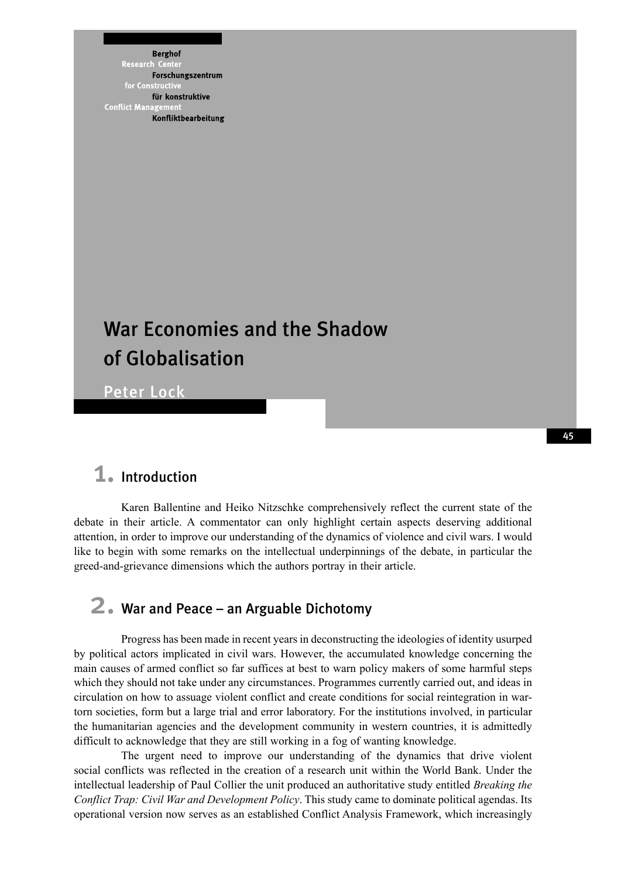**Berghof** Research Forschungszentrum for Constructiv für konstruktive **Conflict Managemen** Konfliktbearbeitung



Peter Lock

#### 45

### 1. Introduction

Karen Ballentine and Heiko Nitzschke comprehensively reflect the current state of the debate in their article. A commentator can only highlight certain aspects deserving additional attention, in order to improve our understanding of the dynamics of violence and civil wars. I would like to begin with some remarks on the intellectual underpinnings of the debate, in particular the greed-and-grievance dimensions which the authors portray in their article.

### 2. War and Peace – an Arguable Dichotomy

Progress has been made in recent years in deconstructing the ideologies of identity usurped by political actors implicated in civil wars. However, the accumulated knowledge concerning the main causes of armed conflict so far suffices at best to warn policy makers of some harmful steps which they should not take under any circumstances. Programmes currently carried out, and ideas in circulation on how to assuage violent conflict and create conditions for social reintegration in wartorn societies, form but a large trial and error laboratory. For the institutions involved, in particular the humanitarian agencies and the development community in western countries, it is admittedly difficult to acknowledge that they are still working in a fog of wanting knowledge.

The urgent need to improve our understanding of the dynamics that drive violent social conflicts was reflected in the creation of a research unit within the World Bank. Under the intellectual leadership of Paul Collier the unit produced an authoritative study entitled *Breaking the Conflict Trap: Civil War and Development Policy*. This study came to dominate political agendas. Its operational version now serves as an established Conflict Analysis Framework, which increasingly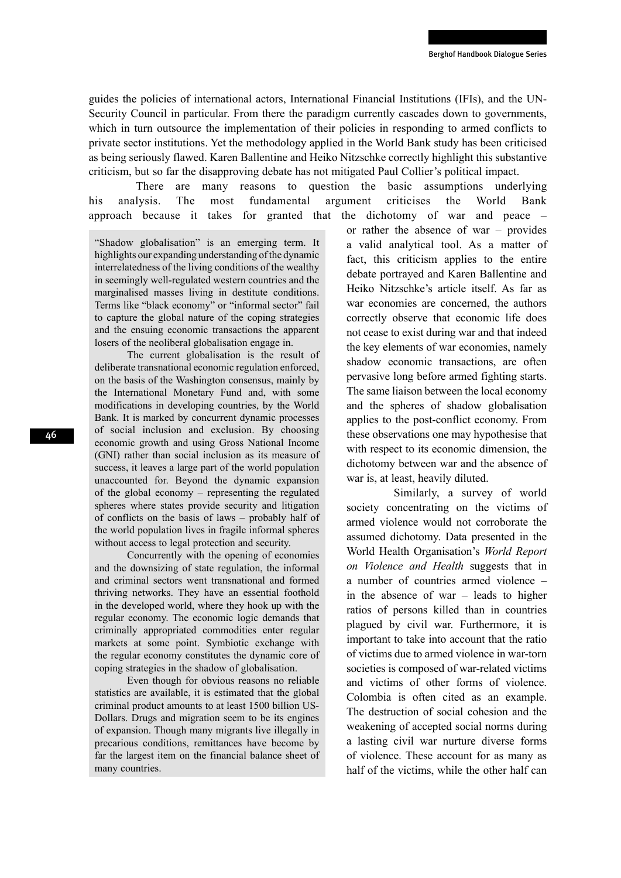guides the policies of international actors, International Financial Institutions (IFIs), and the UN-Security Council in particular. From there the paradigm currently cascades down to governments, which in turn outsource the implementation of their policies in responding to armed conflicts to private sector institutions. Yet the methodology applied in the World Bank study has been criticised as being seriously flawed. Karen Ballentine and Heiko Nitzschke correctly highlight this substantive criticism, but so far the disapproving debate has not mitigated Paul Collier's political impact.

There are many reasons to question the basic assumptions underlying his analysis. The most fundamental argument criticises the World Bank approach because it takes for granted that the dichotomy of war and peace –

"Shadow globalisation" is an emerging term. It highlights our expanding understanding of the dynamic interrelatedness of the living conditions of the wealthy in seemingly well-regulated western countries and the marginalised masses living in destitute conditions. Terms like "black economy" or "informal sector" fail to capture the global nature of the coping strategies and the ensuing economic transactions the apparent losers of the neoliberal globalisation engage in.

The current globalisation is the result of deliberate transnational economic regulation enforced, on the basis of the Washington consensus, mainly by the International Monetary Fund and, with some modifications in developing countries, by the World Bank. It is marked by concurrent dynamic processes of social inclusion and exclusion. By choosing economic growth and using Gross National Income (GNI) rather than social inclusion as its measure of success, it leaves a large part of the world population unaccounted for. Beyond the dynamic expansion of the global economy – representing the regulated spheres where states provide security and litigation of conflicts on the basis of laws – probably half of the world population lives in fragile informal spheres without access to legal protection and security.

Concurrently with the opening of economies and the downsizing of state regulation, the informal and criminal sectors went transnational and formed thriving networks. They have an essential foothold in the developed world, where they hook up with the regular economy. The economic logic demands that criminally appropriated commodities enter regular markets at some point. Symbiotic exchange with the regular economy constitutes the dynamic core of coping strategies in the shadow of globalisation.

Even though for obvious reasons no reliable statistics are available, it is estimated that the global criminal product amounts to at least 1500 billion US-Dollars. Drugs and migration seem to be its engines of expansion. Though many migrants live illegally in precarious conditions, remittances have become by far the largest item on the financial balance sheet of many countries.

or rather the absence of war – provides a valid analytical tool. As a matter of fact, this criticism applies to the entire debate portrayed and Karen Ballentine and Heiko Nitzschke's article itself. As far as war economies are concerned, the authors correctly observe that economic life does not cease to exist during war and that indeed the key elements of war economies, namely shadow economic transactions, are often pervasive long before armed fighting starts. The same liaison between the local economy and the spheres of shadow globalisation applies to the post-conflict economy. From these observations one may hypothesise that with respect to its economic dimension, the dichotomy between war and the absence of war is, at least, heavily diluted.

Similarly, a survey of world society concentrating on the victims of armed violence would not corroborate the assumed dichotomy. Data presented in the World Health Organisation's *World Report on Violence and Health* suggests that in a number of countries armed violence – in the absence of war – leads to higher ratios of persons killed than in countries plagued by civil war. Furthermore, it is important to take into account that the ratio of victims due to armed violence in war-torn societies is composed of war-related victims and victims of other forms of violence. Colombia is often cited as an example. The destruction of social cohesion and the weakening of accepted social norms during a lasting civil war nurture diverse forms of violence. These account for as many as half of the victims, while the other half can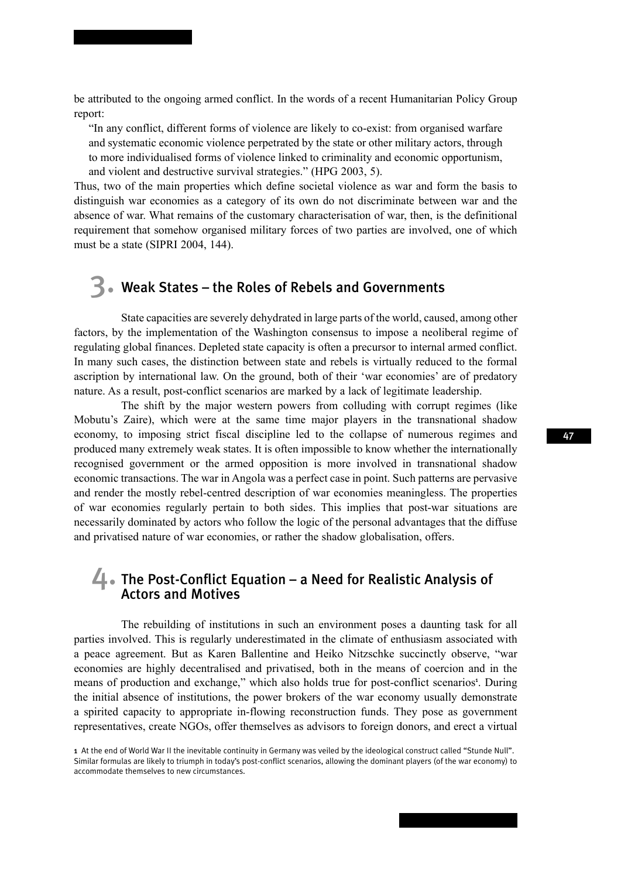be attributed to the ongoing armed conflict. In the words of a recent Humanitarian Policy Group report:

"In any conflict, different forms of violence are likely to co-exist: from organised warfare and systematic economic violence perpetrated by the state or other military actors, through to more individualised forms of violence linked to criminality and economic opportunism,

and violent and destructive survival strategies." (HPG 2003, 5).

Thus, two of the main properties which define societal violence as war and form the basis to distinguish war economies as a category of its own do not discriminate between war and the absence of war. What remains of the customary characterisation of war, then, is the definitional requirement that somehow organised military forces of two parties are involved, one of which must be a state (SIPRI 2004, 144).

#### 3. Weak States – the Roles of Rebels and Governments

State capacities are severely dehydrated in large parts of the world, caused, among other factors, by the implementation of the Washington consensus to impose a neoliberal regime of regulating global finances. Depleted state capacity is often a precursor to internal armed conflict. In many such cases, the distinction between state and rebels is virtually reduced to the formal ascription by international law. On the ground, both of their 'war economies' are of predatory nature. As a result, post-conflict scenarios are marked by a lack of legitimate leadership.

The shift by the major western powers from colluding with corrupt regimes (like Mobutu's Zaire), which were at the same time major players in the transnational shadow economy, to imposing strict fiscal discipline led to the collapse of numerous regimes and produced many extremely weak states. It is often impossible to know whether the internationally recognised government or the armed opposition is more involved in transnational shadow economic transactions. The war in Angola was a perfect case in point. Such patterns are pervasive and render the mostly rebel-centred description of war economies meaningless. The properties of war economies regularly pertain to both sides. This implies that post-war situations are necessarily dominated by actors who follow the logic of the personal advantages that the diffuse and privatised nature of war economies, or rather the shadow globalisation, offers.

#### 4. The Post-Conflict Equation – a Need for Realistic Analysis of Actors and Motives

The rebuilding of institutions in such an environment poses a daunting task for all parties involved. This is regularly underestimated in the climate of enthusiasm associated with a peace agreement. But as Karen Ballentine and Heiko Nitzschke succinctly observe, "war economies are highly decentralised and privatised, both in the means of coercion and in the means of production and exchange," which also holds true for post-conflict scenarios<sup>1</sup>. During the initial absence of institutions, the power brokers of the war economy usually demonstrate a spirited capacity to appropriate in-flowing reconstruction funds. They pose as government representatives, create NGOs, offer themselves as advisors to foreign donors, and erect a virtual

<sup>1</sup> At the end of World War II the inevitable continuity in Germany was veiled by the ideological construct called "Stunde Null". Similar formulas are likely to triumph in today's post-conflict scenarios, allowing the dominant players (of the war economy) to accommodate themselves to new circumstances.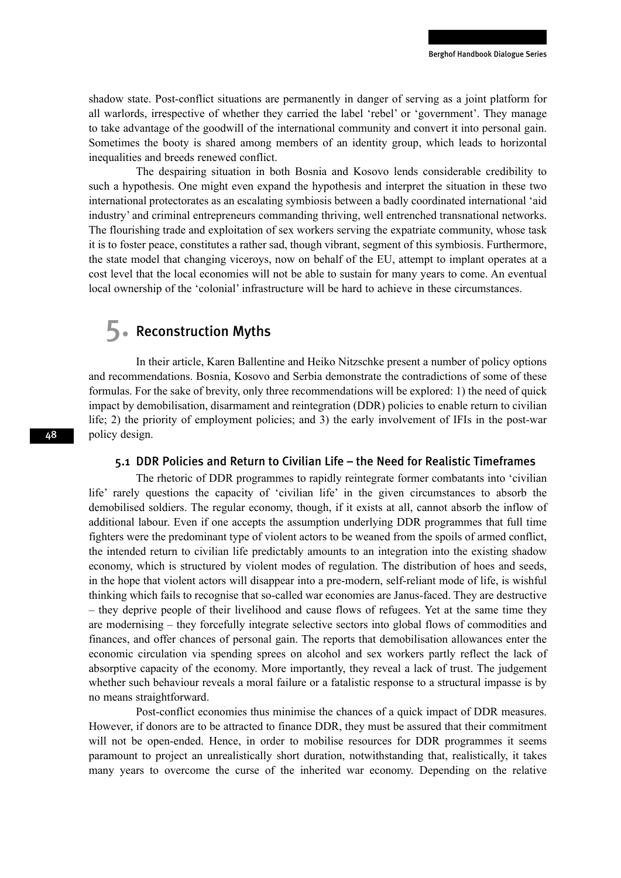shadow state. Post-conflict situations are permanently in danger of serving as a joint platform for all warlords, irrespective of whether they carried the label 'rebel' or 'government'. They manage to take advantage of the goodwill of the international community and convert it into personal gain. Sometimes the booty is shared among members of an identity group, which leads to horizontal inequalities and breeds renewed conflict.

The despairing situation in both Bosnia and Kosovo lends considerable credibility to such a hypothesis. One might even expand the hypothesis and interpret the situation in these two international protectorates as an escalating symbiosis between a badly coordinated international 'aid industry' and criminal entrepreneurs commanding thriving, well entrenched transnational networks. The flourishing trade and exploitation of sex workers serving the expatriate community, whose task it is to foster peace, constitutes a rather sad, though vibrant, segment of this symbiosis. Furthermore, the state model that changing viceroys, now on behalf of the EU, attempt to implant operates at a cost level that the local economies will not be able to sustain for many years to come. An eventual local ownership of the 'colonial' infrastructure will be hard to achieve in these circumstances.

## 5. Reconstruction Myths

In their article, Karen Ballentine and Heiko Nitzschke present a number of policy options and recommendations. Bosnia, Kosovo and Serbia demonstrate the contradictions of some of these formulas. For the sake of brevity, only three recommendations will be explored: 1) the need of quick impact by demobilisation, disarmament and reintegration (DDR) policies to enable return to civilian life; 2) the priority of employment policies; and 3) the early involvement of IFIs in the post-war policy design.

#### 5.1 DDR Policies and Return to Civilian Life – the Need for Realistic Timeframes

The rhetoric of DDR programmes to rapidly reintegrate former combatants into 'civilian life' rarely questions the capacity of 'civilian life' in the given circumstances to absorb the demobilised soldiers. The regular economy, though, if it exists at all, cannot absorb the inflow of additional labour. Even if one accepts the assumption underlying DDR programmes that full time fighters were the predominant type of violent actors to be weaned from the spoils of armed conflict, the intended return to civilian life predictably amounts to an integration into the existing shadow economy, which is structured by violent modes of regulation. The distribution of hoes and seeds, in the hope that violent actors will disappear into a pre-modern, self-reliant mode of life, is wishful thinking which fails to recognise that so-called war economies are Janus-faced. They are destructive – they deprive people of their livelihood and cause flows of refugees. Yet at the same time they are modernising – they forcefully integrate selective sectors into global flows of commodities and finances, and offer chances of personal gain. The reports that demobilisation allowances enter the economic circulation via spending sprees on alcohol and sex workers partly reflect the lack of absorptive capacity of the economy. More importantly, they reveal a lack of trust. The judgement whether such behaviour reveals a moral failure or a fatalistic response to a structural impasse is by no means straightforward.

Post-conflict economies thus minimise the chances of a quick impact of DDR measures. However, if donors are to be attracted to finance DDR, they must be assured that their commitment will not be open-ended. Hence, in order to mobilise resources for DDR programmes it seems paramount to project an unrealistically short duration, notwithstanding that, realistically, it takes many years to overcome the curse of the inherited war economy. Depending on the relative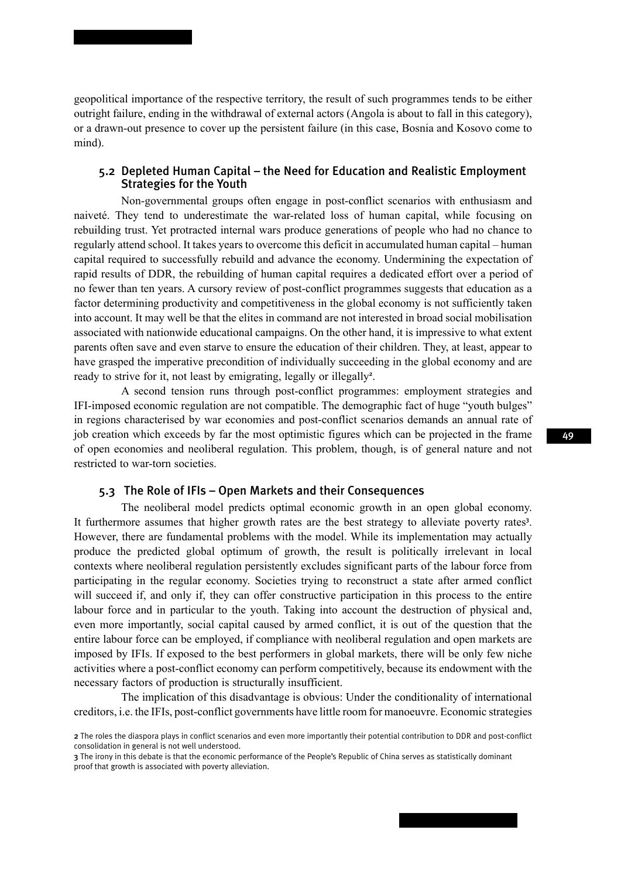geopolitical importance of the respective territory, the result of such programmes tends to be either outright failure, ending in the withdrawal of external actors (Angola is about to fall in this category), or a drawn-out presence to cover up the persistent failure (in this case, Bosnia and Kosovo come to mind).

#### 5.2 Depleted Human Capital – the Need for Education and Realistic Employment Strategies for the Youth

Non-governmental groups often engage in post-conflict scenarios with enthusiasm and naiveté. They tend to underestimate the war-related loss of human capital, while focusing on rebuilding trust. Yet protracted internal wars produce generations of people who had no chance to regularly attend school. It takes years to overcome this deficit in accumulated human capital – human capital required to successfully rebuild and advance the economy. Undermining the expectation of rapid results of DDR, the rebuilding of human capital requires a dedicated effort over a period of no fewer than ten years. A cursory review of post-conflict programmes suggests that education as a factor determining productivity and competitiveness in the global economy is not sufficiently taken into account. It may well be that the elites in command are not interested in broad social mobilisation associated with nationwide educational campaigns. On the other hand, it is impressive to what extent parents often save and even starve to ensure the education of their children. They, at least, appear to have grasped the imperative precondition of individually succeeding in the global economy and are ready to strive for it, not least by emigrating, legally or illegally<sup>2</sup>.

A second tension runs through post-conflict programmes: employment strategies and IFI-imposed economic regulation are not compatible. The demographic fact of huge "youth bulges" in regions characterised by war economies and post-conflict scenarios demands an annual rate of job creation which exceeds by far the most optimistic figures which can be projected in the frame of open economies and neoliberal regulation. This problem, though, is of general nature and not restricted to war-torn societies.

#### 5.3 The Role of IFIs – Open Markets and their Consequences

The neoliberal model predicts optimal economic growth in an open global economy. It furthermore assumes that higher growth rates are the best strategy to alleviate poverty rates<sup>3</sup>. However, there are fundamental problems with the model. While its implementation may actually produce the predicted global optimum of growth, the result is politically irrelevant in local contexts where neoliberal regulation persistently excludes significant parts of the labour force from participating in the regular economy. Societies trying to reconstruct a state after armed conflict will succeed if, and only if, they can offer constructive participation in this process to the entire labour force and in particular to the youth. Taking into account the destruction of physical and, even more importantly, social capital caused by armed conflict, it is out of the question that the entire labour force can be employed, if compliance with neoliberal regulation and open markets are imposed by IFIs. If exposed to the best performers in global markets, there will be only few niche activities where a post-conflict economy can perform competitively, because its endowment with the necessary factors of production is structurally insufficient.

The implication of this disadvantage is obvious: Under the conditionality of international creditors, i.e. the IFIs, post-conflict governments have little room for manoeuvre. Economic strategies

<sup>2</sup> The roles the diaspora plays in conflict scenarios and even more importantly their potential contribution to DDR and post-conflict consolidation in general is not well understood.

<sup>3</sup> The irony in this debate is that the economic performance of the People's Republic of China serves as statistically dominant proof that growth is associated with poverty alleviation.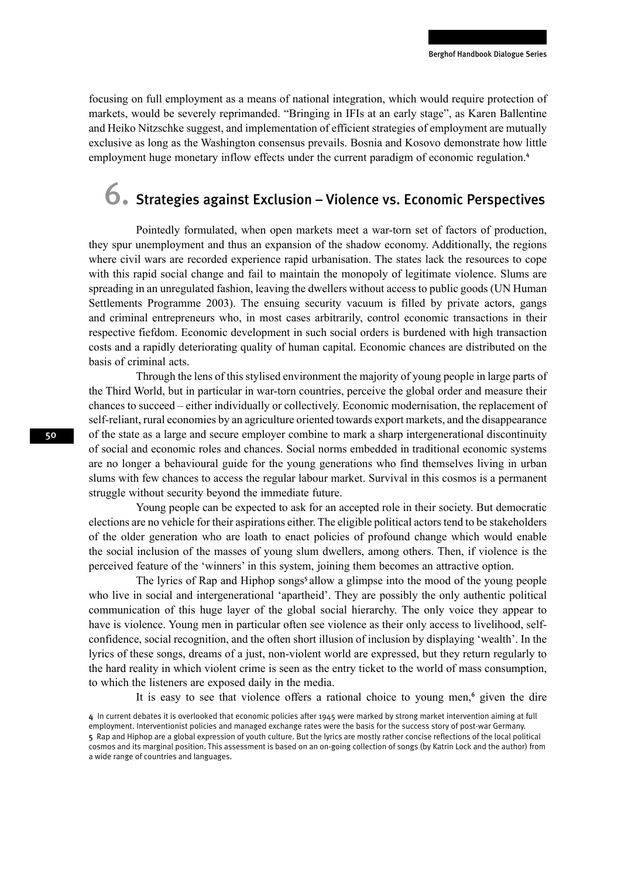focusing on full employment as a means of national integration, which would require protection of markets, would be severely reprimanded. "Bringing in IFIs at an early stage", as Karen Ballentine and Heiko Nitzschke suggest, and implementation of efficient strategies of employment are mutually exclusive as long as the Washington consensus prevails. Bosnia and Kosovo demonstrate how little employment huge monetary inflow effects under the current paradigm of economic regulation.<sup>4</sup>

# 6. Strategies against Exclusion – Violence vs. Economic Perspectives

Pointedly formulated, when open markets meet a war-torn set of factors of production, they spur unemployment and thus an expansion of the shadow economy. Additionally, the regions where civil wars are recorded experience rapid urbanisation. The states lack the resources to cope with this rapid social change and fail to maintain the monopoly of legitimate violence. Slums are spreading in an unregulated fashion, leaving the dwellers without access to public goods (UN Human Settlements Programme 2003). The ensuing security vacuum is filled by private actors, gangs and criminal entrepreneurs who, in most cases arbitrarily, control economic transactions in their respective fiefdom. Economic development in such social orders is burdened with high transaction costs and a rapidly deteriorating quality of human capital. Economic chances are distributed on the basis of criminal acts.

Through the lens of this stylised environment the majority of young people in large parts of the Third World, but in particular in war-torn countries, perceive the global order and measure their chances to succeed – either individually or collectively. Economic modernisation, the replacement of self-reliant, rural economies by an agriculture oriented towards export markets, and the disappearance of the state as a large and secure employer combine to mark a sharp intergenerational discontinuity of social and economic roles and chances. Social norms embedded in traditional economic systems are no longer a behavioural guide for the young generations who find themselves living in urban slums with few chances to access the regular labour market. Survival in this cosmos is a permanent struggle without security beyond the immediate future.

Young people can be expected to ask for an accepted role in their society. But democratic elections are no vehicle for their aspirations either. The eligible political actors tend to be stakeholders of the older generation who are loath to enact policies of profound change which would enable the social inclusion of the masses of young slum dwellers, among others. Then, if violence is the perceived feature of the 'winners' in this system, joining them becomes an attractive option.

The lyrics of Rap and Hiphop songs<sup>5</sup> allow a glimpse into the mood of the young people who live in social and intergenerational 'apartheid'. They are possibly the only authentic political communication of this huge layer of the global social hierarchy. The only voice they appear to have is violence. Young men in particular often see violence as their only access to livelihood, selfconfidence, social recognition, and the often short illusion of inclusion by displaying 'wealth'. In the lyrics of these songs, dreams of a just, non-violent world are expressed, but they return regularly to the hard reality in which violent crime is seen as the entry ticket to the world of mass consumption, to which the listeners are exposed daily in the media.

It is easy to see that violence offers a rational choice to young men,<sup>6</sup> given the dire

<sup>4</sup> In current debates it is overlooked that economic policies after 1945 were marked by strong market intervention aiming at full employment. Interventionist policies and managed exchange rates were the basis for the success story of post-war Germany. 5 Rap and Hiphop are a global expression of youth culture. But the lyrics are mostly rather concise reflections of the local political cosmos and its marginal position. This assessment is based on an on-going collection of songs (by Katrin Lock and the author) from a wide range of countries and languages.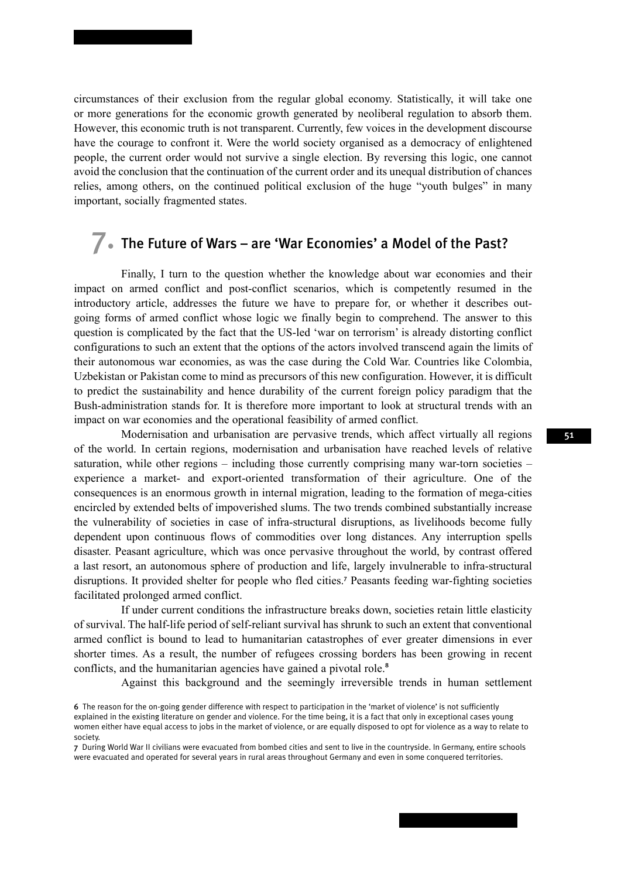circumstances of their exclusion from the regular global economy. Statistically, it will take one or more generations for the economic growth generated by neoliberal regulation to absorb them. However, this economic truth is not transparent. Currently, few voices in the development discourse have the courage to confront it. Were the world society organised as a democracy of enlightened people, the current order would not survive a single election. By reversing this logic, one cannot avoid the conclusion that the continuation of the current order and its unequal distribution of chances relies, among others, on the continued political exclusion of the huge "youth bulges" in many important, socially fragmented states.

## 7. The Future of Wars – are 'War Economies' a Model of the Past?

Finally, I turn to the question whether the knowledge about war economies and their impact on armed conflict and post-conflict scenarios, which is competently resumed in the introductory article, addresses the future we have to prepare for, or whether it describes outgoing forms of armed conflict whose logic we finally begin to comprehend. The answer to this question is complicated by the fact that the US-led 'war on terrorism' is already distorting conflict configurations to such an extent that the options of the actors involved transcend again the limits of their autonomous war economies, as was the case during the Cold War. Countries like Colombia, Uzbekistan or Pakistan come to mind as precursors of this new configuration. However, it is difficult to predict the sustainability and hence durability of the current foreign policy paradigm that the Bush-administration stands for. It is therefore more important to look at structural trends with an impact on war economies and the operational feasibility of armed conflict.

Modernisation and urbanisation are pervasive trends, which affect virtually all regions of the world. In certain regions, modernisation and urbanisation have reached levels of relative saturation, while other regions – including those currently comprising many war-torn societies – experience a market- and export-oriented transformation of their agriculture. One of the consequences is an enormous growth in internal migration, leading to the formation of mega-cities encircled by extended belts of impoverished slums. The two trends combined substantially increase the vulnerability of societies in case of infra-structural disruptions, as livelihoods become fully dependent upon continuous flows of commodities over long distances. Any interruption spells disaster. Peasant agriculture, which was once pervasive throughout the world, by contrast offered a last resort, an autonomous sphere of production and life, largely invulnerable to infra-structural disruptions. It provided shelter for people who fled cities.<sup>7</sup> Peasants feeding war-fighting societies facilitated prolonged armed conflict.

If under current conditions the infrastructure breaks down, societies retain little elasticity of survival. The half-life period of self-reliant survival has shrunk to such an extent that conventional armed conflict is bound to lead to humanitarian catastrophes of ever greater dimensions in ever shorter times. As a result, the number of refugees crossing borders has been growing in recent conflicts, and the humanitarian agencies have gained a pivotal role.<sup>8</sup>

Against this background and the seemingly irreversible trends in human settlement

<sup>6</sup> The reason for the on-going gender difference with respect to participation in the 'market of violence' is not sufficiently explained in the existing literature on gender and violence. For the time being, it is a fact that only in exceptional cases young women either have equal access to jobs in the market of violence, or are equally disposed to opt for violence as a way to relate to society.

<sup>7</sup> During World War II civilians were evacuated from bombed cities and sent to live in the countryside. In Germany, entire schools were evacuated and operated for several years in rural areas throughout Germany and even in some conquered territories.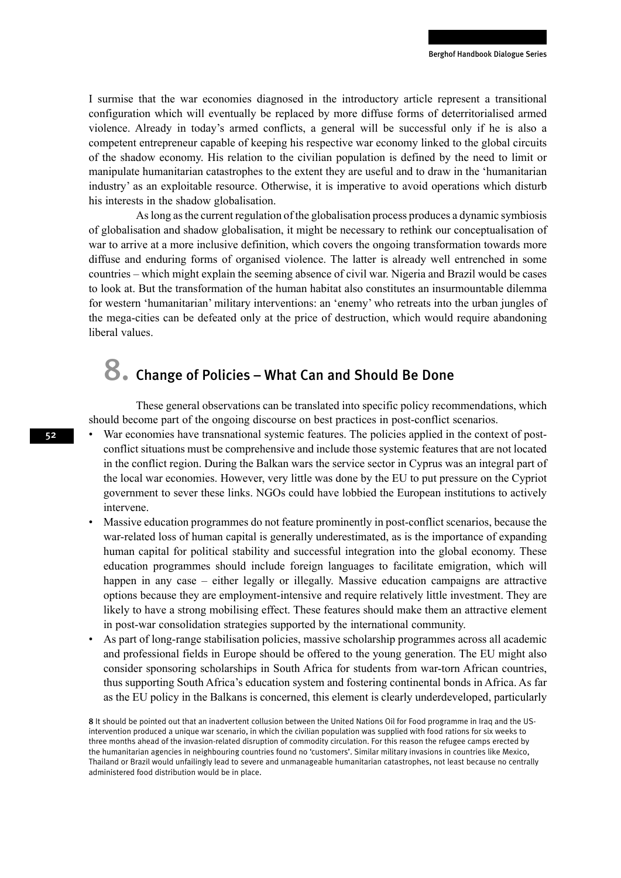I surmise that the war economies diagnosed in the introductory article represent a transitional configuration which will eventually be replaced by more diffuse forms of deterritorialised armed violence. Already in today's armed conflicts, a general will be successful only if he is also a competent entrepreneur capable of keeping his respective war economy linked to the global circuits of the shadow economy. His relation to the civilian population is defined by the need to limit or manipulate humanitarian catastrophes to the extent they are useful and to draw in the 'humanitarian industry' as an exploitable resource. Otherwise, it is imperative to avoid operations which disturb his interests in the shadow globalisation.

As long as the current regulation of the globalisation process produces a dynamic symbiosis of globalisation and shadow globalisation, it might be necessary to rethink our conceptualisation of war to arrive at a more inclusive definition, which covers the ongoing transformation towards more diffuse and enduring forms of organised violence. The latter is already well entrenched in some countries – which might explain the seeming absence of civil war. Nigeria and Brazil would be cases to look at. But the transformation of the human habitat also constitutes an insurmountable dilemma for western 'humanitarian' military interventions: an 'enemy' who retreats into the urban jungles of the mega-cities can be defeated only at the price of destruction, which would require abandoning liberal values.

# 8. Change of Policies – What Can and Should Be Done

These general observations can be translated into specific policy recommendations, which should become part of the ongoing discourse on best practices in post-conflict scenarios.

- War economies have transnational systemic features. The policies applied in the context of postconflict situations must be comprehensive and include those systemic features that are not located in the conflict region. During the Balkan wars the service sector in Cyprus was an integral part of the local war economies. However, very little was done by the EU to put pressure on the Cypriot government to sever these links. NGOs could have lobbied the European institutions to actively intervene.
- Massive education programmes do not feature prominently in post-conflict scenarios, because the war-related loss of human capital is generally underestimated, as is the importance of expanding human capital for political stability and successful integration into the global economy. These education programmes should include foreign languages to facilitate emigration, which will happen in any case – either legally or illegally. Massive education campaigns are attractive options because they are employment-intensive and require relatively little investment. They are likely to have a strong mobilising effect. These features should make them an attractive element in post-war consolidation strategies supported by the international community.
- As part of long-range stabilisation policies, massive scholarship programmes across all academic and professional fields in Europe should be offered to the young generation. The EU might also consider sponsoring scholarships in South Africa for students from war-torn African countries, thus supporting South Africa's education system and fostering continental bonds in Africa. As far as the EU policy in the Balkans is concerned, this element is clearly underdeveloped, particularly

<sup>8</sup> It should be pointed out that an inadvertent collusion between the United Nations Oil for Food programme in Iraq and the USintervention produced a unique war scenario, in which the civilian population was supplied with food rations for six weeks to three months ahead of the invasion-related disruption of commodity circulation. For this reason the refugee camps erected by the humanitarian agencies in neighbouring countries found no 'customers'. Similar military invasions in countries like Mexico, Thailand or Brazil would unfailingly lead to severe and unmanageable humanitarian catastrophes, not least because no centrally administered food distribution would be in place.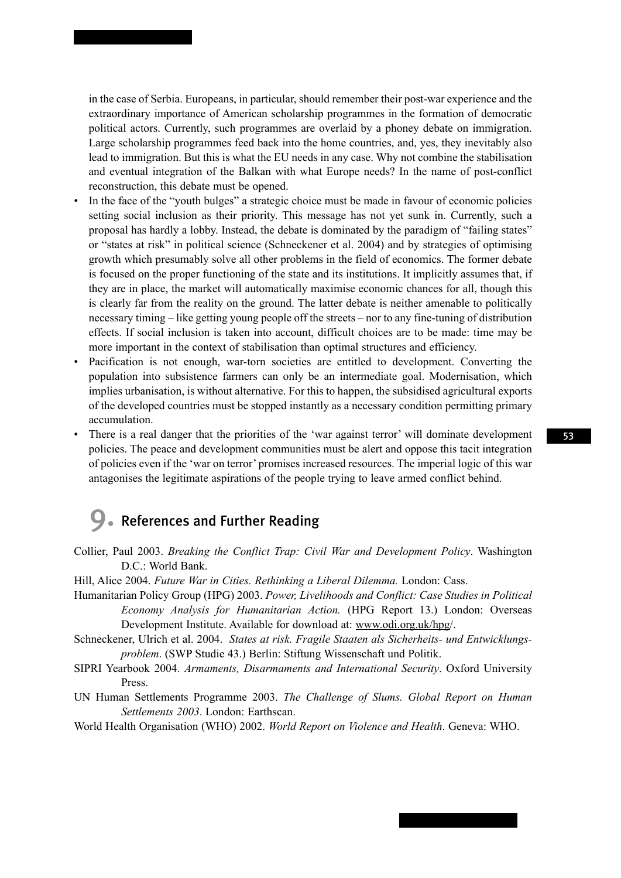in the case of Serbia. Europeans, in particular, should remember their post-war experience and the extraordinary importance of American scholarship programmes in the formation of democratic political actors. Currently, such programmes are overlaid by a phoney debate on immigration. Large scholarship programmes feed back into the home countries, and, yes, they inevitably also lead to immigration. But this is what the EU needs in any case. Why not combine the stabilisation and eventual integration of the Balkan with what Europe needs? In the name of post-conflict reconstruction, this debate must be opened.

- In the face of the "youth bulges" a strategic choice must be made in favour of economic policies setting social inclusion as their priority. This message has not yet sunk in. Currently, such a proposal has hardly a lobby. Instead, the debate is dominated by the paradigm of "failing states" or "states at risk" in political science (Schneckener et al. 2004) and by strategies of optimising growth which presumably solve all other problems in the field of economics. The former debate is focused on the proper functioning of the state and its institutions. It implicitly assumes that, if they are in place, the market will automatically maximise economic chances for all, though this is clearly far from the reality on the ground. The latter debate is neither amenable to politically necessary timing – like getting young people off the streets – nor to any fine-tuning of distribution effects. If social inclusion is taken into account, difficult choices are to be made: time may be more important in the context of stabilisation than optimal structures and efficiency.
- Pacification is not enough, war-torn societies are entitled to development. Converting the population into subsistence farmers can only be an intermediate goal. Modernisation, which implies urbanisation, is without alternative. For this to happen, the subsidised agricultural exports of the developed countries must be stopped instantly as a necessary condition permitting primary accumulation.
- There is a real danger that the priorities of the 'war against terror' will dominate development policies. The peace and development communities must be alert and oppose this tacit integration of policies even if the 'war on terror' promises increased resources. The imperial logic of this war antagonises the legitimate aspirations of the people trying to leave armed conflict behind.

## 9. References and Further Reading

Collier, Paul 2003. *Breaking the Conflict Trap: Civil War and Development Policy*. Washington D.C.: World Bank.

Hill, Alice 2004. *Future War in Cities. Rethinking a Liberal Dilemma.* London: Cass.

- Humanitarian Policy Group (HPG) 2003. *Power, Livelihoods and Conflict: Case Studies in Political Economy Analysis for Humanitarian Action.* (HPG Report 13.) London: Overseas Development Institute. Available for download at: www.odi.org.uk/hpg/.
- Schneckener, Ulrich et al. 2004. *States at risk. Fragile Staaten als Sicherheits- und Entwicklungsproblem*. (SWP Studie 43.) Berlin: Stiftung Wissenschaft und Politik.
- SIPRI Yearbook 2004. *Armaments, Disarmaments and International Security*. Oxford University Press.
- UN Human Settlements Programme 2003. *The Challenge of Slums. Global Report on Human Settlements 2003*. London: Earthscan.

World Health Organisation (WHO) 2002. *World Report on Violence and Health*. Geneva: WHO.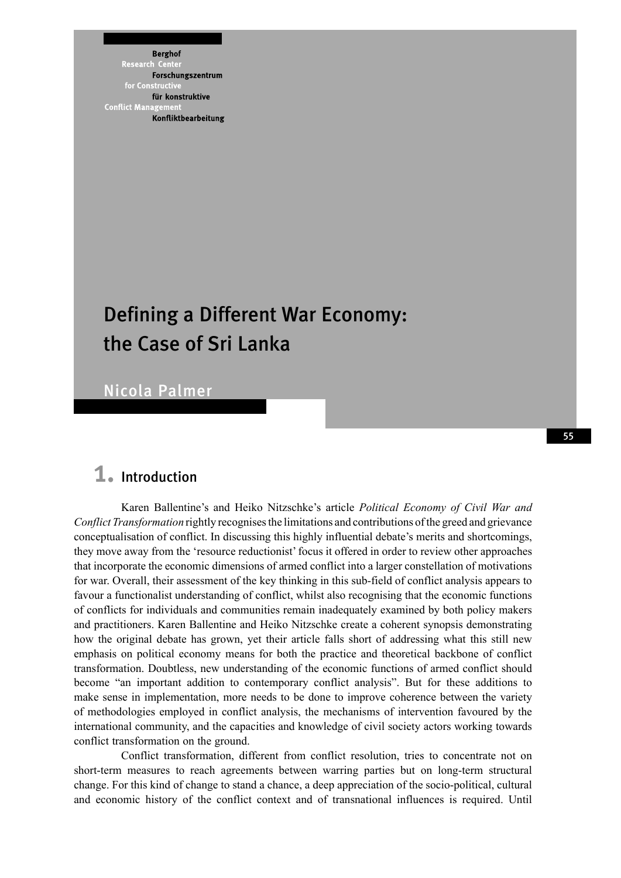**Berghof** Research Forschungszentrum for Constructi für konstruktive **Conflict Managemen** Konfliktbearbeitung

# Defining a Different War Economy: the Case of Sri Lanka

Nicola Palmer

### 1. Introduction

Karen Ballentine's and Heiko Nitzschke's article *Political Economy of Civil War and Conflict Transformation* rightly recognises the limitations and contributions of the greed and grievance conceptualisation of conflict. In discussing this highly influential debate's merits and shortcomings, they move away from the 'resource reductionist' focus it offered in order to review other approaches that incorporate the economic dimensions of armed conflict into a larger constellation of motivations for war. Overall, their assessment of the key thinking in this sub-field of conflict analysis appears to favour a functionalist understanding of conflict, whilst also recognising that the economic functions of conflicts for individuals and communities remain inadequately examined by both policy makers and practitioners. Karen Ballentine and Heiko Nitzschke create a coherent synopsis demonstrating how the original debate has grown, yet their article falls short of addressing what this still new emphasis on political economy means for both the practice and theoretical backbone of conflict transformation. Doubtless, new understanding of the economic functions of armed conflict should become "an important addition to contemporary conflict analysis". But for these additions to make sense in implementation, more needs to be done to improve coherence between the variety of methodologies employed in conflict analysis, the mechanisms of intervention favoured by the international community, and the capacities and knowledge of civil society actors working towards conflict transformation on the ground.

Conflict transformation, different from conflict resolution, tries to concentrate not on short-term measures to reach agreements between warring parties but on long-term structural change. For this kind of change to stand a chance, a deep appreciation of the socio-political, cultural and economic history of the conflict context and of transnational influences is required. Until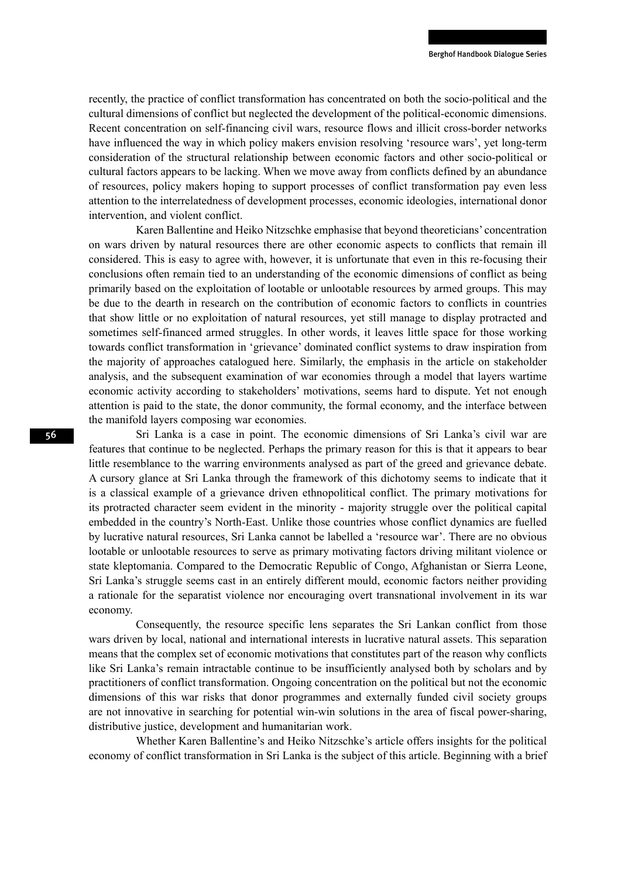recently, the practice of conflict transformation has concentrated on both the socio-political and the cultural dimensions of conflict but neglected the development of the political-economic dimensions. Recent concentration on self-financing civil wars, resource flows and illicit cross-border networks have influenced the way in which policy makers envision resolving 'resource wars', yet long-term consideration of the structural relationship between economic factors and other socio-political or cultural factors appears to be lacking. When we move away from conflicts defined by an abundance of resources, policy makers hoping to support processes of conflict transformation pay even less attention to the interrelatedness of development processes, economic ideologies, international donor intervention, and violent conflict.

Karen Ballentine and Heiko Nitzschke emphasise that beyond theoreticians' concentration on wars driven by natural resources there are other economic aspects to conflicts that remain ill considered. This is easy to agree with, however, it is unfortunate that even in this re-focusing their conclusions often remain tied to an understanding of the economic dimensions of conflict as being primarily based on the exploitation of lootable or unlootable resources by armed groups. This may be due to the dearth in research on the contribution of economic factors to conflicts in countries that show little or no exploitation of natural resources, yet still manage to display protracted and sometimes self-financed armed struggles. In other words, it leaves little space for those working towards conflict transformation in 'grievance' dominated conflict systems to draw inspiration from the majority of approaches catalogued here. Similarly, the emphasis in the article on stakeholder analysis, and the subsequent examination of war economies through a model that layers wartime economic activity according to stakeholders' motivations, seems hard to dispute. Yet not enough attention is paid to the state, the donor community, the formal economy, and the interface between the manifold layers composing war economies.

Sri Lanka is a case in point. The economic dimensions of Sri Lanka's civil war are features that continue to be neglected. Perhaps the primary reason for this is that it appears to bear little resemblance to the warring environments analysed as part of the greed and grievance debate. A cursory glance at Sri Lanka through the framework of this dichotomy seems to indicate that it is a classical example of a grievance driven ethnopolitical conflict. The primary motivations for its protracted character seem evident in the minority - majority struggle over the political capital embedded in the country's North-East. Unlike those countries whose conflict dynamics are fuelled by lucrative natural resources, Sri Lanka cannot be labelled a 'resource war'. There are no obvious lootable or unlootable resources to serve as primary motivating factors driving militant violence or state kleptomania. Compared to the Democratic Republic of Congo, Afghanistan or Sierra Leone, Sri Lanka's struggle seems cast in an entirely different mould, economic factors neither providing a rationale for the separatist violence nor encouraging overt transnational involvement in its war economy.

Consequently, the resource specific lens separates the Sri Lankan conflict from those wars driven by local, national and international interests in lucrative natural assets. This separation means that the complex set of economic motivations that constitutes part of the reason why conflicts like Sri Lanka's remain intractable continue to be insufficiently analysed both by scholars and by practitioners of conflict transformation. Ongoing concentration on the political but not the economic dimensions of this war risks that donor programmes and externally funded civil society groups are not innovative in searching for potential win-win solutions in the area of fiscal power-sharing, distributive justice, development and humanitarian work.

Whether Karen Ballentine's and Heiko Nitzschke's article offers insights for the political economy of conflict transformation in Sri Lanka is the subject of this article. Beginning with a brief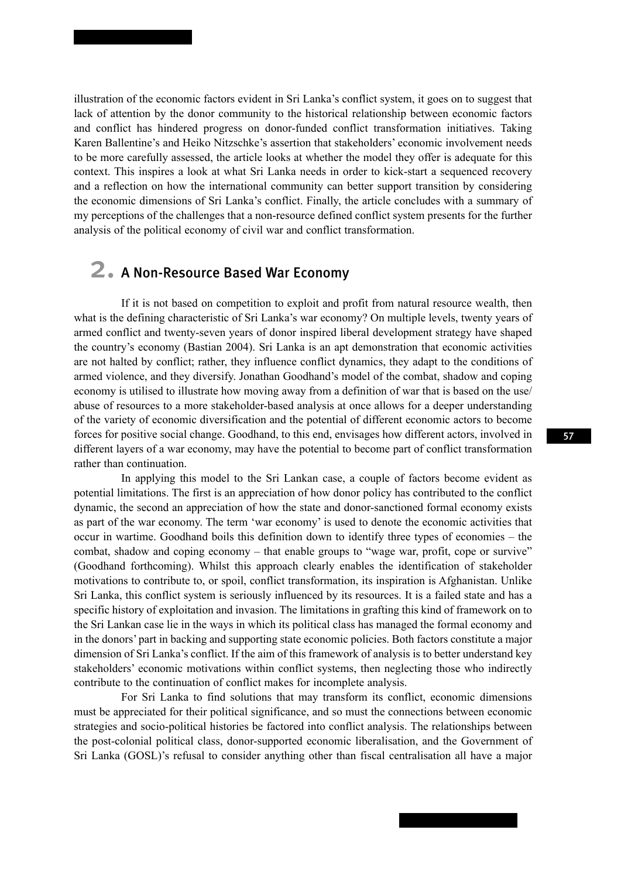illustration of the economic factors evident in Sri Lanka's conflict system, it goes on to suggest that lack of attention by the donor community to the historical relationship between economic factors and conflict has hindered progress on donor-funded conflict transformation initiatives. Taking Karen Ballentine's and Heiko Nitzschke's assertion that stakeholders' economic involvement needs to be more carefully assessed, the article looks at whether the model they offer is adequate for this context. This inspires a look at what Sri Lanka needs in order to kick-start a sequenced recovery and a reflection on how the international community can better support transition by considering the economic dimensions of Sri Lanka's conflict. Finally, the article concludes with a summary of my perceptions of the challenges that a non-resource defined conflict system presents for the further analysis of the political economy of civil war and conflict transformation.

### 2. A Non-Resource Based War Economy

If it is not based on competition to exploit and profit from natural resource wealth, then what is the defining characteristic of Sri Lanka's war economy? On multiple levels, twenty years of armed conflict and twenty-seven years of donor inspired liberal development strategy have shaped the country's economy (Bastian 2004). Sri Lanka is an apt demonstration that economic activities are not halted by conflict; rather, they influence conflict dynamics, they adapt to the conditions of armed violence, and they diversify. Jonathan Goodhand's model of the combat, shadow and coping economy is utilised to illustrate how moving away from a definition of war that is based on the use/ abuse of resources to a more stakeholder-based analysis at once allows for a deeper understanding of the variety of economic diversification and the potential of different economic actors to become forces for positive social change. Goodhand, to this end, envisages how different actors, involved in different layers of a war economy, may have the potential to become part of conflict transformation rather than continuation.

In applying this model to the Sri Lankan case, a couple of factors become evident as potential limitations. The first is an appreciation of how donor policy has contributed to the conflict dynamic, the second an appreciation of how the state and donor-sanctioned formal economy exists as part of the war economy. The term 'war economy' is used to denote the economic activities that occur in wartime. Goodhand boils this definition down to identify three types of economies – the combat, shadow and coping economy – that enable groups to "wage war, profit, cope or survive" (Goodhand forthcoming). Whilst this approach clearly enables the identification of stakeholder motivations to contribute to, or spoil, conflict transformation, its inspiration is Afghanistan. Unlike Sri Lanka, this conflict system is seriously influenced by its resources. It is a failed state and has a specific history of exploitation and invasion. The limitations in grafting this kind of framework on to the Sri Lankan case lie in the ways in which its political class has managed the formal economy and in the donors' part in backing and supporting state economic policies. Both factors constitute a major dimension of Sri Lanka's conflict. If the aim of this framework of analysis is to better understand key stakeholders' economic motivations within conflict systems, then neglecting those who indirectly contribute to the continuation of conflict makes for incomplete analysis.

For Sri Lanka to find solutions that may transform its conflict, economic dimensions must be appreciated for their political significance, and so must the connections between economic strategies and socio-political histories be factored into conflict analysis. The relationships between the post-colonial political class, donor-supported economic liberalisation, and the Government of Sri Lanka (GOSL)'s refusal to consider anything other than fiscal centralisation all have a major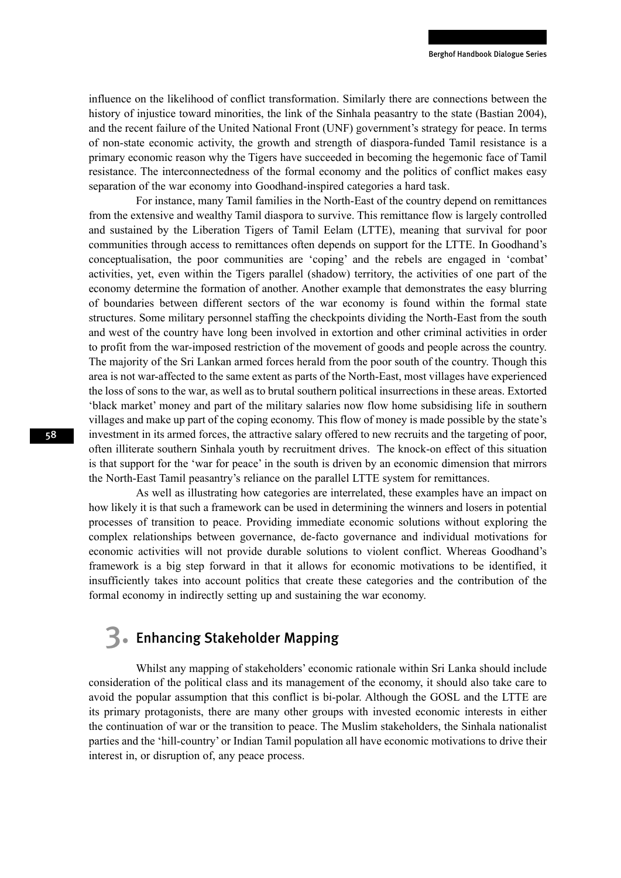influence on the likelihood of conflict transformation. Similarly there are connections between the history of injustice toward minorities, the link of the Sinhala peasantry to the state (Bastian 2004), and the recent failure of the United National Front (UNF) government's strategy for peace. In terms of non-state economic activity, the growth and strength of diaspora-funded Tamil resistance is a primary economic reason why the Tigers have succeeded in becoming the hegemonic face of Tamil resistance. The interconnectedness of the formal economy and the politics of conflict makes easy separation of the war economy into Goodhand-inspired categories a hard task.

For instance, many Tamil families in the North-East of the country depend on remittances from the extensive and wealthy Tamil diaspora to survive. This remittance flow is largely controlled and sustained by the Liberation Tigers of Tamil Eelam (LTTE), meaning that survival for poor communities through access to remittances often depends on support for the LTTE. In Goodhand's conceptualisation, the poor communities are 'coping' and the rebels are engaged in 'combat' activities, yet, even within the Tigers parallel (shadow) territory, the activities of one part of the economy determine the formation of another. Another example that demonstrates the easy blurring of boundaries between different sectors of the war economy is found within the formal state structures. Some military personnel staffing the checkpoints dividing the North-East from the south and west of the country have long been involved in extortion and other criminal activities in order to profit from the war-imposed restriction of the movement of goods and people across the country. The majority of the Sri Lankan armed forces herald from the poor south of the country. Though this area is not war-affected to the same extent as parts of the North-East, most villages have experienced the loss of sons to the war, as well as to brutal southern political insurrections in these areas. Extorted 'black market' money and part of the military salaries now flow home subsidising life in southern villages and make up part of the coping economy. This flow of money is made possible by the state's investment in its armed forces, the attractive salary offered to new recruits and the targeting of poor, often illiterate southern Sinhala youth by recruitment drives. The knock-on effect of this situation is that support for the 'war for peace' in the south is driven by an economic dimension that mirrors the North-East Tamil peasantry's reliance on the parallel LTTE system for remittances.

As well as illustrating how categories are interrelated, these examples have an impact on how likely it is that such a framework can be used in determining the winners and losers in potential processes of transition to peace. Providing immediate economic solutions without exploring the complex relationships between governance, de-facto governance and individual motivations for economic activities will not provide durable solutions to violent conflict. Whereas Goodhand's framework is a big step forward in that it allows for economic motivations to be identified, it insufficiently takes into account politics that create these categories and the contribution of the formal economy in indirectly setting up and sustaining the war economy.

#### 3. Enhancing Stakeholder Mapping

Whilst any mapping of stakeholders' economic rationale within Sri Lanka should include consideration of the political class and its management of the economy, it should also take care to avoid the popular assumption that this conflict is bi-polar. Although the GOSL and the LTTE are its primary protagonists, there are many other groups with invested economic interests in either the continuation of war or the transition to peace. The Muslim stakeholders, the Sinhala nationalist parties and the 'hill-country' or Indian Tamil population all have economic motivations to drive their interest in, or disruption of, any peace process.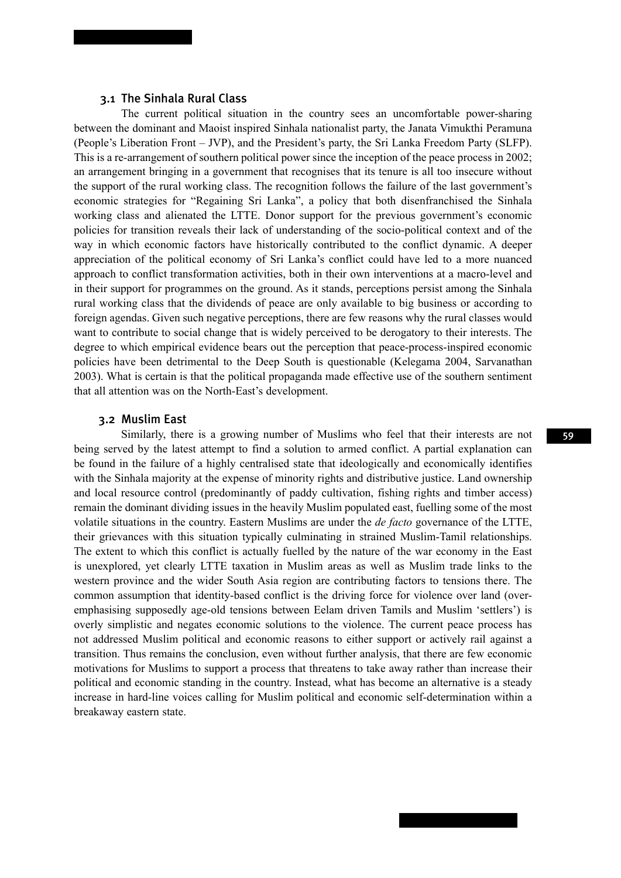#### 3.1 The Sinhala Rural Class

The current political situation in the country sees an uncomfortable power-sharing between the dominant and Maoist inspired Sinhala nationalist party, the Janata Vimukthi Peramuna (People's Liberation Front – JVP), and the President's party, the Sri Lanka Freedom Party (SLFP). This is a re-arrangement of southern political power since the inception of the peace process in 2002; an arrangement bringing in a government that recognises that its tenure is all too insecure without the support of the rural working class. The recognition follows the failure of the last government's economic strategies for "Regaining Sri Lanka", a policy that both disenfranchised the Sinhala working class and alienated the LTTE. Donor support for the previous government's economic policies for transition reveals their lack of understanding of the socio-political context and of the way in which economic factors have historically contributed to the conflict dynamic. A deeper appreciation of the political economy of Sri Lanka's conflict could have led to a more nuanced approach to conflict transformation activities, both in their own interventions at a macro-level and in their support for programmes on the ground. As it stands, perceptions persist among the Sinhala rural working class that the dividends of peace are only available to big business or according to foreign agendas. Given such negative perceptions, there are few reasons why the rural classes would want to contribute to social change that is widely perceived to be derogatory to their interests. The degree to which empirical evidence bears out the perception that peace-process-inspired economic policies have been detrimental to the Deep South is questionable (Kelegama 2004, Sarvanathan 2003). What is certain is that the political propaganda made effective use of the southern sentiment that all attention was on the North-East's development.

#### 3.2 Muslim East

Similarly, there is a growing number of Muslims who feel that their interests are not being served by the latest attempt to find a solution to armed conflict. A partial explanation can be found in the failure of a highly centralised state that ideologically and economically identifies with the Sinhala majority at the expense of minority rights and distributive justice. Land ownership and local resource control (predominantly of paddy cultivation, fishing rights and timber access) remain the dominant dividing issues in the heavily Muslim populated east, fuelling some of the most volatile situations in the country. Eastern Muslims are under the *de facto* governance of the LTTE, their grievances with this situation typically culminating in strained Muslim-Tamil relationships. The extent to which this conflict is actually fuelled by the nature of the war economy in the East is unexplored, yet clearly LTTE taxation in Muslim areas as well as Muslim trade links to the western province and the wider South Asia region are contributing factors to tensions there. The common assumption that identity-based conflict is the driving force for violence over land (overemphasising supposedly age-old tensions between Eelam driven Tamils and Muslim 'settlers') is overly simplistic and negates economic solutions to the violence. The current peace process has not addressed Muslim political and economic reasons to either support or actively rail against a transition. Thus remains the conclusion, even without further analysis, that there are few economic motivations for Muslims to support a process that threatens to take away rather than increase their political and economic standing in the country. Instead, what has become an alternative is a steady increase in hard-line voices calling for Muslim political and economic self-determination within a breakaway eastern state.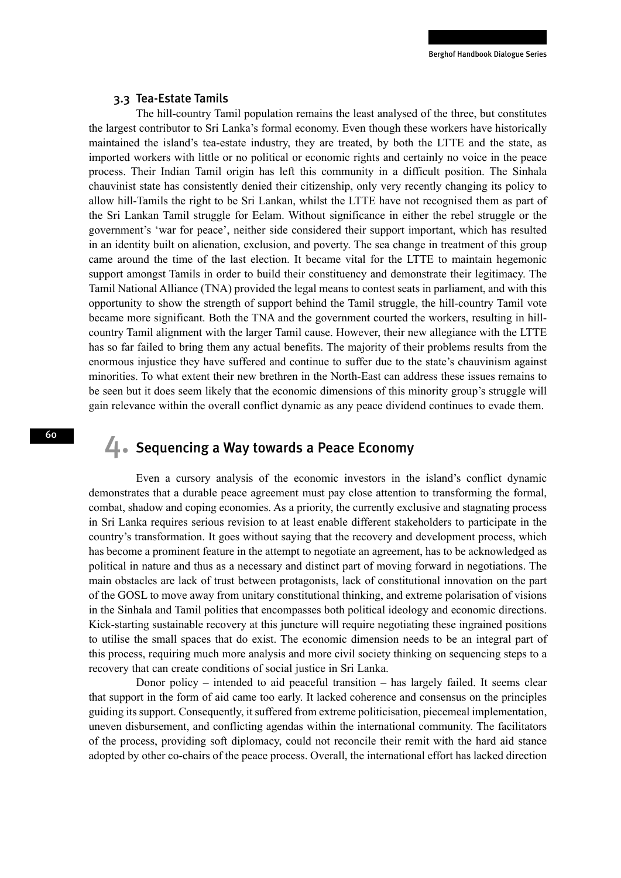#### 3.3 Tea-Estate Tamils

The hill-country Tamil population remains the least analysed of the three, but constitutes the largest contributor to Sri Lanka's formal economy. Even though these workers have historically maintained the island's tea-estate industry, they are treated, by both the LTTE and the state, as imported workers with little or no political or economic rights and certainly no voice in the peace process. Their Indian Tamil origin has left this community in a difficult position. The Sinhala chauvinist state has consistently denied their citizenship, only very recently changing its policy to allow hill-Tamils the right to be Sri Lankan, whilst the LTTE have not recognised them as part of the Sri Lankan Tamil struggle for Eelam. Without significance in either the rebel struggle or the government's 'war for peace', neither side considered their support important, which has resulted in an identity built on alienation, exclusion, and poverty. The sea change in treatment of this group came around the time of the last election. It became vital for the LTTE to maintain hegemonic support amongst Tamils in order to build their constituency and demonstrate their legitimacy. The Tamil National Alliance (TNA) provided the legal means to contest seats in parliament, and with this opportunity to show the strength of support behind the Tamil struggle, the hill-country Tamil vote became more significant. Both the TNA and the government courted the workers, resulting in hillcountry Tamil alignment with the larger Tamil cause. However, their new allegiance with the LTTE has so far failed to bring them any actual benefits. The majority of their problems results from the enormous injustice they have suffered and continue to suffer due to the state's chauvinism against minorities. To what extent their new brethren in the North-East can address these issues remains to be seen but it does seem likely that the economic dimensions of this minority group's struggle will gain relevance within the overall conflict dynamic as any peace dividend continues to evade them.

#### 4. Sequencing a Way towards a Peace Economy

Even a cursory analysis of the economic investors in the island's conflict dynamic demonstrates that a durable peace agreement must pay close attention to transforming the formal, combat, shadow and coping economies. As a priority, the currently exclusive and stagnating process in Sri Lanka requires serious revision to at least enable different stakeholders to participate in the country's transformation. It goes without saying that the recovery and development process, which has become a prominent feature in the attempt to negotiate an agreement, has to be acknowledged as political in nature and thus as a necessary and distinct part of moving forward in negotiations. The main obstacles are lack of trust between protagonists, lack of constitutional innovation on the part of the GOSL to move away from unitary constitutional thinking, and extreme polarisation of visions in the Sinhala and Tamil polities that encompasses both political ideology and economic directions. Kick-starting sustainable recovery at this juncture will require negotiating these ingrained positions to utilise the small spaces that do exist. The economic dimension needs to be an integral part of this process, requiring much more analysis and more civil society thinking on sequencing steps to a recovery that can create conditions of social justice in Sri Lanka.

Donor policy – intended to aid peaceful transition – has largely failed. It seems clear that support in the form of aid came too early. It lacked coherence and consensus on the principles guiding its support. Consequently, it suffered from extreme politicisation, piecemeal implementation, uneven disbursement, and conflicting agendas within the international community. The facilitators of the process, providing soft diplomacy, could not reconcile their remit with the hard aid stance adopted by other co-chairs of the peace process. Overall, the international effort has lacked direction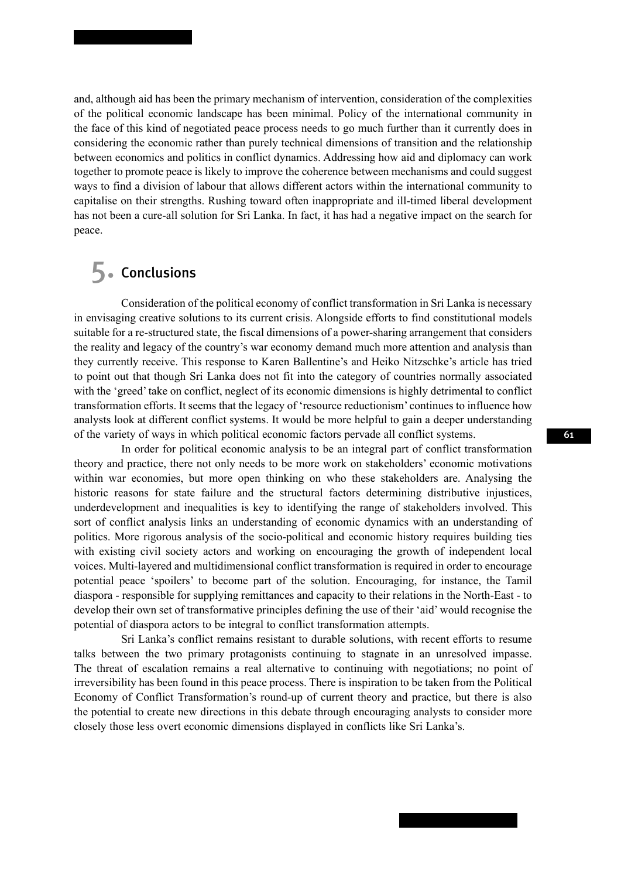and, although aid has been the primary mechanism of intervention, consideration of the complexities of the political economic landscape has been minimal. Policy of the international community in the face of this kind of negotiated peace process needs to go much further than it currently does in considering the economic rather than purely technical dimensions of transition and the relationship between economics and politics in conflict dynamics. Addressing how aid and diplomacy can work together to promote peace is likely to improve the coherence between mechanisms and could suggest ways to find a division of labour that allows different actors within the international community to capitalise on their strengths. Rushing toward often inappropriate and ill-timed liberal development has not been a cure-all solution for Sri Lanka. In fact, it has had a negative impact on the search for peace.

## 5. Conclusions

Consideration of the political economy of conflict transformation in Sri Lanka is necessary in envisaging creative solutions to its current crisis. Alongside efforts to find constitutional models suitable for a re-structured state, the fiscal dimensions of a power-sharing arrangement that considers the reality and legacy of the country's war economy demand much more attention and analysis than they currently receive. This response to Karen Ballentine's and Heiko Nitzschke's article has tried to point out that though Sri Lanka does not fit into the category of countries normally associated with the 'greed' take on conflict, neglect of its economic dimensions is highly detrimental to conflict transformation efforts. It seems that the legacy of 'resource reductionism' continues to influence how analysts look at different conflict systems. It would be more helpful to gain a deeper understanding of the variety of ways in which political economic factors pervade all conflict systems.

In order for political economic analysis to be an integral part of conflict transformation theory and practice, there not only needs to be more work on stakeholders' economic motivations within war economies, but more open thinking on who these stakeholders are. Analysing the historic reasons for state failure and the structural factors determining distributive injustices, underdevelopment and inequalities is key to identifying the range of stakeholders involved. This sort of conflict analysis links an understanding of economic dynamics with an understanding of politics. More rigorous analysis of the socio-political and economic history requires building ties with existing civil society actors and working on encouraging the growth of independent local voices. Multi-layered and multidimensional conflict transformation is required in order to encourage potential peace 'spoilers' to become part of the solution. Encouraging, for instance, the Tamil diaspora - responsible for supplying remittances and capacity to their relations in the North-East - to develop their own set of transformative principles defining the use of their 'aid' would recognise the potential of diaspora actors to be integral to conflict transformation attempts.

Sri Lanka's conflict remains resistant to durable solutions, with recent efforts to resume talks between the two primary protagonists continuing to stagnate in an unresolved impasse. The threat of escalation remains a real alternative to continuing with negotiations; no point of irreversibility has been found in this peace process. There is inspiration to be taken from the Political Economy of Conflict Transformation's round-up of current theory and practice, but there is also the potential to create new directions in this debate through encouraging analysts to consider more closely those less overt economic dimensions displayed in conflicts like Sri Lanka's.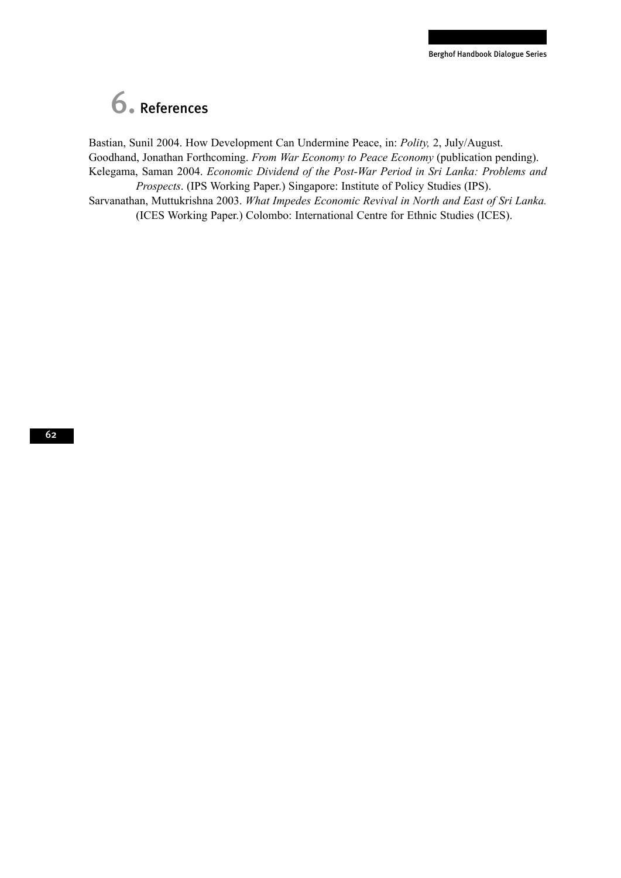# 6. References

Bastian, Sunil 2004. How Development Can Undermine Peace, in: *Polity,* 2, July/August. Goodhand, Jonathan Forthcoming. *From War Economy to Peace Economy* (publication pending). Kelegama, Saman 2004. *Economic Dividend of the Post-War Period in Sri Lanka: Problems and Prospects*. (IPS Working Paper.) Singapore: Institute of Policy Studies (IPS). Sarvanathan, Muttukrishna 2003. *What Impedes Economic Revival in North and East of Sri Lanka.*  (ICES Working Paper.) Colombo: International Centre for Ethnic Studies (ICES).

62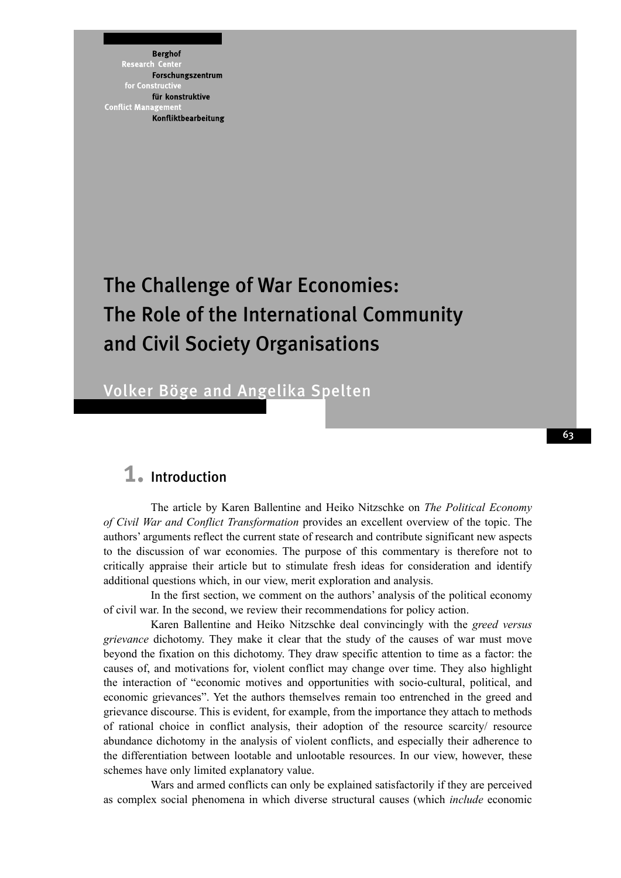**Berghof** Research Cent Forschungszentrum for Constructiv für konstruktive **Conflict Managemen** Konfliktbearbeitung

# The Challenge of War Economies: The Role of the International Community and Civil Society Organisations

Volker Böge and Angelika Spelten

### 1. Introduction

The article by Karen Ballentine and Heiko Nitzschke on *The Political Economy of Civil War and Conflict Transformation* provides an excellent overview of the topic. The authors' arguments reflect the current state of research and contribute significant new aspects to the discussion of war economies. The purpose of this commentary is therefore not to critically appraise their article but to stimulate fresh ideas for consideration and identify additional questions which, in our view, merit exploration and analysis.

In the first section, we comment on the authors' analysis of the political economy of civil war. In the second, we review their recommendations for policy action.

Karen Ballentine and Heiko Nitzschke deal convincingly with the *greed versus grievance* dichotomy. They make it clear that the study of the causes of war must move beyond the fixation on this dichotomy. They draw specific attention to time as a factor: the causes of, and motivations for, violent conflict may change over time. They also highlight the interaction of "economic motives and opportunities with socio-cultural, political, and economic grievances". Yet the authors themselves remain too entrenched in the greed and grievance discourse. This is evident, for example, from the importance they attach to methods of rational choice in conflict analysis, their adoption of the resource scarcity/ resource abundance dichotomy in the analysis of violent conflicts, and especially their adherence to the differentiation between lootable and unlootable resources. In our view, however, these schemes have only limited explanatory value.

Wars and armed conflicts can only be explained satisfactorily if they are perceived as complex social phenomena in which diverse structural causes (which *include* economic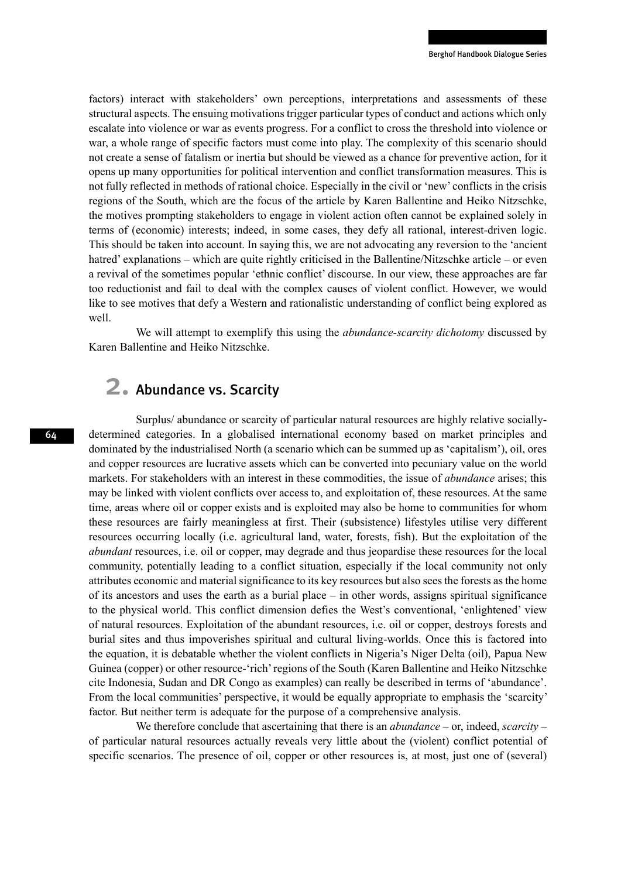factors) interact with stakeholders' own perceptions, interpretations and assessments of these structural aspects. The ensuing motivations trigger particular types of conduct and actions which only escalate into violence or war as events progress. For a conflict to cross the threshold into violence or war, a whole range of specific factors must come into play. The complexity of this scenario should not create a sense of fatalism or inertia but should be viewed as a chance for preventive action, for it opens up many opportunities for political intervention and conflict transformation measures. This is not fully reflected in methods of rational choice. Especially in the civil or 'new' conflicts in the crisis regions of the South, which are the focus of the article by Karen Ballentine and Heiko Nitzschke, the motives prompting stakeholders to engage in violent action often cannot be explained solely in terms of (economic) interests; indeed, in some cases, they defy all rational, interest-driven logic. This should be taken into account. In saying this, we are not advocating any reversion to the 'ancient hatred' explanations – which are quite rightly criticised in the Ballentine/Nitzschke article – or even a revival of the sometimes popular 'ethnic conflict' discourse. In our view, these approaches are far too reductionist and fail to deal with the complex causes of violent conflict. However, we would like to see motives that defy a Western and rationalistic understanding of conflict being explored as well.

We will attempt to exemplify this using the *abundance-scarcity dichotomy* discussed by Karen Ballentine and Heiko Nitzschke.

#### 2. Abundance vs. Scarcity

Surplus/ abundance or scarcity of particular natural resources are highly relative sociallydetermined categories. In a globalised international economy based on market principles and dominated by the industrialised North (a scenario which can be summed up as 'capitalism'), oil, ores and copper resources are lucrative assets which can be converted into pecuniary value on the world markets. For stakeholders with an interest in these commodities, the issue of *abundance* arises; this may be linked with violent conflicts over access to, and exploitation of, these resources. At the same time, areas where oil or copper exists and is exploited may also be home to communities for whom these resources are fairly meaningless at first. Their (subsistence) lifestyles utilise very different resources occurring locally (i.e. agricultural land, water, forests, fish). But the exploitation of the *abundant* resources, i.e. oil or copper, may degrade and thus jeopardise these resources for the local community, potentially leading to a conflict situation, especially if the local community not only attributes economic and material significance to its key resources but also sees the forests as the home of its ancestors and uses the earth as a burial place – in other words, assigns spiritual significance to the physical world. This conflict dimension defies the West's conventional, 'enlightened' view of natural resources. Exploitation of the abundant resources, i.e. oil or copper, destroys forests and burial sites and thus impoverishes spiritual and cultural living-worlds. Once this is factored into the equation, it is debatable whether the violent conflicts in Nigeria's Niger Delta (oil), Papua New Guinea (copper) or other resource-'rich' regions of the South (Karen Ballentine and Heiko Nitzschke cite Indonesia, Sudan and DR Congo as examples) can really be described in terms of 'abundance'. From the local communities' perspective, it would be equally appropriate to emphasis the 'scarcity' factor. But neither term is adequate for the purpose of a comprehensive analysis.

We therefore conclude that ascertaining that there is an *abundance* – or, indeed, *scarcity* – of particular natural resources actually reveals very little about the (violent) conflict potential of specific scenarios. The presence of oil, copper or other resources is, at most, just one of (several)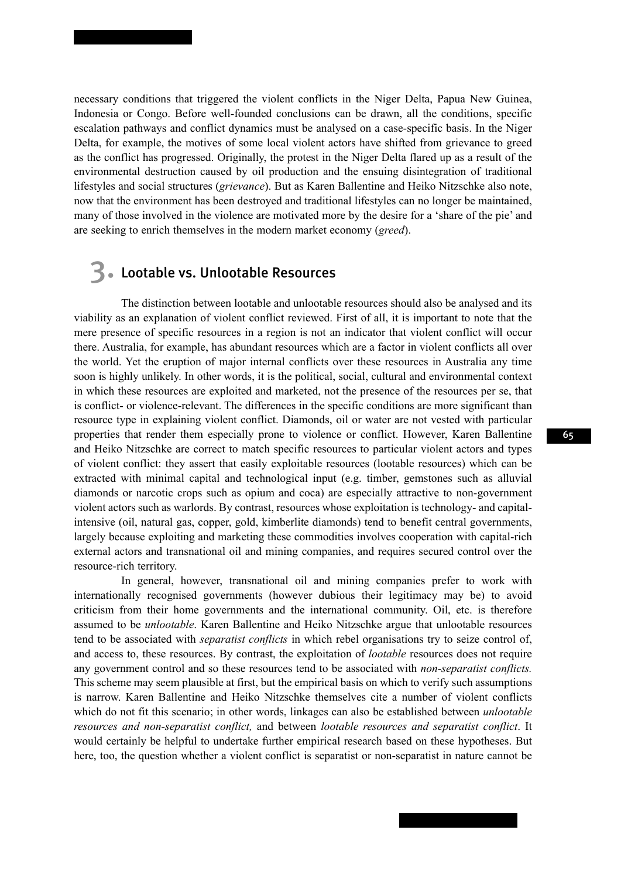necessary conditions that triggered the violent conflicts in the Niger Delta, Papua New Guinea, Indonesia or Congo. Before well-founded conclusions can be drawn, all the conditions, specific escalation pathways and conflict dynamics must be analysed on a case-specific basis. In the Niger Delta, for example, the motives of some local violent actors have shifted from grievance to greed as the conflict has progressed. Originally, the protest in the Niger Delta flared up as a result of the environmental destruction caused by oil production and the ensuing disintegration of traditional lifestyles and social structures (*grievance*). But as Karen Ballentine and Heiko Nitzschke also note, now that the environment has been destroyed and traditional lifestyles can no longer be maintained, many of those involved in the violence are motivated more by the desire for a 'share of the pie' and are seeking to enrich themselves in the modern market economy (*greed*).

#### 3. Lootable vs. Unlootable Resources

The distinction between lootable and unlootable resources should also be analysed and its viability as an explanation of violent conflict reviewed. First of all, it is important to note that the mere presence of specific resources in a region is not an indicator that violent conflict will occur there. Australia, for example, has abundant resources which are a factor in violent conflicts all over the world. Yet the eruption of major internal conflicts over these resources in Australia any time soon is highly unlikely. In other words, it is the political, social, cultural and environmental context in which these resources are exploited and marketed, not the presence of the resources per se, that is conflict- or violence-relevant. The differences in the specific conditions are more significant than resource type in explaining violent conflict. Diamonds, oil or water are not vested with particular properties that render them especially prone to violence or conflict. However, Karen Ballentine and Heiko Nitzschke are correct to match specific resources to particular violent actors and types of violent conflict: they assert that easily exploitable resources (lootable resources) which can be extracted with minimal capital and technological input (e.g. timber, gemstones such as alluvial diamonds or narcotic crops such as opium and coca) are especially attractive to non-government violent actors such as warlords. By contrast, resources whose exploitation is technology- and capitalintensive (oil, natural gas, copper, gold, kimberlite diamonds) tend to benefit central governments, largely because exploiting and marketing these commodities involves cooperation with capital-rich external actors and transnational oil and mining companies, and requires secured control over the resource-rich territory.

In general, however, transnational oil and mining companies prefer to work with internationally recognised governments (however dubious their legitimacy may be) to avoid criticism from their home governments and the international community. Oil, etc. is therefore assumed to be *unlootable*. Karen Ballentine and Heiko Nitzschke argue that unlootable resources tend to be associated with *separatist conflicts* in which rebel organisations try to seize control of, and access to, these resources. By contrast, the exploitation of *lootable* resources does not require any government control and so these resources tend to be associated with *non-separatist conflicts.*  This scheme may seem plausible at first, but the empirical basis on which to verify such assumptions is narrow. Karen Ballentine and Heiko Nitzschke themselves cite a number of violent conflicts which do not fit this scenario; in other words, linkages can also be established between *unlootable resources and non-separatist conflict,* and between *lootable resources and separatist conflict*. It would certainly be helpful to undertake further empirical research based on these hypotheses. But here, too, the question whether a violent conflict is separatist or non-separatist in nature cannot be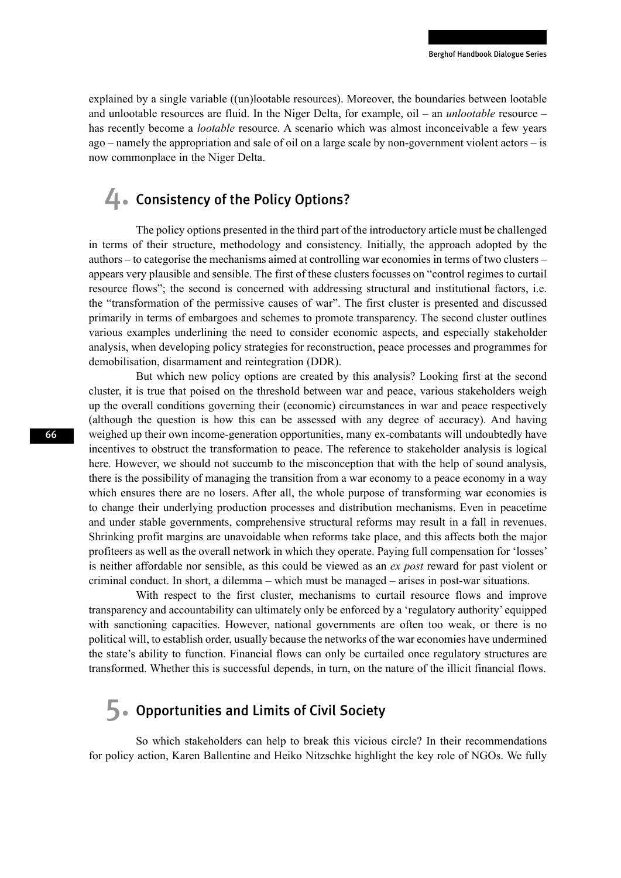explained by a single variable ((un)lootable resources). Moreover, the boundaries between lootable and unlootable resources are fluid. In the Niger Delta, for example, oil – an *unlootable* resource – has recently become a *lootable* resource. A scenario which was almost inconceivable a few years ago – namely the appropriation and sale of oil on a large scale by non-government violent actors – is now commonplace in the Niger Delta.

#### 4. Consistency of the Policy Options?

The policy options presented in the third part of the introductory article must be challenged in terms of their structure, methodology and consistency. Initially, the approach adopted by the authors – to categorise the mechanisms aimed at controlling war economies in terms of two clusters – appears very plausible and sensible. The first of these clusters focusses on "control regimes to curtail resource flows"; the second is concerned with addressing structural and institutional factors, i.e. the "transformation of the permissive causes of war". The first cluster is presented and discussed primarily in terms of embargoes and schemes to promote transparency. The second cluster outlines various examples underlining the need to consider economic aspects, and especially stakeholder analysis, when developing policy strategies for reconstruction, peace processes and programmes for demobilisation, disarmament and reintegration (DDR).

But which new policy options are created by this analysis? Looking first at the second cluster, it is true that poised on the threshold between war and peace, various stakeholders weigh up the overall conditions governing their (economic) circumstances in war and peace respectively (although the question is how this can be assessed with any degree of accuracy). And having weighed up their own income-generation opportunities, many ex-combatants will undoubtedly have incentives to obstruct the transformation to peace. The reference to stakeholder analysis is logical here. However, we should not succumb to the misconception that with the help of sound analysis, there is the possibility of managing the transition from a war economy to a peace economy in a way which ensures there are no losers. After all, the whole purpose of transforming war economies is to change their underlying production processes and distribution mechanisms. Even in peacetime and under stable governments, comprehensive structural reforms may result in a fall in revenues. Shrinking profit margins are unavoidable when reforms take place, and this affects both the major profiteers as well as the overall network in which they operate. Paying full compensation for 'losses' is neither affordable nor sensible, as this could be viewed as an *ex post* reward for past violent or criminal conduct. In short, a dilemma – which must be managed – arises in post-war situations.

With respect to the first cluster, mechanisms to curtail resource flows and improve transparency and accountability can ultimately only be enforced by a 'regulatory authority' equipped with sanctioning capacities. However, national governments are often too weak, or there is no political will, to establish order, usually because the networks of the war economies have undermined the state's ability to function. Financial flows can only be curtailed once regulatory structures are transformed. Whether this is successful depends, in turn, on the nature of the illicit financial flows.

# 5. Opportunities and Limits of Civil Society

So which stakeholders can help to break this vicious circle? In their recommendations for policy action, Karen Ballentine and Heiko Nitzschke highlight the key role of NGOs. We fully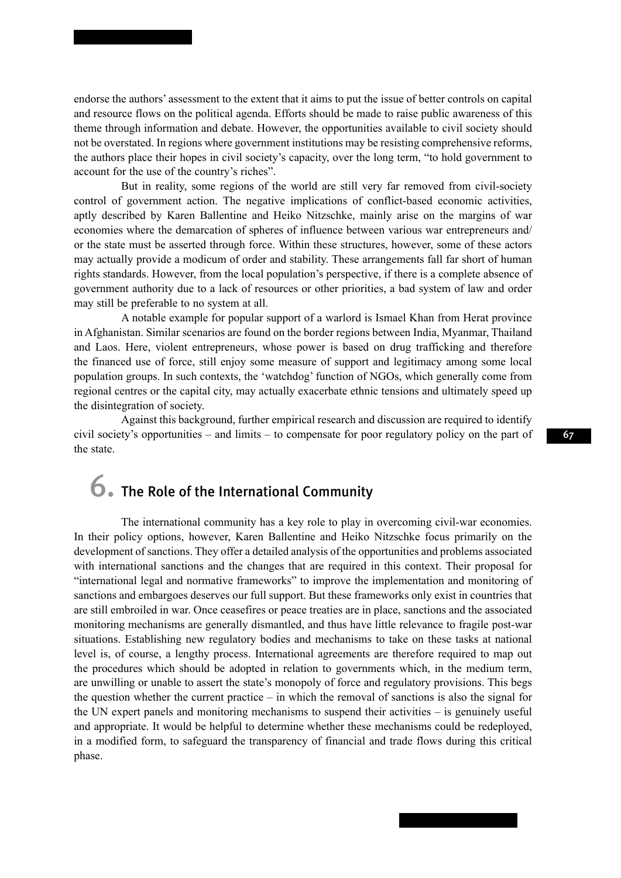endorse the authors' assessment to the extent that it aims to put the issue of better controls on capital and resource flows on the political agenda. Efforts should be made to raise public awareness of this theme through information and debate. However, the opportunities available to civil society should not be overstated. In regions where government institutions may be resisting comprehensive reforms, the authors place their hopes in civil society's capacity, over the long term, "to hold government to account for the use of the country's riches".

But in reality, some regions of the world are still very far removed from civil-society control of government action. The negative implications of conflict-based economic activities, aptly described by Karen Ballentine and Heiko Nitzschke, mainly arise on the margins of war economies where the demarcation of spheres of influence between various war entrepreneurs and/ or the state must be asserted through force. Within these structures, however, some of these actors may actually provide a modicum of order and stability. These arrangements fall far short of human rights standards. However, from the local population's perspective, if there is a complete absence of government authority due to a lack of resources or other priorities, a bad system of law and order may still be preferable to no system at all.

A notable example for popular support of a warlord is Ismael Khan from Herat province in Afghanistan. Similar scenarios are found on the border regions between India, Myanmar, Thailand and Laos. Here, violent entrepreneurs, whose power is based on drug trafficking and therefore the financed use of force, still enjoy some measure of support and legitimacy among some local population groups. In such contexts, the 'watchdog' function of NGOs, which generally come from regional centres or the capital city, may actually exacerbate ethnic tensions and ultimately speed up the disintegration of society.

Against this background, further empirical research and discussion are required to identify civil society's opportunities – and limits – to compensate for poor regulatory policy on the part of the state.

# 6. The Role of the International Community

The international community has a key role to play in overcoming civil-war economies. In their policy options, however, Karen Ballentine and Heiko Nitzschke focus primarily on the development of sanctions. They offer a detailed analysis of the opportunities and problems associated with international sanctions and the changes that are required in this context. Their proposal for "international legal and normative frameworks" to improve the implementation and monitoring of sanctions and embargoes deserves our full support. But these frameworks only exist in countries that are still embroiled in war. Once ceasefires or peace treaties are in place, sanctions and the associated monitoring mechanisms are generally dismantled, and thus have little relevance to fragile post-war situations. Establishing new regulatory bodies and mechanisms to take on these tasks at national level is, of course, a lengthy process. International agreements are therefore required to map out the procedures which should be adopted in relation to governments which, in the medium term, are unwilling or unable to assert the state's monopoly of force and regulatory provisions. This begs the question whether the current practice – in which the removal of sanctions is also the signal for the UN expert panels and monitoring mechanisms to suspend their activities – is genuinely useful and appropriate. It would be helpful to determine whether these mechanisms could be redeployed, in a modified form, to safeguard the transparency of financial and trade flows during this critical phase.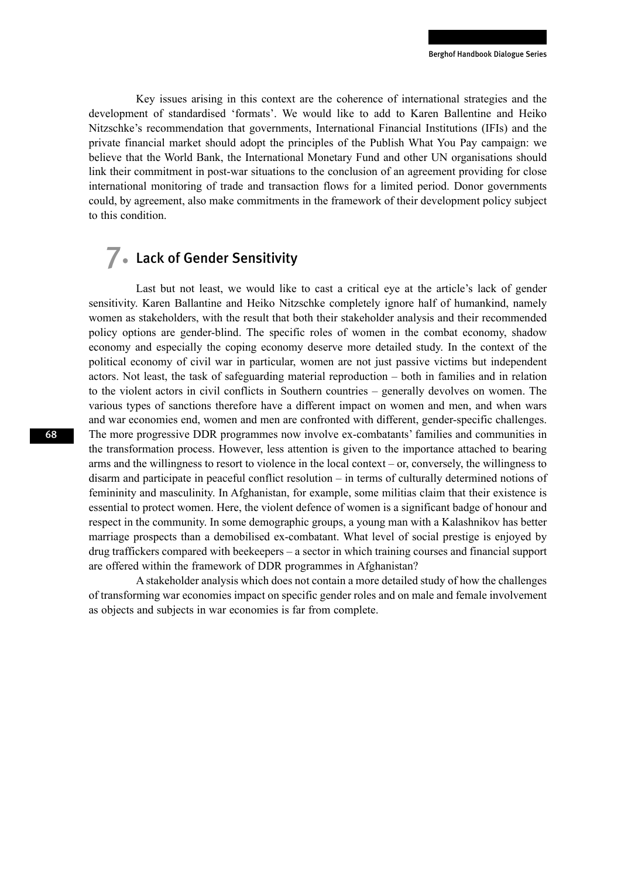Key issues arising in this context are the coherence of international strategies and the development of standardised 'formats'. We would like to add to Karen Ballentine and Heiko Nitzschke's recommendation that governments, International Financial Institutions (IFIs) and the private financial market should adopt the principles of the Publish What You Pay campaign: we believe that the World Bank, the International Monetary Fund and other UN organisations should link their commitment in post-war situations to the conclusion of an agreement providing for close international monitoring of trade and transaction flows for a limited period. Donor governments could, by agreement, also make commitments in the framework of their development policy subject to this condition.

#### 7. Lack of Gender Sensitivity

Last but not least, we would like to cast a critical eye at the article's lack of gender sensitivity. Karen Ballantine and Heiko Nitzschke completely ignore half of humankind, namely women as stakeholders, with the result that both their stakeholder analysis and their recommended policy options are gender-blind. The specific roles of women in the combat economy, shadow economy and especially the coping economy deserve more detailed study. In the context of the political economy of civil war in particular, women are not just passive victims but independent actors. Not least, the task of safeguarding material reproduction – both in families and in relation to the violent actors in civil conflicts in Southern countries – generally devolves on women. The various types of sanctions therefore have a different impact on women and men, and when wars and war economies end, women and men are confronted with different, gender-specific challenges. The more progressive DDR programmes now involve ex-combatants' families and communities in the transformation process. However, less attention is given to the importance attached to bearing arms and the willingness to resort to violence in the local context – or, conversely, the willingness to disarm and participate in peaceful conflict resolution – in terms of culturally determined notions of femininity and masculinity. In Afghanistan, for example, some militias claim that their existence is essential to protect women. Here, the violent defence of women is a significant badge of honour and respect in the community. In some demographic groups, a young man with a Kalashnikov has better marriage prospects than a demobilised ex-combatant. What level of social prestige is enjoyed by drug traffickers compared with beekeepers – a sector in which training courses and financial support are offered within the framework of DDR programmes in Afghanistan?

A stakeholder analysis which does not contain a more detailed study of how the challenges of transforming war economies impact on specific gender roles and on male and female involvement as objects and subjects in war economies is far from complete.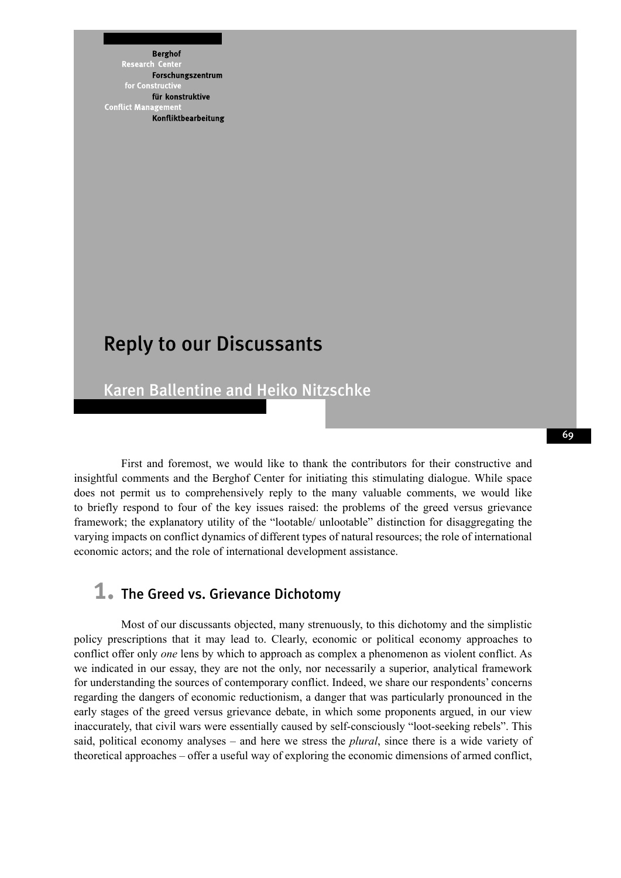**Berghof** Research Forschungszentrum for Constructi für konstruktive **Conflict Managemen** Konfliktbearbeitung

## Reply to our Discussants

Karen Ballentine and Heiko Nitzschke

First and foremost, we would like to thank the contributors for their constructive and insightful comments and the Berghof Center for initiating this stimulating dialogue. While space does not permit us to comprehensively reply to the many valuable comments, we would like to briefly respond to four of the key issues raised: the problems of the greed versus grievance framework; the explanatory utility of the "lootable/ unlootable" distinction for disaggregating the varying impacts on conflict dynamics of different types of natural resources; the role of international economic actors; and the role of international development assistance.

#### **1.** The Greed vs. Grievance Dichotomy

Most of our discussants objected, many strenuously, to this dichotomy and the simplistic policy prescriptions that it may lead to. Clearly, economic or political economy approaches to conflict offer only *one* lens by which to approach as complex a phenomenon as violent conflict. As we indicated in our essay, they are not the only, nor necessarily a superior, analytical framework for understanding the sources of contemporary conflict. Indeed, we share our respondents' concerns regarding the dangers of economic reductionism, a danger that was particularly pronounced in the early stages of the greed versus grievance debate, in which some proponents argued, in our view inaccurately, that civil wars were essentially caused by self-consciously "loot-seeking rebels". This said, political economy analyses – and here we stress the *plural*, since there is a wide variety of theoretical approaches – offer a useful way of exploring the economic dimensions of armed conflict,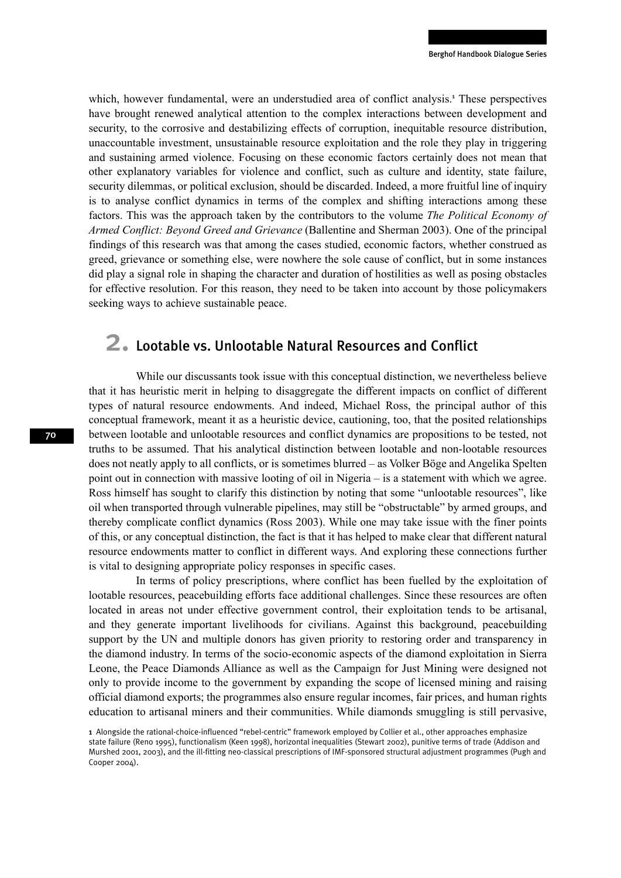which, however fundamental, were an understudied area of conflict analysis.<sup>1</sup> These perspectives have brought renewed analytical attention to the complex interactions between development and security, to the corrosive and destabilizing effects of corruption, inequitable resource distribution, unaccountable investment, unsustainable resource exploitation and the role they play in triggering and sustaining armed violence. Focusing on these economic factors certainly does not mean that other explanatory variables for violence and conflict, such as culture and identity, state failure, security dilemmas, or political exclusion, should be discarded. Indeed, a more fruitful line of inquiry is to analyse conflict dynamics in terms of the complex and shifting interactions among these factors. This was the approach taken by the contributors to the volume *The Political Economy of Armed Conflict: Beyond Greed and Grievance* (Ballentine and Sherman 2003). One of the principal findings of this research was that among the cases studied, economic factors, whether construed as greed, grievance or something else, were nowhere the sole cause of conflict, but in some instances did play a signal role in shaping the character and duration of hostilities as well as posing obstacles for effective resolution. For this reason, they need to be taken into account by those policymakers seeking ways to achieve sustainable peace.

### 2. Lootable vs. Unlootable Natural Resources and Conflict

While our discussants took issue with this conceptual distinction, we nevertheless believe that it has heuristic merit in helping to disaggregate the different impacts on conflict of different types of natural resource endowments. And indeed, Michael Ross, the principal author of this conceptual framework, meant it as a heuristic device, cautioning, too, that the posited relationships between lootable and unlootable resources and conflict dynamics are propositions to be tested, not truths to be assumed. That his analytical distinction between lootable and non-lootable resources does not neatly apply to all conflicts, or is sometimes blurred – as Volker Böge and Angelika Spelten point out in connection with massive looting of oil in Nigeria – is a statement with which we agree. Ross himself has sought to clarify this distinction by noting that some "unlootable resources", like oil when transported through vulnerable pipelines, may still be "obstructable" by armed groups, and thereby complicate conflict dynamics (Ross 2003). While one may take issue with the finer points of this, or any conceptual distinction, the fact is that it has helped to make clear that different natural resource endowments matter to conflict in different ways. And exploring these connections further is vital to designing appropriate policy responses in specific cases.

In terms of policy prescriptions, where conflict has been fuelled by the exploitation of lootable resources, peacebuilding efforts face additional challenges. Since these resources are often located in areas not under effective government control, their exploitation tends to be artisanal, and they generate important livelihoods for civilians. Against this background, peacebuilding support by the UN and multiple donors has given priority to restoring order and transparency in the diamond industry. In terms of the socio-economic aspects of the diamond exploitation in Sierra Leone, the Peace Diamonds Alliance as well as the Campaign for Just Mining were designed not only to provide income to the government by expanding the scope of licensed mining and raising official diamond exports; the programmes also ensure regular incomes, fair prices, and human rights education to artisanal miners and their communities. While diamonds smuggling is still pervasive,

<sup>1</sup> Alongside the rational-choice-influenced "rebel-centric" framework employed by Collier et al., other approaches emphasize state failure (Reno 1995), functionalism (Keen 1998), horizontal inequalities (Stewart 2002), punitive terms of trade (Addison and Murshed 2001, 2003), and the ill-fitting neo-classical prescriptions of IMF-sponsored structural adjustment programmes (Pugh and Cooper 2004).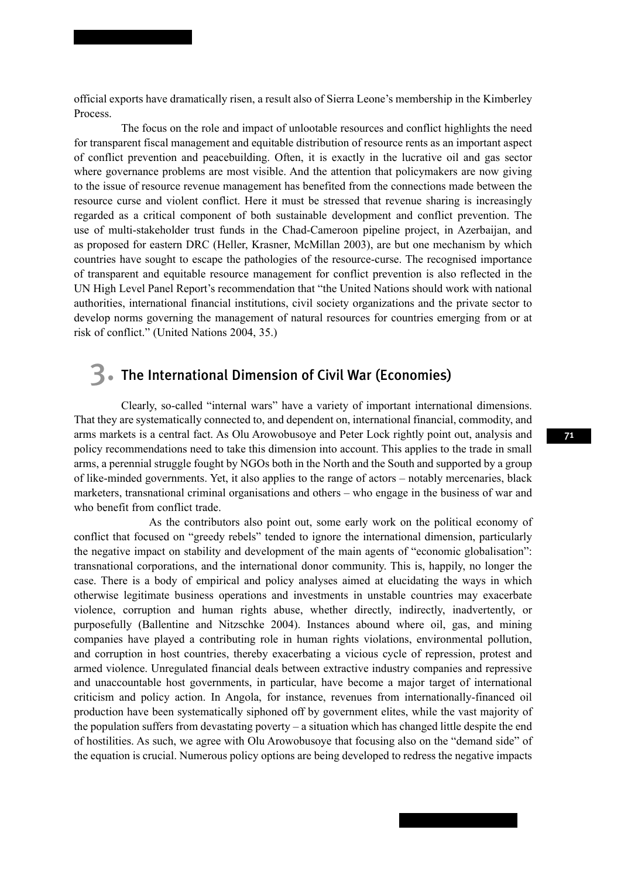official exports have dramatically risen, a result also of Sierra Leone's membership in the Kimberley Process.

The focus on the role and impact of unlootable resources and conflict highlights the need for transparent fiscal management and equitable distribution of resource rents as an important aspect of conflict prevention and peacebuilding. Often, it is exactly in the lucrative oil and gas sector where governance problems are most visible. And the attention that policymakers are now giving to the issue of resource revenue management has benefited from the connections made between the resource curse and violent conflict. Here it must be stressed that revenue sharing is increasingly regarded as a critical component of both sustainable development and conflict prevention. The use of multi-stakeholder trust funds in the Chad-Cameroon pipeline project, in Azerbaijan, and as proposed for eastern DRC (Heller, Krasner, McMillan 2003), are but one mechanism by which countries have sought to escape the pathologies of the resource-curse. The recognised importance of transparent and equitable resource management for conflict prevention is also reflected in the UN High Level Panel Report's recommendation that "the United Nations should work with national authorities, international financial institutions, civil society organizations and the private sector to develop norms governing the management of natural resources for countries emerging from or at risk of conflict." (United Nations 2004, 35.)

### 3. The International Dimension of Civil War (Economies)

Clearly, so-called "internal wars" have a variety of important international dimensions. That they are systematically connected to, and dependent on, international financial, commodity, and arms markets is a central fact. As Olu Arowobusoye and Peter Lock rightly point out, analysis and policy recommendations need to take this dimension into account. This applies to the trade in small arms, a perennial struggle fought by NGOs both in the North and the South and supported by a group of like-minded governments. Yet, it also applies to the range of actors – notably mercenaries, black marketers, transnational criminal organisations and others – who engage in the business of war and who benefit from conflict trade.

 As the contributors also point out, some early work on the political economy of conflict that focused on "greedy rebels" tended to ignore the international dimension, particularly the negative impact on stability and development of the main agents of "economic globalisation": transnational corporations, and the international donor community. This is, happily, no longer the case. There is a body of empirical and policy analyses aimed at elucidating the ways in which otherwise legitimate business operations and investments in unstable countries may exacerbate violence, corruption and human rights abuse, whether directly, indirectly, inadvertently, or purposefully (Ballentine and Nitzschke 2004). Instances abound where oil, gas, and mining companies have played a contributing role in human rights violations, environmental pollution, and corruption in host countries, thereby exacerbating a vicious cycle of repression, protest and armed violence. Unregulated financial deals between extractive industry companies and repressive and unaccountable host governments, in particular, have become a major target of international criticism and policy action. In Angola, for instance, revenues from internationally-financed oil production have been systematically siphoned off by government elites, while the vast majority of the population suffers from devastating poverty – a situation which has changed little despite the end of hostilities. As such, we agree with Olu Arowobusoye that focusing also on the "demand side" of the equation is crucial. Numerous policy options are being developed to redress the negative impacts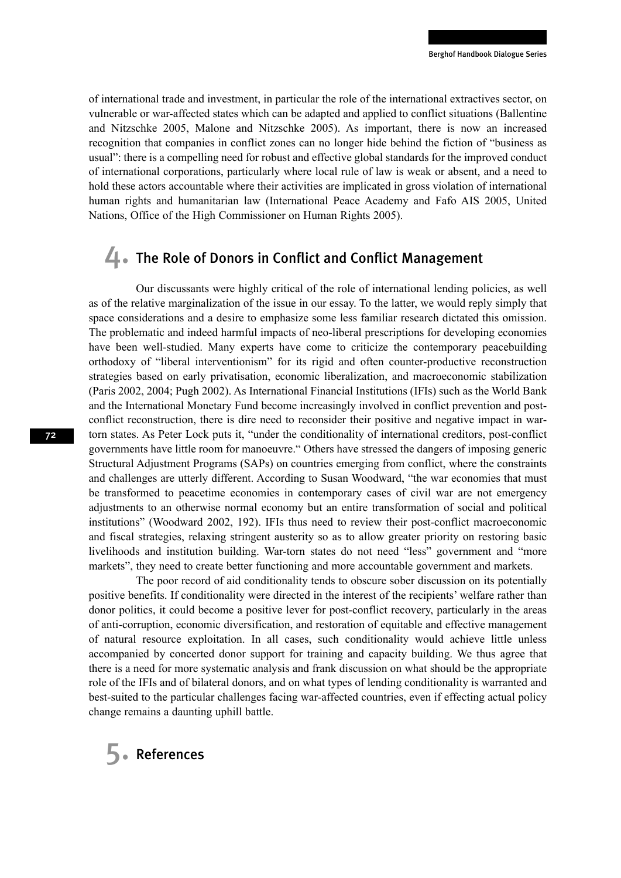of international trade and investment, in particular the role of the international extractives sector, on vulnerable or war-affected states which can be adapted and applied to conflict situations (Ballentine and Nitzschke 2005, Malone and Nitzschke 2005). As important, there is now an increased recognition that companies in conflict zones can no longer hide behind the fiction of "business as usual": there is a compelling need for robust and effective global standards for the improved conduct of international corporations, particularly where local rule of law is weak or absent, and a need to hold these actors accountable where their activities are implicated in gross violation of international human rights and humanitarian law (International Peace Academy and Fafo AIS 2005, United Nations, Office of the High Commissioner on Human Rights 2005).

## 4. The Role of Donors in Conflict and Conflict Management

Our discussants were highly critical of the role of international lending policies, as well as of the relative marginalization of the issue in our essay. To the latter, we would reply simply that space considerations and a desire to emphasize some less familiar research dictated this omission. The problematic and indeed harmful impacts of neo-liberal prescriptions for developing economies have been well-studied. Many experts have come to criticize the contemporary peacebuilding orthodoxy of "liberal interventionism" for its rigid and often counter-productive reconstruction strategies based on early privatisation, economic liberalization, and macroeconomic stabilization (Paris 2002, 2004; Pugh 2002). As International Financial Institutions (IFIs) such as the World Bank and the International Monetary Fund become increasingly involved in conflict prevention and postconflict reconstruction, there is dire need to reconsider their positive and negative impact in wartorn states. As Peter Lock puts it, "under the conditionality of international creditors, post-conflict governments have little room for manoeuvre." Others have stressed the dangers of imposing generic Structural Adjustment Programs (SAPs) on countries emerging from conflict, where the constraints and challenges are utterly different. According to Susan Woodward, "the war economies that must be transformed to peacetime economies in contemporary cases of civil war are not emergency adjustments to an otherwise normal economy but an entire transformation of social and political institutions" (Woodward 2002, 192). IFIs thus need to review their post-conflict macroeconomic and fiscal strategies, relaxing stringent austerity so as to allow greater priority on restoring basic livelihoods and institution building. War-torn states do not need "less" government and "more markets", they need to create better functioning and more accountable government and markets.

The poor record of aid conditionality tends to obscure sober discussion on its potentially positive benefits. If conditionality were directed in the interest of the recipients' welfare rather than donor politics, it could become a positive lever for post-conflict recovery, particularly in the areas of anti-corruption, economic diversification, and restoration of equitable and effective management of natural resource exploitation. In all cases, such conditionality would achieve little unless accompanied by concerted donor support for training and capacity building. We thus agree that there is a need for more systematic analysis and frank discussion on what should be the appropriate role of the IFIs and of bilateral donors, and on what types of lending conditionality is warranted and best-suited to the particular challenges facing war-affected countries, even if effecting actual policy change remains a daunting uphill battle.

5. References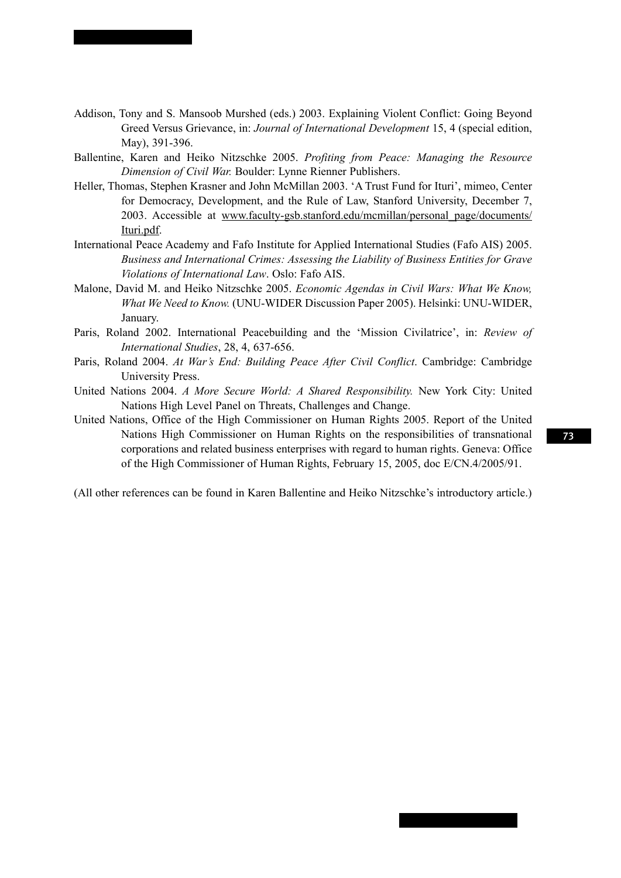- Addison, Tony and S. Mansoob Murshed (eds.) 2003. Explaining Violent Conflict: Going Beyond Greed Versus Grievance, in: *Journal of International Development* 15, 4 (special edition, May), 391-396.
- Ballentine, Karen and Heiko Nitzschke 2005. *Profiting from Peace: Managing the Resource Dimension of Civil War.* Boulder: Lynne Rienner Publishers.
- Heller, Thomas, Stephen Krasner and John McMillan 2003. 'A Trust Fund for Ituri', mimeo, Center for Democracy, Development, and the Rule of Law, Stanford University, December 7, 2003. Accessible at www.faculty-gsb.stanford.edu/mcmillan/personal\_page/documents/ Ituri.pdf.
- International Peace Academy and Fafo Institute for Applied International Studies (Fafo AIS) 2005. *Business and International Crimes: Assessing the Liability of Business Entities for Grave Violations of International Law*. Oslo: Fafo AIS.
- Malone, David M. and Heiko Nitzschke 2005. *Economic Agendas in Civil Wars: What We Know, What We Need to Know.* (UNU-WIDER Discussion Paper 2005). Helsinki: UNU-WIDER, January.
- Paris, Roland 2002. International Peacebuilding and the 'Mission Civilatrice', in: *Review of International Studies*, 28, 4, 637-656.
- Paris, Roland 2004. *At War's End: Building Peace After Civil Conflict*. Cambridge: Cambridge University Press.
- United Nations 2004. *A More Secure World: A Shared Responsibility.* New York City: United Nations High Level Panel on Threats, Challenges and Change.
- United Nations, Office of the High Commissioner on Human Rights 2005. Report of the United Nations High Commissioner on Human Rights on the responsibilities of transnational corporations and related business enterprises with regard to human rights. Geneva: Office of the High Commissioner of Human Rights, February 15, 2005, doc E/CN.4/2005/91.

(All other references can be found in Karen Ballentine and Heiko Nitzschke's introductory article.)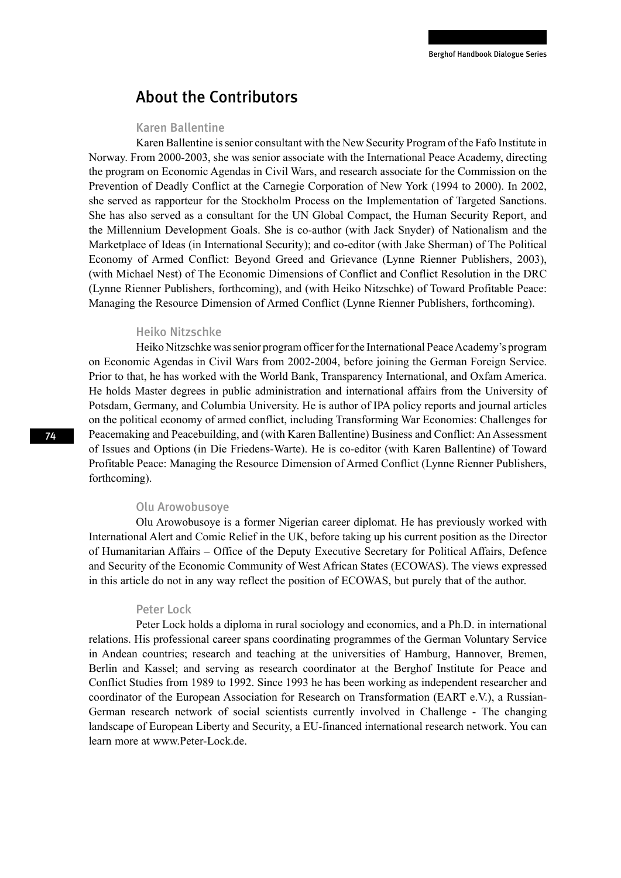### About the Contributors

#### Karen Ballentine

Karen Ballentine is senior consultant with the New Security Program of the Fafo Institute in Norway. From 2000-2003, she was senior associate with the International Peace Academy, directing the program on Economic Agendas in Civil Wars, and research associate for the Commission on the Prevention of Deadly Conflict at the Carnegie Corporation of New York (1994 to 2000). In 2002, she served as rapporteur for the Stockholm Process on the Implementation of Targeted Sanctions. She has also served as a consultant for the UN Global Compact, the Human Security Report, and the Millennium Development Goals. She is co-author (with Jack Snyder) of Nationalism and the Marketplace of Ideas (in International Security); and co-editor (with Jake Sherman) of The Political Economy of Armed Conflict: Beyond Greed and Grievance (Lynne Rienner Publishers, 2003), (with Michael Nest) of The Economic Dimensions of Conflict and Conflict Resolution in the DRC (Lynne Rienner Publishers, forthcoming), and (with Heiko Nitzschke) of Toward Profitable Peace: Managing the Resource Dimension of Armed Conflict (Lynne Rienner Publishers, forthcoming).

#### Heiko Nitzschke

Heiko Nitzschke was senior program officer for the International Peace Academy's program on Economic Agendas in Civil Wars from 2002-2004, before joining the German Foreign Service. Prior to that, he has worked with the World Bank, Transparency International, and Oxfam America. He holds Master degrees in public administration and international affairs from the University of Potsdam, Germany, and Columbia University. He is author of IPA policy reports and journal articles on the political economy of armed conflict, including Transforming War Economies: Challenges for Peacemaking and Peacebuilding, and (with Karen Ballentine) Business and Conflict: An Assessment of Issues and Options (in Die Friedens-Warte). He is co-editor (with Karen Ballentine) of Toward Profitable Peace: Managing the Resource Dimension of Armed Conflict (Lynne Rienner Publishers, forthcoming).

#### Olu Arowobusoye

Olu Arowobusoye is a former Nigerian career diplomat. He has previously worked with International Alert and Comic Relief in the UK, before taking up his current position as the Director of Humanitarian Affairs – Office of the Deputy Executive Secretary for Political Affairs, Defence and Security of the Economic Community of West African States (ECOWAS). The views expressed in this article do not in any way reflect the position of ECOWAS, but purely that of the author.

#### Peter Lock

Peter Lock holds a diploma in rural sociology and economics, and a Ph.D. in international relations. His professional career spans coordinating programmes of the German Voluntary Service in Andean countries; research and teaching at the universities of Hamburg, Hannover, Bremen, Berlin and Kassel; and serving as research coordinator at the Berghof Institute for Peace and Conflict Studies from 1989 to 1992. Since 1993 he has been working as independent researcher and coordinator of the European Association for Research on Transformation (EART e.V.), a Russian-German research network of social scientists currently involved in Challenge - The changing landscape of European Liberty and Security, a EU-financed international research network. You can learn more at www.Peter-Lock.de.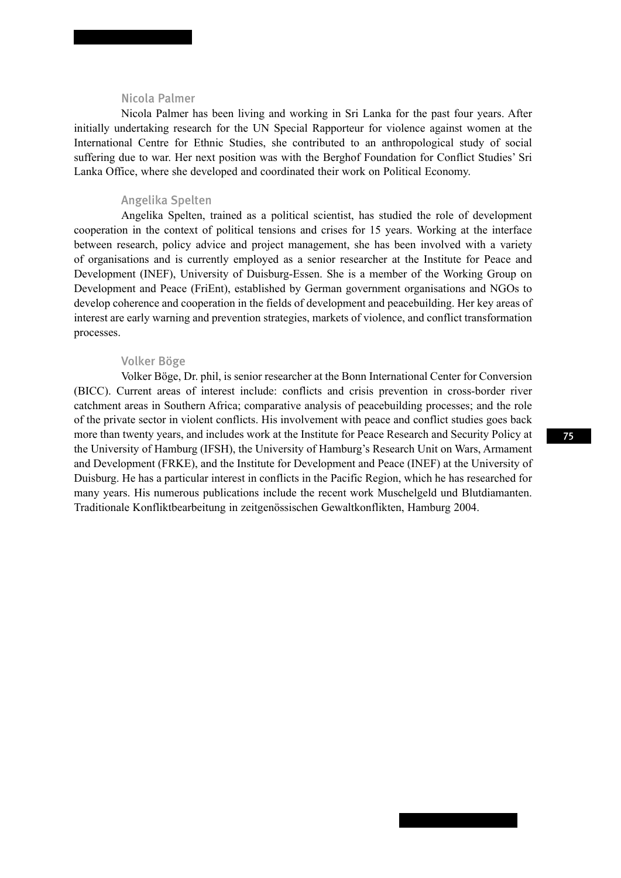#### Nicola Palmer

Nicola Palmer has been living and working in Sri Lanka for the past four years. After initially undertaking research for the UN Special Rapporteur for violence against women at the International Centre for Ethnic Studies, she contributed to an anthropological study of social suffering due to war. Her next position was with the Berghof Foundation for Conflict Studies' Sri Lanka Office, where she developed and coordinated their work on Political Economy.

#### Angelika Spelten

Angelika Spelten, trained as a political scientist, has studied the role of development cooperation in the context of political tensions and crises for 15 years. Working at the interface between research, policy advice and project management, she has been involved with a variety of organisations and is currently employed as a senior researcher at the Institute for Peace and Development (INEF), University of Duisburg-Essen. She is a member of the Working Group on Development and Peace (FriEnt), established by German government organisations and NGOs to develop coherence and cooperation in the fields of development and peacebuilding. Her key areas of interest are early warning and prevention strategies, markets of violence, and conflict transformation processes.

#### Volker Böge

Volker Böge, Dr. phil, is senior researcher at the Bonn International Center for Conversion (BICC). Current areas of interest include: conflicts and crisis prevention in cross-border river catchment areas in Southern Africa; comparative analysis of peacebuilding processes; and the role of the private sector in violent conflicts. His involvement with peace and conflict studies goes back more than twenty years, and includes work at the Institute for Peace Research and Security Policy at the University of Hamburg (IFSH), the University of Hamburg's Research Unit on Wars, Armament and Development (FRKE), and the Institute for Development and Peace (INEF) at the University of Duisburg. He has a particular interest in conflicts in the Pacific Region, which he has researched for many years. His numerous publications include the recent work Muschelgeld und Blutdiamanten. Traditionale Konfliktbearbeitung in zeitgenössischen Gewaltkonflikten, Hamburg 2004.